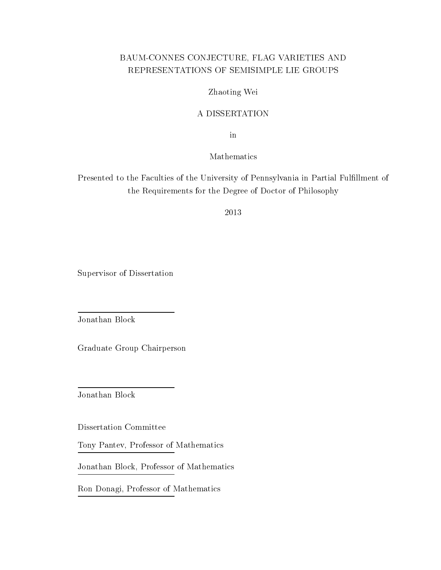### BAUM-CONNES CONJECTURE, FLAG VARIETIES AND REPRESENTATIONS OF SEMISIMPLE LIE GROUPS

#### Zhaoting Wei

#### A DISSERTATION

in

Mathematics

Presented to the Faculties of the University of Pennsylvania in Partial Fulllment of the Requirements for the Degree of Doctor of Philosophy

2013

Supervisor of Dissertation

Jonathan Block

Graduate Group Chairperson

Jonathan Block

Dissertation Committee

Tony Pantev, Professor of Mathematics

Jonathan Block, Professor of Mathematics

Ron Donagi, Professor of Mathematics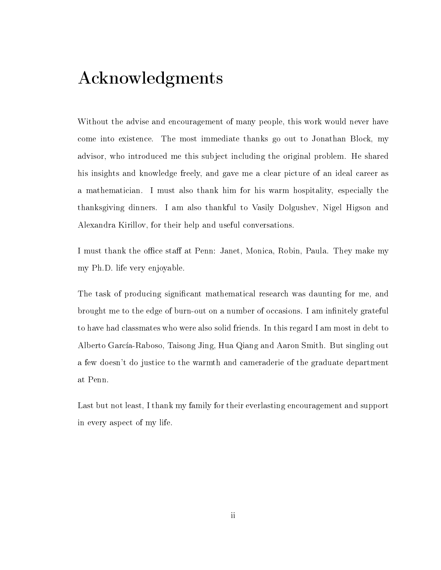# Acknowledgments

Without the advise and encouragement of many people, this work would never have come into existence. The most immediate thanks go out to Jonathan Block, my advisor, who introduced me this subject including the original problem. He shared his insights and knowledge freely, and gave me a clear picture of an ideal career as a mathematician. I must also thank him for his warm hospitality, especially the thanksgiving dinners. I am also thankful to Vasily Dolgushev, Nigel Higson and Alexandra Kirillov, for their help and useful conversations.

I must thank the office staff at Penn: Janet, Monica, Robin, Paula. They make my my Ph.D. life very enjoyable.

The task of producing significant mathematical research was daunting for me, and brought me to the edge of burn-out on a number of occasions. I am infinitely grateful to have had classmates who were also solid friends. In this regard I am most in debt to Alberto García-Raboso, Taisong Jing, Hua Qiang and Aaron Smith. But singling out a few doesn't do justice to the warmth and cameraderie of the graduate department at Penn.

Last but not least, I thank my family for their everlasting encouragement and support in every aspect of my life.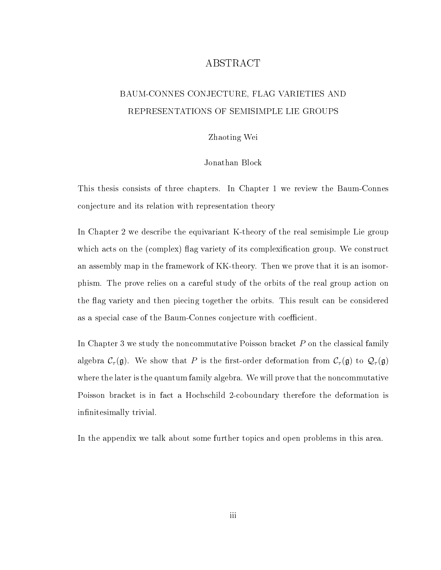### ABSTRACT

### BAUM-CONNES CONJECTURE, FLAG VARIETIES AND REPRESENTATIONS OF SEMISIMPLE LIE GROUPS

#### Zhaoting Wei

#### Jonathan Block

This thesis consists of three chapters. In Chapter 1 we review the Baum-Connes conjecture and its relation with representation theory

In Chapter 2 we describe the equivariant K-theory of the real semisimple Lie group which acts on the (complex) flag variety of its complexification group. We construct an assembly map in the framework of KK-theory. Then we prove that it is an isomorphism. The prove relies on a careful study of the orbits of the real group action on the flag variety and then piecing together the orbits. This result can be considered as a special case of the Baum-Connes conjecture with coefficient.

In Chapter 3 we study the noncommutative Poisson bracket P on the classical family algebra  $C_\tau(\mathfrak{g})$ . We show that P is the first-order deformation from  $C_\tau(\mathfrak{g})$  to  $\mathcal{Q}_\tau(\mathfrak{g})$ where the later is the quantum family algebra. We will prove that the noncommutative Poisson bracket is in fact a Hochschild 2-coboundary therefore the deformation is infinitesimally trivial.

In the appendix we talk about some further topics and open problems in this area.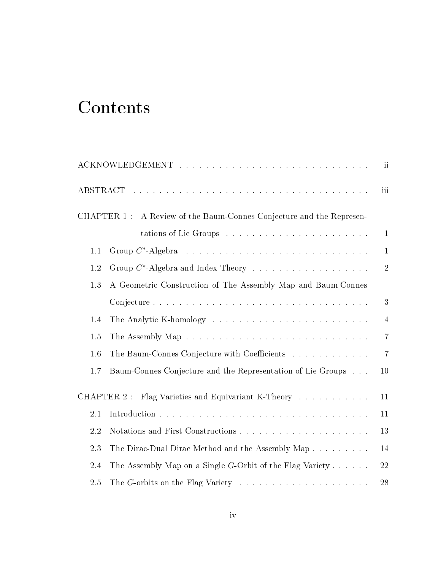# **Contents**

|     |                                                                                     | ï              |
|-----|-------------------------------------------------------------------------------------|----------------|
|     |                                                                                     | iii            |
|     | CHAPTER 1 :<br>A Review of the Baum-Connes Conjecture and the Represen-             |                |
|     |                                                                                     | $\mathbf{1}$   |
| 1.1 |                                                                                     | $\mathbf{1}$   |
| 1.2 | Group $C^*$ -Algebra and Index Theory                                               | $\overline{2}$ |
| 1.3 | A Geometric Construction of The Assembly Map and Baum-Connes                        |                |
|     |                                                                                     | 3              |
| 1.4 |                                                                                     | $\overline{4}$ |
| 1.5 |                                                                                     | $\overline{7}$ |
| 1.6 | The Baum-Connes Conjecture with Coefficients                                        | $\overline{7}$ |
| 1.7 | Baum-Connes Conjecture and the Representation of Lie Groups                         | 10             |
|     | Flag Varieties and Equivariant K-Theory<br>CHAPTER 2 :                              | 11             |
| 2.1 |                                                                                     | 11             |
| 2.2 |                                                                                     | 13             |
| 2.3 | The Dirac-Dual Dirac Method and the Assembly Map                                    | 14             |
| 2.4 | The Assembly Map on a Single $G$ -Orbit of the Flag Variety                         | 22             |
| 2.5 | The G-orbits on the Flag Variety $\ldots \ldots \ldots \ldots \ldots \ldots \ldots$ | 28             |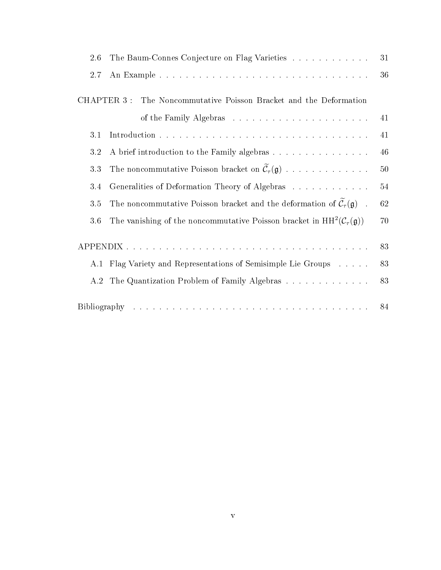| 2.6         | The Baum-Connes Conjecture on Flag Varieties                                                           | 31     |
|-------------|--------------------------------------------------------------------------------------------------------|--------|
| 2.7         |                                                                                                        | 36     |
| CHAPTER 3 : | The Noncommutative Poisson Bracket and the Deformation                                                 |        |
|             |                                                                                                        | 41     |
| 3.1         |                                                                                                        | 41     |
| 3.2         | A brief introduction to the Family algebras                                                            | 46     |
| 3.3         | The noncommutative Poisson bracket on $\widetilde{\mathcal{C}}_{\tau}(\mathfrak{g})$                   | $50\,$ |
| 3.4         | Generalities of Deformation Theory of Algebras                                                         | 54     |
| 3.5         | The noncommutative Poisson bracket and the deformation of $\tilde{\mathcal{C}}_{\tau}(\mathfrak{g})$ . | 62     |
| 3.6         | The vanishing of the noncommutative Poisson bracket in $HH^2(\mathcal{C}_\tau(\mathfrak{g}))$          | 70     |
|             |                                                                                                        | 83     |
|             | A.1 Flag Variety and Representations of Semisimple Lie Groups                                          | 83     |
| A.2         | The Quantization Problem of Family Algebras                                                            | 83     |
|             |                                                                                                        |        |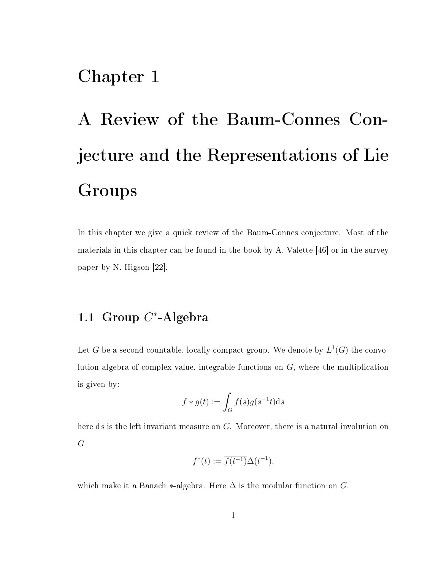# Chapter 1

# A Review of the Baum-Connes Conjecture and the Representations of Lie Groups

In this chapter we give a quick review of the Baum-Connes conjecture. Most of the materials in this chapter can be found in the book by A. Valette [46] or in the survey paper by N. Higson [22].

# 1.1 Group  $C^*$ -Algebra

Let  $G$  be a second countable, locally compact group. We denote by  $L^1(G)$  the convolution algebra of complex value, integrable functions on G, where the multiplication is given by:

$$
f * g(t) := \int_G f(s)g(s^{-1}t)ds
$$

here ds is the left invariant measure on G. Moreover, there is a natural involution on G

$$
f^*(t) := \overline{f(t^{-1})} \Delta(t^{-1}),
$$

which make it a Banach  $*$ -algebra. Here  $\Delta$  is the modular function on G.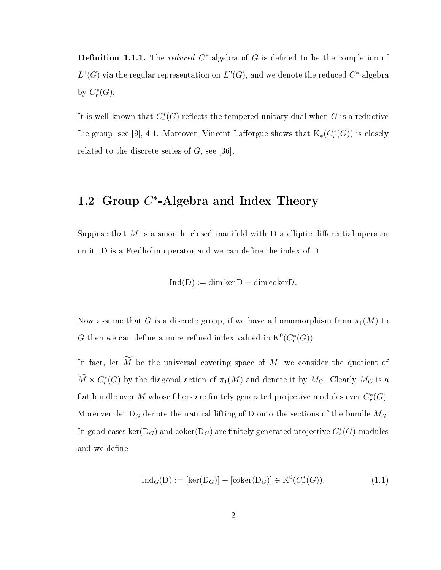**Definition 1.1.1.** The *reduced*  $C^*$ -algebra of G is defined to be the completion of  $L^1(G)$  via the regular representation on  $L^2(G)$ , and we denote the reduced  $C^*$ -algebra by  $C_r^*(G)$ .

It is well-known that  $C^*_r(G)$  reflects the tempered unitary dual when  $G$  is a reductive Lie group, see [9], 4.1. Moreover, Vincent Lafforgue shows that  $\text{K}_*(C^*_r(G))$  is closely related to the discrete series of  $G$ , see [36].

# 1.2 Group  $C^*$ -Algebra and Index Theory

Suppose that M is a smooth, closed manifold with  $D$  a elliptic differential operator on it. D is a Fredholm operator and we can define the index of D

$$
Ind(D) := \dim \ker D - \dim \mathrm{coker} D.
$$

Now assume that G is a discrete group, if we have a homomorphism from  $\pi_1(M)$  to G then we can define a more refined index valued in  $K^0(C_r^*(G))$ .

In fact, let  $\widetilde{M}$  be the universal covering space of  $M$ , we consider the quotient of  $\overline{M} \times C_r^*(G)$  by the diagonal action of  $\pi_1(M)$  and denote it by  $M_G$ . Clearly  $M_G$  is a flat bundle over  $M$  whose fibers are finitely generated projective modules over  $C_r^*(G).$ Moreover, let  $D_G$  denote the natural lifting of D onto the sections of the bundle  $M_G$ . In good cases  $\ker(\mathrm{D}_G)$  and  $\mathrm{coker}(\mathrm{D}_G)$  are finitely generated projective  $C^*_r(G)\text{-modules}$ and we define

$$
\operatorname{Ind}_{G}(D) := [\ker(D_G)] - [\operatorname{coker}(D_G)] \in K^0(C_r^*(G)).
$$
\n(1.1)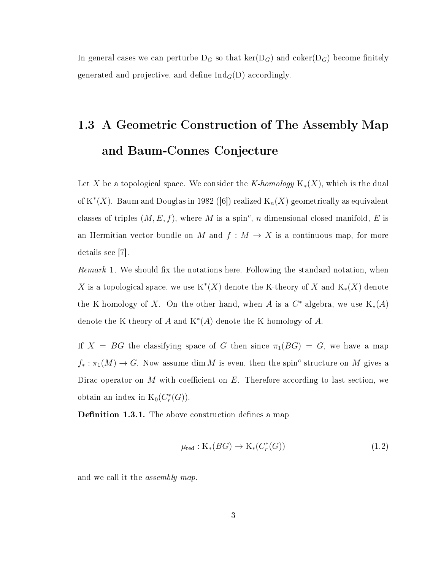In general cases we can perturbe  $D_G$  so that  $\ker(D_G)$  and coker( $D_G$ ) become finitely generated and projective, and define  $\text{Ind}_G(D)$  accordingly.

# 1.3 A Geometric Construction of The Assembly Map and Baum-Connes Conjecture

Let X be a topological space. We consider the K-homology  $K_*(X)$ , which is the dual of  $\mathrm{K}^*(X)$ . Baum and Douglas in 1982 ([6]) realized  $\mathrm{K}_n(X)$  geometrically as equivalent classes of triples  $(M, E, f)$ , where M is a spin<sup>c</sup>, n dimensional closed manifold, E is an Hermitian vector bundle on M and  $f : M \to X$  is a continuous map, for more details see [7].

*Remark* 1. We should fix the notations here. Following the standard notation, when X is a topological space, we use  $\mathrm{K}^*(X)$  denote the K-theory of X and  $\mathrm{K}_*(X)$  denote the K-homology of X. On the other hand, when A is a  $C^*$ -algebra, we use  $K_*(A)$ denote the K-theory of  $A$  and  $K^*(A)$  denote the K-homology of  $A$ .

If  $X = BG$  the classifying space of G then since  $\pi_1(BG) = G$ , we have a map  $f_* : \pi_1(M) \to G$ . Now assume dim M is even, then the spin<sup>c</sup> structure on M gives a Dirac operator on M with coefficient on  $E$ . Therefore according to last section, we obtain an index in  $K_0(C^*_r(G))$ .

**Definition 1.3.1.** The above construction defines a map

$$
\mu_{\text{red}}: \mathcal{K}_{*}(BG) \to \mathcal{K}_{*}(C_{r}^{*}(G)) \tag{1.2}
$$

and we call it the *assembly map*.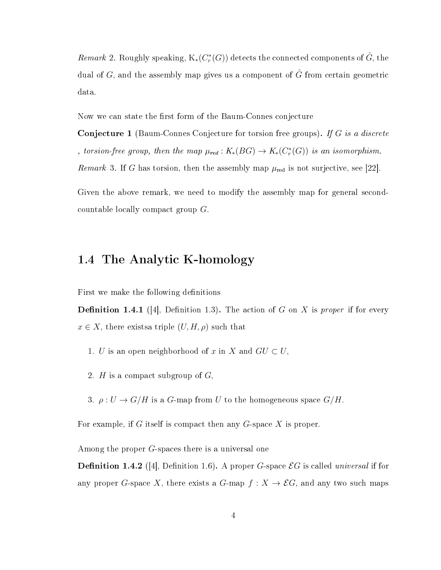$Remark$  2. Roughly speaking,  $\text{K}_*(C^*_r(G))$  detects the connected components of  $\hat{G}$ , the dual of G, and the assembly map gives us a component of  $\hat{G}$  from certain geometric data.

Now we can state the first form of the Baum-Connes conjecture

**Conjecture 1** (Baum-Connes Conjecture for torsion free groups). If G is a discrete , torsion-free group, then the map  $\mu_{red}: K_*(BG) \to K_*(C_r^*(G))$  is an isomorphism. Remark 3. If G has torsion, then the assembly map  $\mu_{\text{red}}$  is not surjective, see [22].

Given the above remark, we need to modify the assembly map for general secondcountable locally compact group G.

### 1.4 The Analytic K-homology

First we make the following definitions

**Definition 1.4.1** (4, Definition 1.3). The action of G on X is proper if for every  $x \in X$ , there exists triple  $(U, H, \rho)$  such that

- 1. U is an open neighborhood of x in X and  $GU \subset U$ ,
- 2. H is a compact subgroup of  $G$ ,
- 3.  $\rho: U \to G/H$  is a G-map from U to the homogeneous space  $G/H$ .

For example, if G itself is compact then any  $G$ -space X is proper.

Among the proper G-spaces there is a universal one

**Definition 1.4.2** ([4], Definition 1.6). A proper G-space  $\mathcal{E}G$  is called universal if for any proper G-space X, there exists a G-map  $f: X \to \mathcal{E}G$ , and any two such maps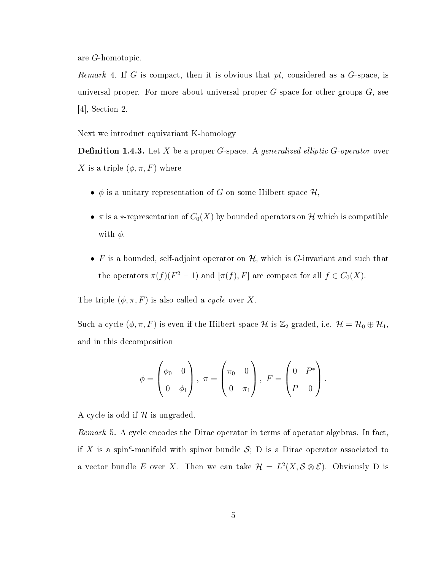are G-homotopic.

*Remark* 4. If G is compact, then it is obvious that  $pt$ , considered as a G-space, is universal proper. For more about universal proper  $G$ -space for other groups  $G$ , see [4], Section 2.

Next we introduct equivariant K-homology

**Definition 1.4.3.** Let  $X$  be a proper  $G$ -space. A generalized elliptic  $G$ -operator over X is a triple  $(\phi, \pi, F)$  where

- $\phi$  is a unitary representation of G on some Hilbert space  $\mathcal{H},$
- $\pi$  is a \*-representation of  $C_0(X)$  by bounded operators on H which is compatible with  $\phi$ ,
- F is a bounded, self-adjoint operator on  $H$ , which is G-invariant and such that the operators  $\pi(f)(F^2-1)$  and  $[\pi(f), F]$  are compact for all  $f \in C_0(X)$ .

The triple  $(\phi, \pi, F)$  is also called a *cycle* over X.

Such a cycle  $(\phi, \pi, F)$  is even if the Hilbert space  $\mathcal H$  is  $\mathbb Z_2$ -graded, i.e.  $\mathcal H = \mathcal H_0 \oplus \mathcal H_1$ , and in this decomposition

$$
\phi = \begin{pmatrix} \phi_0 & 0 \\ 0 & \phi_1 \end{pmatrix}, \ \pi = \begin{pmatrix} \pi_0 & 0 \\ 0 & \pi_1 \end{pmatrix}, \ F = \begin{pmatrix} 0 & P^* \\ P & 0 \end{pmatrix}.
$$

A cycle is odd if  $H$  is ungraded.

Remark 5. A cycle encodes the Dirac operator in terms of operator algebras. In fact, if X is a spin<sup>c</sup>-manifold with spinor bundle S; D is a Dirac operator associated to a vector bundle E over X. Then we can take  $\mathcal{H} = L^2(X, \mathcal{S} \otimes \mathcal{E})$ . Obviously D is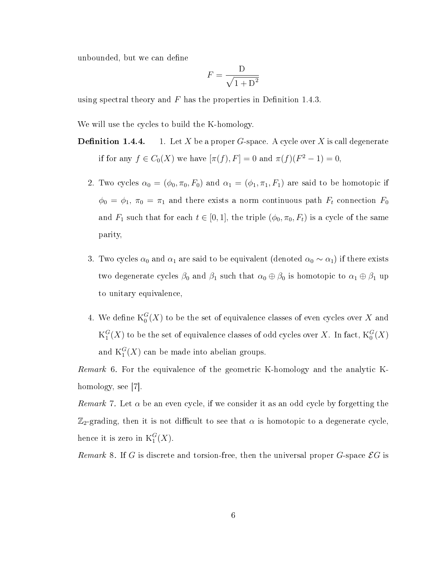unbounded, but we can define

$$
F = \frac{D}{\sqrt{1 + D^2}}
$$

using spectral theory and  $F$  has the properties in Definition 1.4.3.

We will use the cycles to build the K-homology.

- **Definition 1.4.4.** 1. Let X be a proper G-space. A cycle over X is call degenerate if for any  $f \in C_0(X)$  we have  $[\pi(f), F] = 0$  and  $\pi(f)(F^2 - 1) = 0$ ,
	- 2. Two cycles  $\alpha_0 = (\phi_0, \pi_0, F_0)$  and  $\alpha_1 = (\phi_1, \pi_1, F_1)$  are said to be homotopic if  $\phi_0 = \phi_1$ ,  $\pi_0 = \pi_1$  and there exists a norm continuous path  $F_t$  connection  $F_0$ and  $F_1$  such that for each  $t \in [0, 1]$ , the triple  $(\phi_0, \pi_0, F_t)$  is a cycle of the same parity,
	- 3. Two cycles  $\alpha_0$  and  $\alpha_1$  are said to be equivalent (denoted  $\alpha_0 \sim \alpha_1$ ) if there exists two degenerate cycles  $\beta_0$  and  $\beta_1$  such that  $\alpha_0 \oplus \beta_0$  is homotopic to  $\alpha_1 \oplus \beta_1$  up to unitary equivalence,
	- 4. We define  ${\rm K}^G_0(X)$  to be the set of equivalence classes of even cycles over  $X$  and  ${\rm K}_1^G$  $_1^G(X)$  to be the set of equivalence classes of odd cycles over  $X.$  In fact,  $\mathrm{K}^G_0(X)$ and  ${\rm K}^G_1(X)$  can be made into abelian groups.

Remark 6. For the equivalence of the geometric K-homology and the analytic Khomology, see [7].

*Remark* 7. Let  $\alpha$  be an even cycle, if we consider it as an odd cycle by forgetting the  $\mathbb{Z}_2$ -grading, then it is not difficult to see that  $\alpha$  is homotopic to a degenerate cycle, hence it is zero in  $\mathrm{K}^G_1(X)$ .

Remark 8. If G is discrete and torsion-free, then the universal proper G-space  $\mathcal{E}G$  is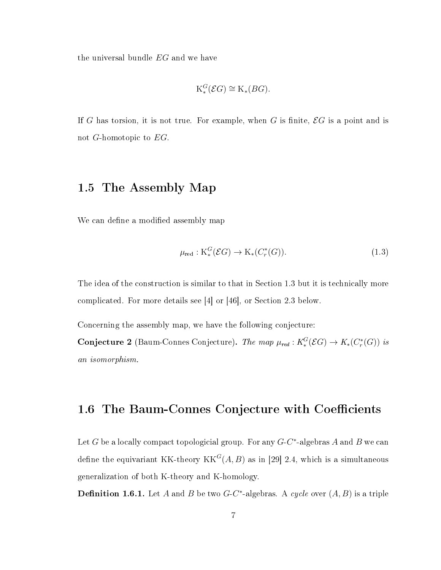the universal bundle EG and we have

$$
\mathrm{K}_*^G(\mathcal{E}G) \cong \mathrm{K}_*(BG).
$$

If G has torsion, it is not true. For example, when G is finite,  $\mathcal{E}G$  is a point and is not G-homotopic to EG.

### 1.5 The Assembly Map

We can define a modified assembly map

$$
\mu_{\text{red}}: \mathcal{K}^G_*(\mathcal{E}G) \to \mathcal{K}_*(C^*_r(G)).\tag{1.3}
$$

The idea of the construction is similar to that in Section 1.3 but it is technically more complicated. For more details see [4] or [46], or Section 2.3 below.

Concerning the assembly map, we have the following conjecture:

**Conjecture 2** (Baum-Connes Conjecture). The map  $\mu_{red}: K_*^G(\mathcal{E}G) \to K_*(C_r^*(G))$  is an isomorphism.

### 1.6 The Baum-Connes Conjecture with Coefficients

Let G be a locally compact topologicial group. For any  $G$ -C<sup>\*</sup>-algebras A and B we can define the equivariant KK-theory  $KK^G(A, B)$  as in [29] 2.4, which is a simultaneous generalization of both K-theory and K-homology.

**Definition 1.6.1.** Let A and B be two  $G-C^*$ -algebras. A cycle over  $(A, B)$  is a triple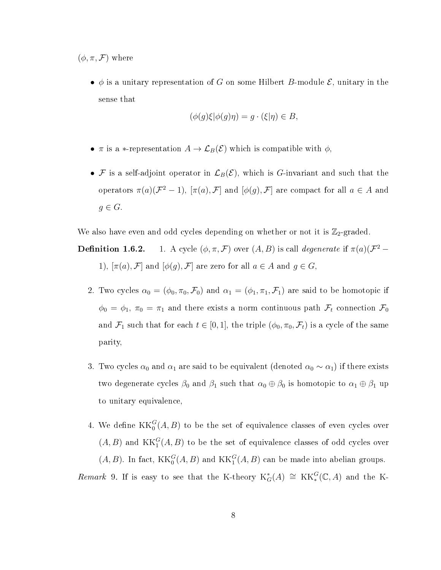$(\phi, \pi, \mathcal{F})$  where

•  $\phi$  is a unitary representation of G on some Hilbert B-module  $\mathcal{E}$ , unitary in the sense that

$$
(\phi(g)\xi|\phi(g)\eta) = g \cdot (\xi|\eta) \in B,
$$

- $\pi$  is a \*-representation  $A \to \mathcal{L}_B(\mathcal{E})$  which is compatible with  $\phi$ ,
- F is a self-adjoint operator in  $\mathcal{L}_B(\mathcal{E})$ , which is G-invariant and such that the operators  $\pi(a)(\mathcal{F}^2-1)$ ,  $[\pi(a), \mathcal{F}]$  and  $[\phi(g), \mathcal{F}]$  are compact for all  $a \in A$  and  $g \in G$ .

We also have even and odd cycles depending on whether or not it is  $\mathbb{Z}_2$ -graded.

**Definition 1.6.2.** 1. A cycle  $(\phi, \pi, \mathcal{F})$  over  $(A, B)$  is call *degenerate* if  $\pi(a)(\mathcal{F}^2 -$ 1),  $[\pi(a), \mathcal{F}]$  and  $[\phi(g), \mathcal{F}]$  are zero for all  $a \in A$  and  $g \in G$ ,

- 2. Two cycles  $\alpha_0 = (\phi_0, \pi_0, \mathcal{F}_0)$  and  $\alpha_1 = (\phi_1, \pi_1, \mathcal{F}_1)$  are said to be homotopic if  $\phi_0 = \phi_1$ ,  $\pi_0 = \pi_1$  and there exists a norm continuous path  $\mathcal{F}_t$  connection  $\mathcal{F}_0$ and  $\mathcal{F}_1$  such that for each  $t \in [0, 1]$ , the triple  $(\phi_0, \pi_0, \mathcal{F}_t)$  is a cycle of the same parity,
- 3. Two cycles  $\alpha_0$  and  $\alpha_1$  are said to be equivalent (denoted  $\alpha_0 \sim \alpha_1$ ) if there exists two degenerate cycles  $\beta_0$  and  $\beta_1$  such that  $\alpha_0 \oplus \beta_0$  is homotopic to  $\alpha_1 \oplus \beta_1$  up to unitary equivalence,
- 4. We define  $\operatorname{KK}_0^G(A,B)$  to be the set of equivalence classes of even cycles over  $(A, B)$  and  $KK_1^G(A, B)$  to be the set of equivalence classes of odd cycles over  $(A, B)$ . In fact,  $KK_0^G(A, B)$  and  $KK_1^G(A, B)$  can be made into abelian groups.

Remark 9. If is easy to see that the K-theory  $K_G^*(A) \cong KK_*^G(\mathbb{C},A)$  and the K-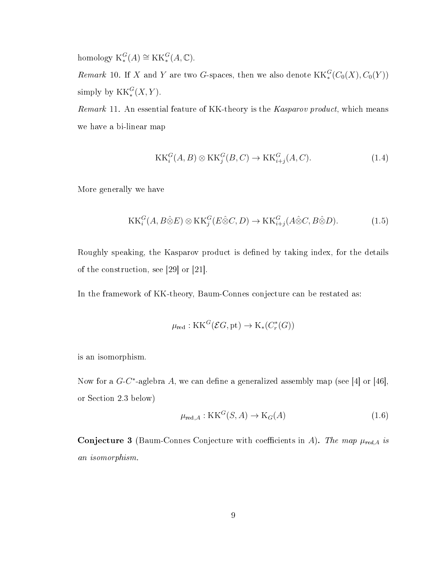homology  $K_*^G(A) \cong KK_*^G(A, \mathbb{C}).$ 

Remark 10. If X and Y are two G-spaces, then we also denote  $\operatorname{KK}_*^G(C_0(X), C_0(Y))$ simply by  $KK_*^G(X, Y)$ .

Remark 11. An essential feature of KK-theory is the Kasparov product, which means we have a bi-linear map

$$
KK_i^G(A, B) \otimes KK_j^G(B, C) \to KK_{i+j}^G(A, C). \tag{1.4}
$$

More generally we have

$$
KK_i^G(A, B \hat{\otimes} E) \otimes KK_j^G(E \hat{\otimes} C, D) \to KK_{i+j}^G(A \hat{\otimes} C, B \hat{\otimes} D). \tag{1.5}
$$

Roughly speaking, the Kasparov product is defined by taking index, for the details of the construction, see [29] or [21].

In the framework of KK-theory, Baum-Connes conjecture can be restated as:

$$
\mu_{\text{red}}: \operatorname{KK}^G(\mathcal{E}G, \operatorname{pt}) \to \operatorname{K}_*(C^*_r(G))
$$

is an isomorphism.

Now for a  $G-C^*$ -aglebra A, we can define a generalized assembly map (see [4] or [46], or Section 2.3 below)

$$
\mu_{\text{red},A} : \text{KK}^G(S, A) \to \text{K}_G(A) \tag{1.6}
$$

Conjecture 3 (Baum-Connes Conjecture with coefficients in A). The map  $\mu_{red,A}$  is an isomorphism.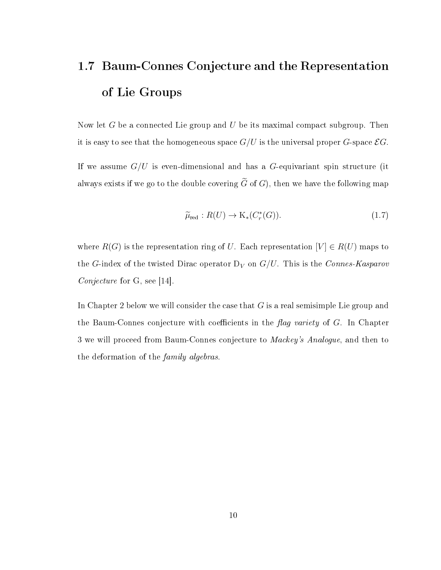# 1.7 Baum-Connes Conjecture and the Representation of Lie Groups

Now let G be a connected Lie group and U be its maximal compact subgroup. Then it is easy to see that the homogeneous space  $G/U$  is the universal proper G-space  $\mathcal{E}G$ .

If we assume  $G/U$  is even-dimensional and has a G-equivariant spin structure (it always exists if we go to the double covering  $\tilde{G}$  of G), then we have the following map

$$
\widetilde{\mu}_{\text{red}}: R(U) \to \mathrm{K}_*(C_r^*(G)). \tag{1.7}
$$

where  $R(G)$  is the representation ring of U. Each representation  $[V] \in R(U)$  maps to the G-index of the twisted Dirac operator  $D_V$  on  $G/U$ . This is the Connes-Kasparov Conjecture for G, see [14].

In Chapter 2 below we will consider the case that  $G$  is a real semisimple Lie group and the Baum-Connes conjecture with coefficients in the  $flag\ variety$  of G. In Chapter 3 we will proceed from Baum-Connes conjecture to Mackey's Analogue, and then to the deformation of the family algebras.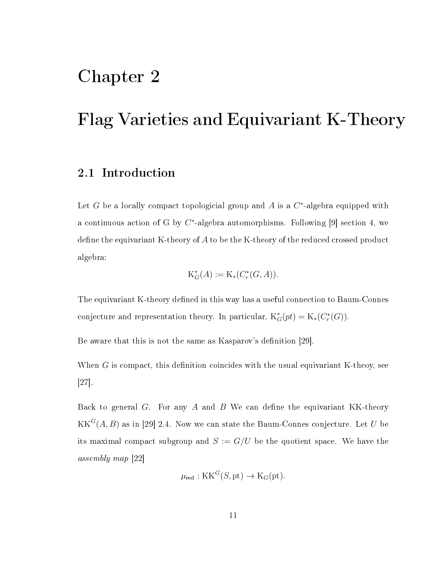# Chapter 2

# Flag Varieties and Equivariant K-Theory

### 2.1 Introduction

Let G be a locally compact topologicial group and A is a  $C^*$ -algebra equipped with a continuous action of G by  $C^*$ -algebra automorphisms. Following [9] section 4, we define the equivariant K-theory of  $A$  to be the K-theory of the reduced crossed product algebra:

$$
K_G^*(A) := K_*(C_r^*(G, A)).
$$

The equivariant K-theory defined in this way has a useful connection to Baum-Connes conjecture and representation theory. In particular,  $K_G^*(pt) = K_*(C_r^*(G)).$ 

Be aware that this is not the same as Kasparov's definition [29].

When  $G$  is compact, this definition coincides with the usual equivariant K-theoy, see [27].

Back to general  $G$ . For any  $A$  and  $B$  We can define the equivariant KK-theory  $\mathrm{KK}^{G}(A,B)$  as in [29] 2.4. Now we can state the Baum-Connes conjecture. Let  $U$  be its maximal compact subgroup and  $S := G/U$  be the quotient space. We have the assembly map [22]

$$
\mu_{\text{red}} : \mathbf{KK}^G(S, \text{pt}) \to \mathbf{K}_G(\text{pt}).
$$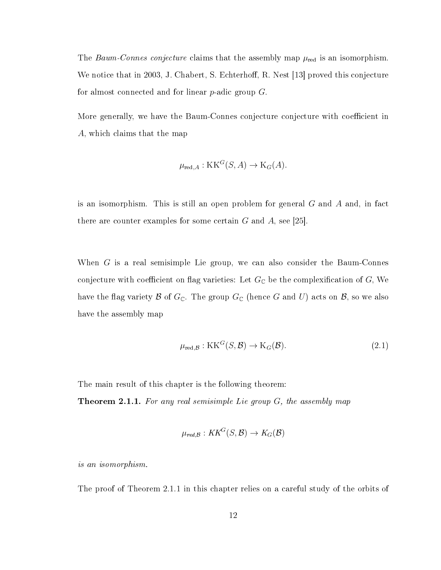The Baum-Connes conjecture claims that the assembly map  $\mu_{\text{red}}$  is an isomorphism. We notice that in 2003, J. Chabert, S. Echterhoff, R. Nest [13] proved this conjecture for almost connected and for linear  $p$ -adic group  $G$ .

More generally, we have the Baum-Connes conjecture conjecture with coefficient in A, which claims that the map

$$
\mu_{\text{red},A} : \text{KK}^G(S, A) \to \text{K}_G(A).
$$

is an isomorphism. This is still an open problem for general G and A and, in fact there are counter examples for some certain  $G$  and  $A$ , see [25].

When  $G$  is a real semisimple Lie group, we can also consider the Baum-Connes conjecture with coefficient on flag varieties: Let  $G_{\mathbb{C}}$  be the complexification of  $G$ , We have the flag variety  $\mathcal B$  of  $G_{\mathbb C}$ . The group  $G_{\mathbb C}$  (hence G and U) acts on  $\mathcal B$ , so we also have the assembly map

$$
\mu_{\text{red},\mathcal{B}} : \text{KK}^G(S,\mathcal{B}) \to \text{K}_G(\mathcal{B}).\tag{2.1}
$$

The main result of this chapter is the following theorem:

**Theorem 2.1.1.** For any real semisimple Lie group  $G$ , the assembly map

$$
\mu_{red,B}: KK^G(S,\mathcal{B}) \to K_G(\mathcal{B})
$$

is an isomorphism.

The proof of Theorem 2.1.1 in this chapter relies on a careful study of the orbits of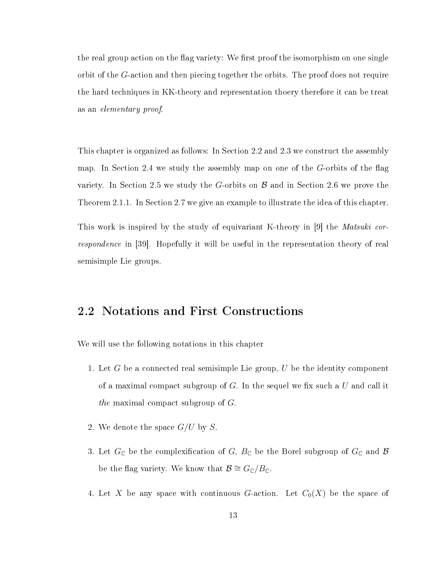the real group action on the flag variety: We first proof the isomorphism on one single orbit of the G-action and then piecing together the orbits. The proof does not require the hard techniques in KK-theory and representation thoery therefore it can be treat as an elementary proof.

This chapter is organized as follows: In Section 2.2 and 2.3 we construct the assembly map. In Section 2.4 we study the assembly map on one of the  $G$ -orbits of the flag variety. In Section 2.5 we study the G-orbits on  $\beta$  and in Section 2.6 we prove the Theorem 2.1.1. In Section 2.7 we give an example to illustrate the idea of this chapter.

This work is inspired by the study of equivariant K-theory in [9] the *Matsuki cor*respondence in [39]. Hopefully it will be useful in the representation theory of real semisimple Lie groups.

### 2.2 Notations and First Constructions

We will use the following notations in this chapter

- 1. Let  $G$  be a connected real semisimple Lie group,  $U$  be the identity component of a maximal compact subgroup of  $G$ . In the sequel we fix such a  $U$  and call it the maximal compact subgroup of G.
- 2. We denote the space  $G/U$  by S.
- 3. Let  $G_{\mathbb{C}}$  be the complexification of  $G$ ,  $B_{\mathbb{C}}$  be the Borel subgroup of  $G_{\mathbb{C}}$  and  $\mathcal{B}$ be the flag variety. We know that  $\mathcal{B} \cong G_{\mathbb{C}}/B_{\mathbb{C}}$ .
- 4. Let X be any space with continuous G-action. Let  $C_0(X)$  be the space of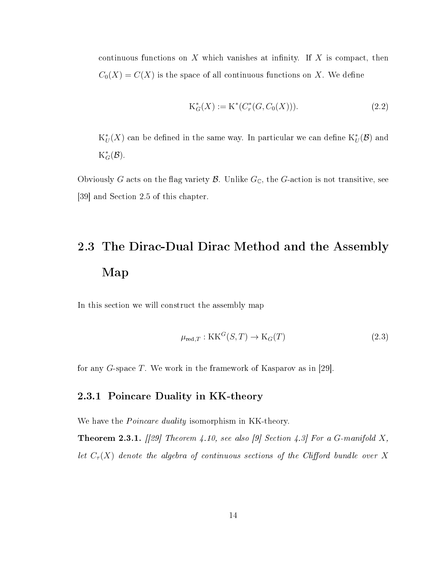continuous functions on  $X$  which vanishes at infinity. If  $X$  is compact, then  $C_0(X) = C(X)$  is the space of all continuous functions on X. We define

$$
K_G^*(X) := K^*(C_r^*(G, C_0(X))).
$$
\n(2.2)

 $K^*_L$  $_{U}^{*}(X)$  can be defined in the same way. In particular we can define  $\mathrm{K}^*_{U}(\mathcal{B})$  and  $K_G^*(\mathcal{B})$ .

Obviously G acts on the flag variety  $\mathcal B$ . Unlike  $G_{\mathbb C}$ , the G-action is not transitive, see [39] and Section 2.5 of this chapter.

# 2.3 The Dirac-Dual Dirac Method and the Assembly Map

In this section we will construct the assembly map

$$
\mu_{\text{red},T} : \text{KK}^G(S, T) \to \text{K}_G(T) \tag{2.3}
$$

for any G-space T. We work in the framework of Kasparov as in [29].

### 2.3.1 Poincare Duality in KK-theory

We have the *Poincare duality* isomorphism in KK-theory.

**Theorem 2.3.1.** [[29] Theorem 4.10, see also [9] Section 4.3] For a G-manifold X, let  $C_{\tau}(X)$  denote the algebra of continuous sections of the Clifford bundle over X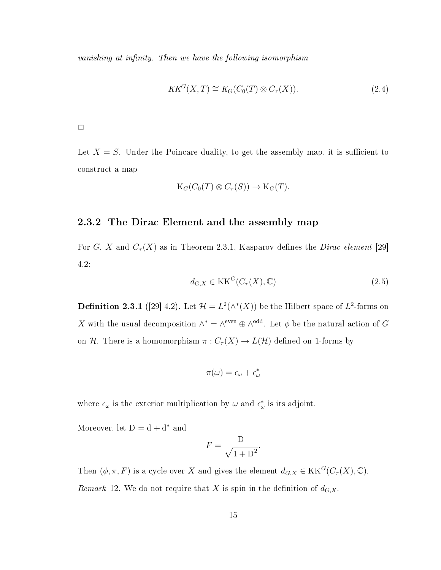vanishing at infinity. Then we have the following isomorphism

$$
KK^G(X,T) \cong K_G(C_0(T) \otimes C_\tau(X)).\tag{2.4}
$$

 $\Box$ 

Let  $X = S$ . Under the Poincare duality, to get the assembly map, it is sufficient to construct a map

$$
K_G(C_0(T) \otimes C_{\tau}(S)) \to K_G(T).
$$

#### 2.3.2 The Dirac Element and the assembly map

For G, X and  $C_{\tau}(X)$  as in Theorem 2.3.1, Kasparov defines the *Dirac element* [29] 4.2:

$$
d_{G,X} \in \mathcal{KK}^G(C_\tau(X), \mathbb{C})\tag{2.5}
$$

**Definition 2.3.1** ([29] 4.2). Let  $\mathcal{H} = L^2(\wedge^*(X))$  be the Hilbert space of  $L^2$ -forms on X with the usual decomposition  $\wedge^* = \wedge^{\text{even}} \oplus \wedge^{\text{odd}}$ . Let  $\phi$  be the natural action of G on H. There is a homomorphism  $\pi: C_{\tau}(X) \to L(\mathcal{H})$  defined on 1-forms by

$$
\pi(\omega) = \epsilon_{\omega} + \epsilon_{\omega}^*
$$

where  $\epsilon_{\omega}$  is the exterior multiplication by  $\omega$  and  $\epsilon_{\omega}^{*}$  is its adjoint.

Moreover, let  $D = d + d^*$  and

$$
F = \frac{D}{\sqrt{1 + D^2}}.
$$

Then  $(\phi, \pi, F)$  is a cycle over X and gives the element  $d_{G,X} \in \text{KK}^G(C_\tau(X), \mathbb{C})$ . *Remark* 12. We do not require that X is spin in the definition of  $d_{G,X}$ .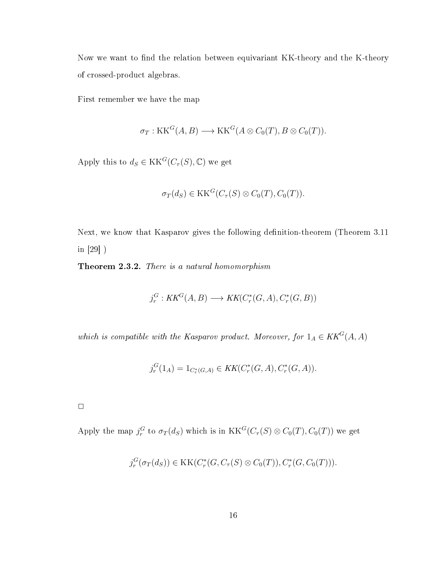Now we want to find the relation between equivariant KK-theory and the K-theory of crossed-product algebras.

First remember we have the map

$$
\sigma_T: \mathcal{KK}^G(A, B) \longrightarrow \mathcal{KK}^G(A \otimes C_0(T), B \otimes C_0(T)).
$$

Apply this to  $d_S \in KK^G(C_\tau(S), \mathbb{C})$  we get

$$
\sigma_T(d_S) \in \mathrm{KK}^G(C_\tau(S) \otimes C_0(T), C_0(T)).
$$

Next, we know that Kasparov gives the following definition-theorem (Theorem 3.11 in [29] )

Theorem 2.3.2. There is a natural homomorphism

$$
j_r^G: KK^G(A, B) \longrightarrow KK(C_r^*(G, A), C_r^*(G, B))
$$

which is compatible with the Kasparov product. Moreover, for  $1_A \in KK^G(A, A)$ 

$$
j_r^G(1_A) = 1_{C_r^*(G,A)} \in KK(C_r^*(G,A), C_r^*(G,A)).
$$

 $\Box$ 

Apply the map  $j_r^G$  to  $\sigma_T(d_S)$  which is in  $KK^G(C_\tau(S) \otimes C_0(T), C_0(T))$  we get

$$
j_r^G(\sigma_T(d_S)) \in \text{KK}(C_r^*(G, C_\tau(S) \otimes C_0(T)), C_r^*(G, C_0(T))).
$$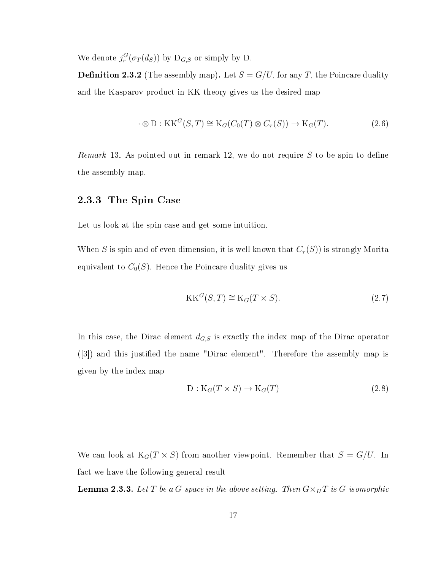We denote  $j_r^G(\sigma_T(d_S))$  by  $D_{G,S}$  or simply by D.

**Definition 2.3.2** (The assembly map). Let  $S = G/U$ , for any T, the Poincare duality and the Kasparov product in KK-theory gives us the desired map

$$
\cdot \otimes D : KK^G(S, T) \cong K_G(C_0(T) \otimes C_\tau(S)) \to K_G(T). \tag{2.6}
$$

Remark 13. As pointed out in remark 12, we do not require  $S$  to be spin to define the assembly map.

#### 2.3.3 The Spin Case

Let us look at the spin case and get some intuition.

When S is spin and of even dimension, it is well known that  $C_{\tau}(S)$ ) is strongly Morita equivalent to  $C_0(S)$ . Hence the Poincare duality gives us

$$
KK^G(S, T) \cong K_G(T \times S). \tag{2.7}
$$

In this case, the Dirac element  $d_{G,S}$  is exactly the index map of the Dirac operator  $(3)$  and this justified the name "Dirac element". Therefore the assembly map is given by the index map

$$
D: K_G(T \times S) \to K_G(T) \tag{2.8}
$$

We can look at  $K_G(T \times S)$  from another viewpoint. Remember that  $S = G/U$ . In fact we have the following general result

**Lemma 2.3.3.** Let T be a G-space in the above setting. Then  $G \times_H T$  is G-isomorphic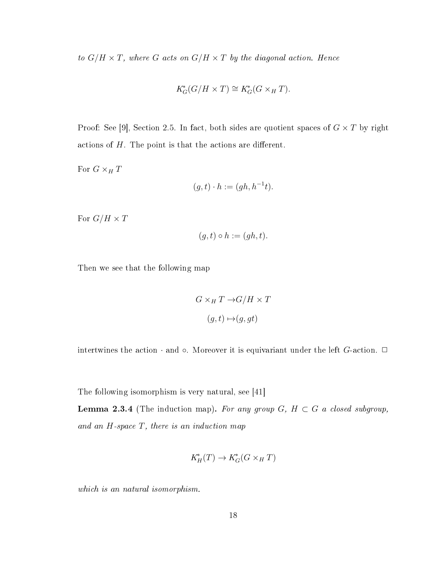to  $G/H \times T$ , where G acts on  $G/H \times T$  by the diagonal action. Hence

$$
K_G^*(G/H \times T) \cong K_G^*(G \times_H T).
$$

Proof: See [9], Section 2.5. In fact, both sides are quotient spaces of  $G \times T$  by right actions of  $H$ . The point is that the actions are different.

For  $G\times_H T$ 

$$
(g,t)\cdot h := (gh, h^{-1}t).
$$

For  $G/H \times T$ 

$$
(g,t)\circ h:=(gh,t).
$$

Then we see that the following map

$$
G \times_H T \to G/H \times T
$$

$$
(g, t) \mapsto (g, gt)
$$

intertwines the action  $\cdot$  and  $\circ$ . Moreover it is equivariant under the left G-action.  $\Box$ 

The following isomorphism is very natural, see [41]

**Lemma 2.3.4** (The induction map). For any group  $G$ ,  $H \subset G$  a closed subgroup, and an  $H$ -space  $T$ , there is an induction map

$$
K_H^*(T) \to K_G^*(G \times_H T)
$$

which is an natural isomorphism.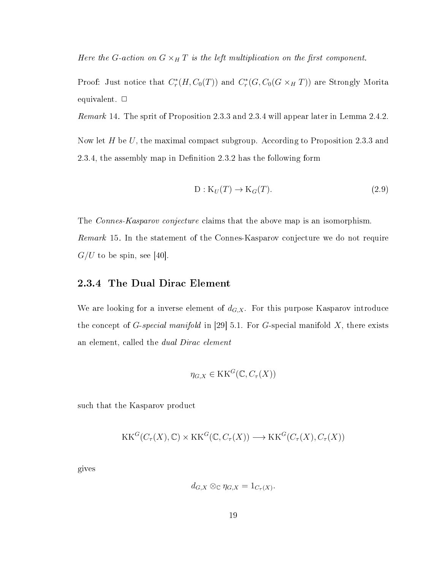Here the G-action on  $G \times_H T$  is the left multiplication on the first component.

Proof: Just notice that  $C_r^*(H, C_0(T))$  and  $C_r^*(G, C_0(G \times_H T))$  are Strongly Morita equivalent.  $\Box$ 

Remark 14. The sprit of Proposition 2.3.3 and 2.3.4 will appear later in Lemma 2.4.2.

Now let  $H$  be  $U$ , the maximal compact subgroup. According to Proposition 2.3.3 and 2.3.4, the assembly map in Definition  $2.3.2$  has the following form

$$
D: K_U(T) \to K_G(T). \tag{2.9}
$$

The *Connes-Kasparov conjecture* claims that the above map is an isomorphism. Remark 15. In the statement of the Connes-Kasparov conjecture we do not require  $G/U$  to be spin, see [40].

#### 2.3.4 The Dual Dirac Element

We are looking for a inverse element of  $d_{G,X}$ . For this purpose Kasparov introduce the concept of G-special manifold in [29] 5.1. For G-special manifold  $X$ , there exists an element, called the dual Dirac element

$$
\eta_{G,X} \in \mathrm{KK}^G(\mathbb{C}, C_\tau(X))
$$

such that the Kasparov product

$$
KK^G(C_{\tau}(X), \mathbb{C}) \times KK^G(\mathbb{C}, C_{\tau}(X)) \longrightarrow KK^G(C_{\tau}(X), C_{\tau}(X))
$$

gives

$$
d_{G,X} \otimes_{\mathbb{C}} \eta_{G,X} = 1_{C_{\tau}(X)}.
$$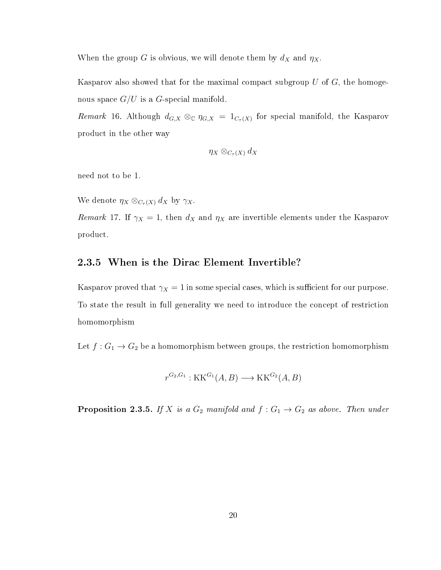When the group G is obvious, we will denote them by  $d_X$  and  $\eta_X$ .

Kasparov also showed that for the maximal compact subgroup  $U$  of  $G$ , the homogenous space  $G/U$  is a G-special manifold.

Remark 16. Although  $d_{G,X} \otimes_{\mathbb{C}} \eta_{G,X} = 1_{C_{\tau}(X)}$  for special manifold, the Kasparov product in the other way

$$
\eta_X\otimes_{C_\tau(X)}d_X
$$

need not to be 1.

We denote  $\eta_X \otimes_{C_{\tau}(X)} d_X$  by  $\gamma_X$ .

Remark 17. If  $\gamma_X = 1$ , then  $d_X$  and  $\eta_X$  are invertible elements under the Kasparov product.

#### 2.3.5 When is the Dirac Element Invertible?

Kasparov proved that  $\gamma_X = 1$  in some special cases, which is sufficient for our purpose. To state the result in full generality we need to introduce the concept of restriction homomorphism

Let  $f: G_1 \to G_2$  be a homomorphism between groups, the restriction homomorphism

$$
r^{G_2, G_1}: \text{KK}^{G_1}(A, B) \longrightarrow \text{KK}^{G_2}(A, B)
$$

**Proposition 2.3.5.** If X is a  $G_2$  manifold and  $f: G_1 \rightarrow G_2$  as above. Then under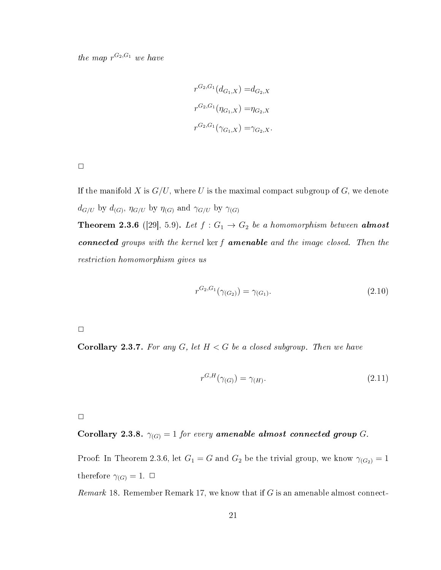the map  $r^{G_2,G_1}$  we have

$$
r^{G_2, G_1}(d_{G_1, X}) = d_{G_2, X}
$$

$$
r^{G_2, G_1}(\eta_{G_1, X}) = \eta_{G_2, X}
$$

$$
r^{G_2, G_1}(\gamma_{G_1, X}) = \gamma_{G_2, X}.
$$

If the manifold X is  $G/U$ , where U is the maximal compact subgroup of G, we denote  $d_{G/U}$  by  $d_{(G)}$ ,  $\eta_{G/U}$  by  $\eta_{(G)}$  and  $\gamma_{G/U}$  by  $\gamma_{(G)}$ 

**Theorem 2.3.6** ([29], 5.9). Let  $f: G_1 \rightarrow G_2$  be a homomorphism between **almost** connected groups with the kernel ker f amenable and the image closed. Then the restriction homomorphism gives us

$$
r^{G_2, G_1}(\gamma_{(G_2)}) = \gamma_{(G_1)}.\tag{2.10}
$$

 $\Box$ 

**Corollary 2.3.7.** For any  $G$ , let  $H < G$  be a closed subgroup. Then we have

$$
r^{G,H}(\gamma_{(G)}) = \gamma_{(H)}.\tag{2.11}
$$

 $\Box$ 

Corollary 2.3.8. 
$$
\gamma_{(G)} = 1
$$
 for every amenable almost connected group  $G$ .

Proof: In Theorem 2.3.6, let  $G_1 = G$  and  $G_2$  be the trivial group, we know  $\gamma_{(G_2)} = 1$ therefore  $\gamma_{(G)} = 1$ .  $\Box$ 

Remark 18. Remember Remark 17, we know that if  $G$  is an amenable almost connect-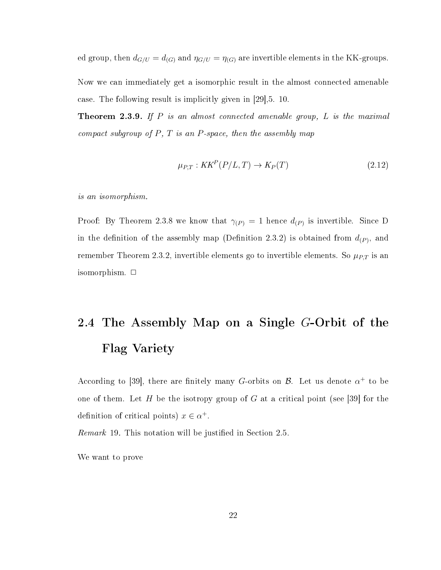ed group, then  $d_{G/U} = d_{(G)}$  and  $\eta_{G/U} = \eta_{(G)}$  are invertible elements in the KK-groups.

Now we can immediately get a isomorphic result in the almost connected amenable case. The following result is implicitly given in [29],5. 10.

**Theorem 2.3.9.** If  $P$  is an almost connected amenable group,  $L$  is the maximal compact subgroup of  $P$ ,  $T$  is an  $P$ -space, then the assembly map

$$
\mu_{P,T}: KK^P(P/L, T) \to K_P(T) \tag{2.12}
$$

is an isomorphism.

Proof: By Theorem 2.3.8 we know that  $\gamma_{(P)} = 1$  hence  $d_{(P)}$  is invertible. Since D in the definition of the assembly map (Definition 2.3.2) is obtained from  $d_{(P)}$ , and remember Theorem 2.3.2, invertible elements go to invertible elements. So  $\mu_{P,T}$  is an isomorphism.  $\Box$ 

# 2.4 The Assembly Map on a Single G-Orbit of the Flag Variety

According to [39], there are finitely many G-orbits on  $\mathcal{B}$ . Let us denote  $\alpha^+$  to be one of them. Let H be the isotropy group of G at a critical point (see [39] for the definition of critical points)  $x \in \alpha^+$ .

Remark 19. This notation will be justified in Section 2.5.

We want to prove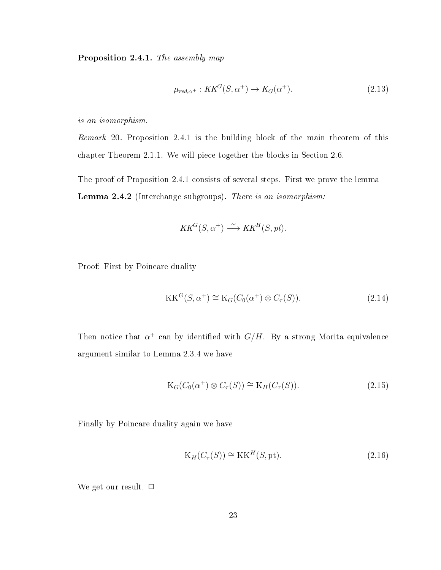Proposition 2.4.1. The assembly map

$$
\mu_{red,\alpha^+}: KK^G(S, \alpha^+) \to K_G(\alpha^+). \tag{2.13}
$$

is an isomorphism.

Remark 20. Proposition 2.4.1 is the building block of the main theorem of this chapter-Theorem 2.1.1. We will piece together the blocks in Section 2.6.

The proof of Proposition 2.4.1 consists of several steps. First we prove the lemma Lemma 2.4.2 (Interchange subgroups). There is an isomorphism:

$$
KK^G(S, \alpha^+) \xrightarrow{\sim} KK^H(S, pt).
$$

Proof: First by Poincare duality

$$
KK^G(S, \alpha^+) \cong K_G(C_0(\alpha^+) \otimes C_\tau(S)).
$$
\n(2.14)

Then notice that  $\alpha^+$  can by identified with  $G/H$ . By a strong Morita equivalence argument similar to Lemma 2.3.4 we have

$$
K_G(C_0(\alpha^+) \otimes C_\tau(S)) \cong K_H(C_\tau(S)).\tag{2.15}
$$

Finally by Poincare duality again we have

$$
K_H(C_\tau(S)) \cong KK^H(S, pt). \tag{2.16}
$$

We get our result.  $\Box$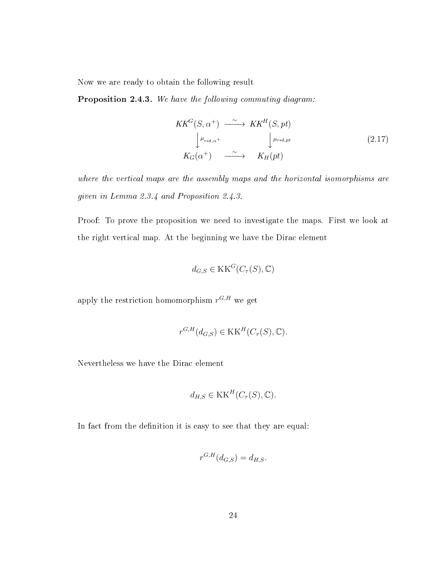Now we are ready to obtain the following result

Proposition 2.4.3. We have the following commuting diagram:

$$
KK^G(S, \alpha^+) \xrightarrow{\sim} KK^H(S, pt)
$$
  
\n
$$
\downarrow^{\mu_{red, \alpha^+}} \qquad \qquad \downarrow^{\mu_{red, pt}}
$$
  
\n
$$
K_G(\alpha^+) \xrightarrow{\sim} K_H(pt)
$$
\n(2.17)

where the vertical maps are the assembly maps and the horizontal isomorphisms are given in Lemma 2.3.4 and Proposition 2.4.3.

Proof: To prove the proposition we need to investigate the maps. First we look at the right vertical map. At the beginning we have the Dirac element

$$
d_{G,S} \in \text{KK}^G(C_\tau(S), \mathbb{C})
$$

apply the restriction homomorphism  $r^{G,H}$  we get

$$
r^{G,H}(d_{G,S}) \in \text{KK}^H(C_\tau(S), \mathbb{C}).
$$

Nevertheless we have the Dirac element

$$
d_{H,S} \in \text{KK}^H(C_\tau(S), \mathbb{C}).
$$

In fact from the definition it is easy to see that they are equal:

$$
r^{G,H}(d_{G,S}) = d_{H,S}.
$$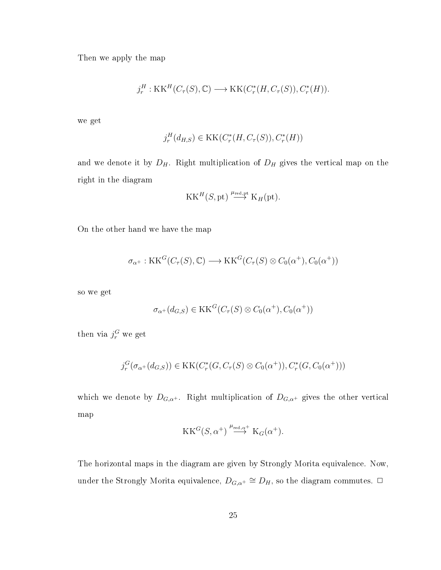Then we apply the map

$$
j_r^H: \text{KK}^H(C_\tau(S), \mathbb{C}) \longrightarrow \text{KK}(C_r^*(H, C_\tau(S)), C_r^*(H)).
$$

we get

$$
j_r^H(d_{H,S}) \in \text{KK}(C_r^*(H, C_\tau(S)), C_r^*(H))
$$

and we denote it by  $D_H$ . Right multiplication of  $D_H$  gives the vertical map on the right in the diagram

$$
KK^H(S, pt) \stackrel{\mu_{\text{red}, pt}}{\longrightarrow} K_H(pt).
$$

On the other hand we have the map

$$
\sigma_{\alpha^+} : \mathrm{KK}^G(C_\tau(S), \mathbb{C}) \longrightarrow \mathrm{KK}^G(C_\tau(S) \otimes C_0(\alpha^+), C_0(\alpha^+))
$$

so we get

$$
\sigma_{\alpha^+}(d_{G,S}) \in \mathcal{KK}^G(C_\tau(S) \otimes C_0(\alpha^+), C_0(\alpha^+))
$$

then via  $j_r^G$  we get

$$
j_r^G(\sigma_{\alpha^+}(d_{G,S})) \in \text{KK}(C_r^*(G, C_\tau(S) \otimes C_0(\alpha^+)), C_r^*(G, C_0(\alpha^+)))
$$

which we denote by  $D_{G,\alpha^+}$ . Right multiplication of  $D_{G,\alpha^+}$  gives the other vertical map

$$
KK^G(S, \alpha^+) \stackrel{\mu_{\text{red}, \alpha^+}}{\longrightarrow} K_G(\alpha^+).
$$

The horizontal maps in the diagram are given by Strongly Morita equivalence. Now, under the Strongly Morita equivalence,  $D_{G,\alpha^+}\cong D_H,$  so the diagram commutes.  $\Box$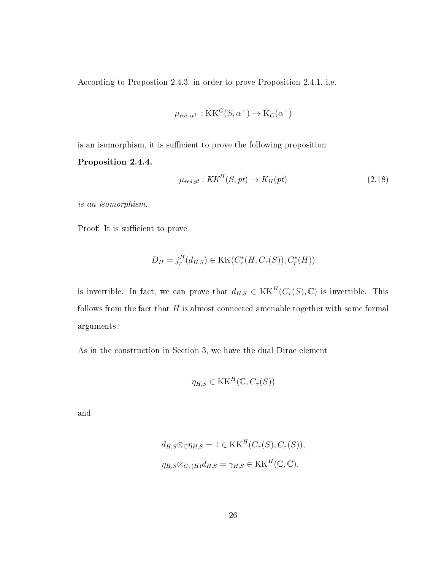According to Propostion 2.4.3, in order to prove Proposition 2.4.1, i.e.

$$
\mu_{\text{red},\alpha^+} : \mathbf{KK}^G(S, \alpha^+) \to \mathbf{K}_G(\alpha^+)
$$

is an isomorphism, it is sufficient to prove the following proposition

#### Proposition 2.4.4.

$$
\mu_{\text{red},pt} : KK^H(S,pt) \to K_H(pt) \tag{2.18}
$$

is an isomorphism.

Proof: It is sufficient to prove

$$
D_H = j_r^H(d_{H,S}) \in \text{KK}(C_r^*(H, C_\tau(S)), C_r^*(H))
$$

is invertible. In fact, we can prove that  $d_{H,S} \in KK^H(C_{\tau}(S), \mathbb{C})$  is invertible. This follows from the fact that  $H$  is almost connected amenable together with some formal arguments.

As in the construction in Section 3, we have the dual Dirac element

$$
\eta_{H,S} \in \mathrm{KK}^H(\mathbb{C}, C_{\tau}(S))
$$

and

$$
d_{H,S} \otimes_{\mathbb{C}} \eta_{H,S} = 1 \in \text{KK}^H(C_\tau(S), C_\tau(S)),
$$
  

$$
\eta_{H,S} \otimes_{C_\tau(H)} d_{H,S} = \gamma_{H,S} \in \text{KK}^H(\mathbb{C}, \mathbb{C}).
$$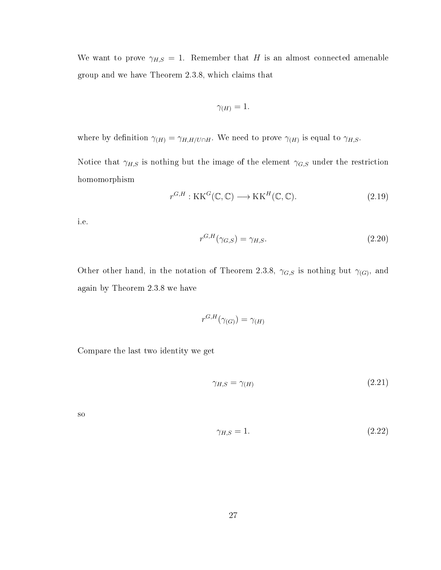We want to prove  $\gamma_{H,S} = 1$ . Remember that H is an almost connected amenable group and we have Theorem 2.3.8, which claims that

$$
\gamma_{(H)}=1.
$$

where by definition  $\gamma_{(H)} = \gamma_{H,H/U \cap H}$ . We need to prove  $\gamma_{(H)}$  is equal to  $\gamma_{H,S}$ .

Notice that  $\gamma_{H,S}$  is nothing but the image of the element  $\gamma_{G,S}$  under the restriction homomorphism

$$
r^{G,H}: \mathbf{KK}^G(\mathbb{C}, \mathbb{C}) \longrightarrow \mathbf{KK}^H(\mathbb{C}, \mathbb{C}).
$$
\n(2.19)

i.e.

$$
r^{G,H}(\gamma_{G,S}) = \gamma_{H,S}.\tag{2.20}
$$

Other other hand, in the notation of Theorem 2.3.8,  $\gamma_{G,S}$  is nothing but  $\gamma_{(G)}$ , and again by Theorem 2.3.8 we have

$$
r^{G,H}(\gamma_{(G)}) = \gamma_{(H)}
$$

Compare the last two identity we get

$$
\gamma_{H,S} = \gamma_{(H)} \tag{2.21}
$$

so

$$
\gamma_{H,S} = 1.\tag{2.22}
$$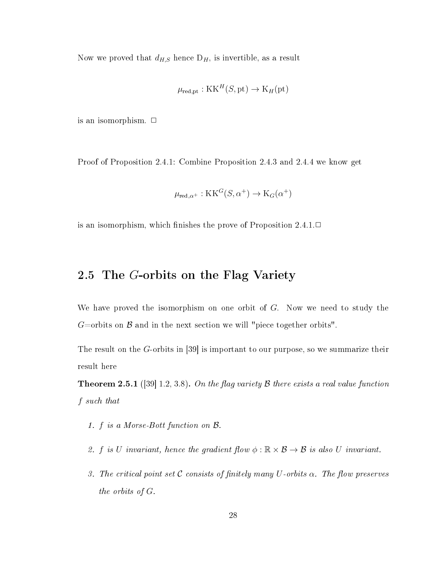Now we proved that  $d_{H,S}$  hence  $D_H$ , is invertible, as a result

$$
\mu_{\text{red},\text{pt}} : \text{KK}^H(S, \text{pt}) \to \text{K}_H(\text{pt})
$$

is an isomorphism.  $\Box$ 

Proof of Proposition 2.4.1: Combine Proposition 2.4.3 and 2.4.4 we know get

$$
\mu_{\text{red},\alpha^+} : \mathbf{KK}^G(S, \alpha^+) \to \mathbf{K}_G(\alpha^+)
$$

is an isomorphism, which finishes the prove of Proposition  $2.4.1. \Box$ 

### 2.5 The G-orbits on the Flag Variety

We have proved the isomorphism on one orbit of  $G$ . Now we need to study the  $G=$ orbits on  $\beta$  and in the next section we will "piece together orbits".

The result on the G-orbits in [39] is important to our purpose, so we summarize their result here

**Theorem 2.5.1** ([39] 1.2, 3.8). On the flag variety  $\beta$  there exists a real value function f such that

- 1. f is a Morse-Bott function on B.
- 2. f is U invariant, hence the gradient flow  $\phi : \mathbb{R} \times \mathcal{B} \to \mathcal{B}$  is also U invariant.
- 3. The critical point set C consists of finitely many U-orbits  $\alpha$ . The flow preserves the orbits of G.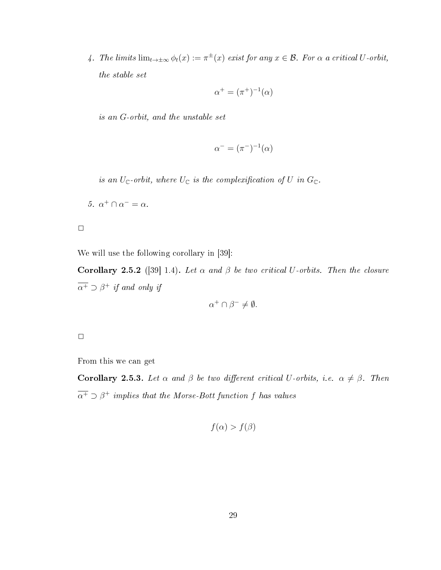4. The limits  $\lim_{t\to\pm\infty}\phi_t(x):=\pi^{\pm}(x)$  exist for any  $x\in\mathcal{B}$ . For  $\alpha$  a critical U-orbit, the stable set

$$
\alpha^+ = (\pi^+)^{-1}(\alpha)
$$

is an G-orbit, and the unstable set

$$
\alpha^- = (\pi^-)^{-1}(\alpha)
$$

is an  $U_{\mathbb{C}}$ -orbit, where  $U_{\mathbb{C}}$  is the complexification of U in  $G_{\mathbb{C}}$ .

5.  $\alpha^+ \cap \alpha^- = \alpha$ .

 $\Box$ 

We will use the following corollary in [39]:

Corollary 2.5.2 ([39] 1.4). Let  $\alpha$  and  $\beta$  be two critical U-orbits. Then the closure  $\overline{\alpha^+} \supset \beta^+$  if and only if

$$
\alpha^+ \cap \beta^- \neq \emptyset.
$$

 $\Box$ 

From this we can get

Corollary 2.5.3. Let  $\alpha$  and  $\beta$  be two different critical U-orbits, i.e.  $\alpha \neq \beta$ . Then  $\overline{\alpha^+} \supset \beta^+$  implies that the Morse-Bott function f has values

$$
f(\alpha) > f(\beta)
$$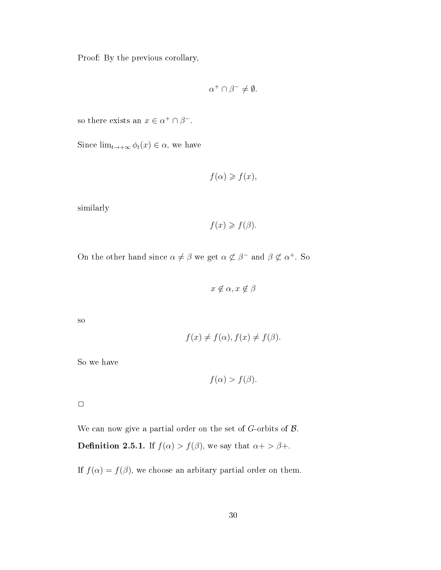Proof: By the previous corollary,

$$
\alpha^+ \cap \beta^- \neq \emptyset.
$$

so there exists an  $x \in \alpha^+ \cap \beta^-$ .

Since  $\lim_{t\to+\infty}\phi_t(x)\in\alpha$ , we have

$$
f(\alpha) \geqslant f(x),
$$

similarly

$$
f(x) \geqslant f(\beta).
$$

On the other hand since  $\alpha \neq \beta$  we get  $\alpha \not\subset \beta^-$  and  $\beta \not\subset \alpha^+$ . So

 $x \notin \alpha, x \notin \beta$ 

so

$$
f(x) \neq f(\alpha), f(x) \neq f(\beta).
$$

So we have

$$
f(\alpha) > f(\beta).
$$

 $\Box$ 

We can now give a partial order on the set of  $G$ -orbits of  $\mathcal{B}$ . **Definition 2.5.1.** If  $f(\alpha) > f(\beta)$ , we say that  $\alpha + > \beta +$ .

If  $f(\alpha) = f(\beta)$ , we choose an arbitary partial order on them.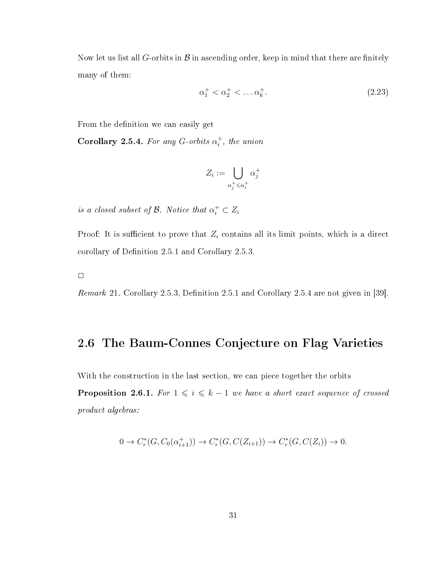Now let us list all G-orbits in  $\mathcal B$  in ascending order, keep in mind that there are finitely many of them:

$$
\alpha_1^+ < \alpha_2^+ < \dots \alpha_k^+.\tag{2.23}
$$

From the definition we can easily get

Corollary 2.5.4. For any G-orbits  $\alpha_i^+$  $i<sub>i</sub>$ , the union

$$
Z_i := \bigcup_{\alpha_j^+ \leqslant \alpha_i^+} \alpha_j^+
$$

is a closed subset of  $\mathcal{B}$ . Notice that  $\alpha_i^+ \subset Z_i$ 

Proof: It is sufficient to prove that  $Z_i$  contains all its limit points, which is a direct corollary of Definition 2.5.1 and Corollary 2.5.3.

 $\Box$ 

*Remark* 21. Corollary 2.5.3, Definition 2.5.1 and Corollary 2.5.4 are not given in [39].

### 2.6 The Baum-Connes Conjecture on Flag Varieties

With the construction in the last section, we can piece together the orbits

**Proposition 2.6.1.** For  $1 \leq i \leq k - 1$  we have a short exact sequence of crossed product algebras:

$$
0 \to C_r^*(G, C_0(\alpha_{i+1}^+)) \to C_r^*(G, C(Z_{i+1})) \to C_r^*(G, C(Z_i)) \to 0.
$$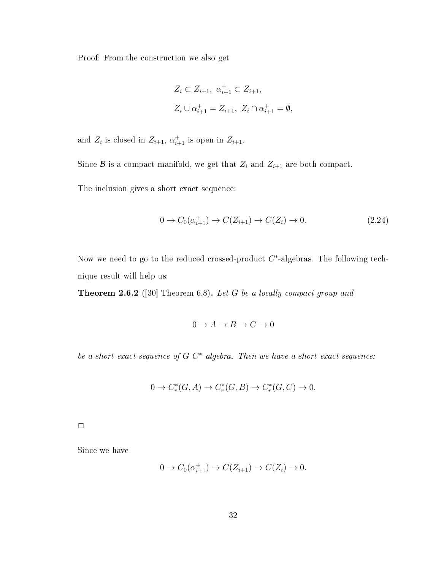Proof: From the construction we also get

$$
Z_i \subset Z_{i+1}, \ \alpha_{i+1}^+ \subset Z_{i+1},
$$
  

$$
Z_i \cup \alpha_{i+1}^+ = Z_{i+1}, \ Z_i \cap \alpha_{i+1}^+ = \emptyset,
$$

and  $Z_i$  is closed in  $Z_{i+1}$ ,  $\alpha_{i+1}^+$  is open in  $Z_{i+1}$ .

Since  $\mathcal B$  is a compact manifold, we get that  $Z_i$  and  $Z_{i+1}$  are both compact.

The inclusion gives a short exact sequence:

$$
0 \to C_0(\alpha_{i+1}^+) \to C(Z_{i+1}) \to C(Z_i) \to 0. \tag{2.24}
$$

Now we need to go to the reduced crossed-product  $C^*$ -algebras. The following technique result will help us:

Theorem 2.6.2 ([30] Theorem 6.8). Let G be a locally compact group and

$$
0 \to A \to B \to C \to 0
$$

be a short exact sequence of  $G-C^*$  algebra. Then we have a short exact sequence:

$$
0 \to C_r^*(G, A) \to C_r^*(G, B) \to C_r^*(G, C) \to 0.
$$

 $\Box$ 

Since we have

$$
0 \to C_0(\alpha_{i+1}^+) \to C(Z_{i+1}) \to C(Z_i) \to 0.
$$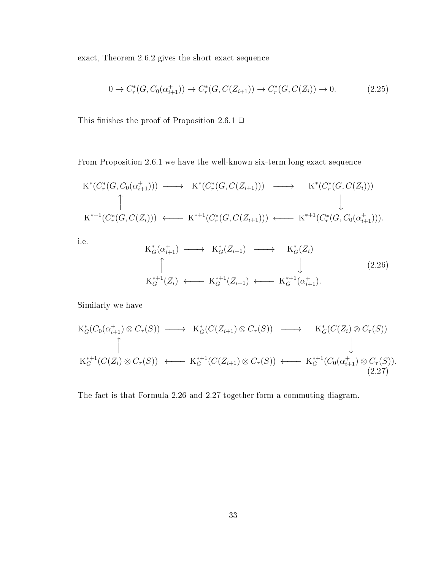exact, Theorem 2.6.2 gives the short exact sequence

$$
0 \to C_r^*(G, C_0(\alpha_{i+1}^+)) \to C_r^*(G, C(Z_{i+1})) \to C_r^*(G, C(Z_i)) \to 0.
$$
 (2.25)

This finishes the proof of Proposition 2.6.1  $\Box$ 

From Proposition 2.6.1 we have the well-known six-term long exact sequence

$$
K^*(C_r^*(G, C_0(\alpha_{i+1}^+))) \longrightarrow K^*(C_r^*(G, C(Z_{i+1}))) \longrightarrow K^*(C_r^*(G, C(Z_i)))
$$
  
\n
$$
\uparrow \qquad \qquad \downarrow
$$
  
\n
$$
K^{*+1}(C_r^*(G, C(Z_i))) \longleftarrow K^{*+1}(C_r^*(G, C(Z_{i+1}))) \longleftarrow K^{*+1}(C_r^*(G, C_0(\alpha_{i+1}^+))).
$$

i.e.

$$
K_G^*(\alpha_{i+1}^+) \longrightarrow K_G^*(Z_{i+1}) \longrightarrow K_G^*(Z_i)
$$
\n
$$
\uparrow \qquad \qquad \downarrow \qquad (2.26)
$$
\n
$$
K_G^{*+1}(Z_i) \longleftarrow K_G^{*+1}(Z_{i+1}) \longleftarrow K_G^{*+1}(\alpha_{i+1}^+).
$$

Similarly we have

$$
K_G^*(C_0(\alpha_{i+1}^+) \otimes C_\tau(S)) \longrightarrow K_G^*(C(Z_{i+1}) \otimes C_\tau(S)) \longrightarrow K_G^*(C(Z_i) \otimes C_\tau(S))
$$
  
\n
$$
\uparrow \qquad \qquad \downarrow
$$
  
\n
$$
K_G^{*+1}(C(Z_i) \otimes C_\tau(S)) \longleftarrow K_G^{*+1}(C(Z_{i+1}) \otimes C_\tau(S)) \longleftarrow K_G^{*+1}(C_0(\alpha_{i+1}^+) \otimes C_\tau(S)).
$$
  
\n(2.27)

The fact is that Formula 2.26 and 2.27 together form a commuting diagram.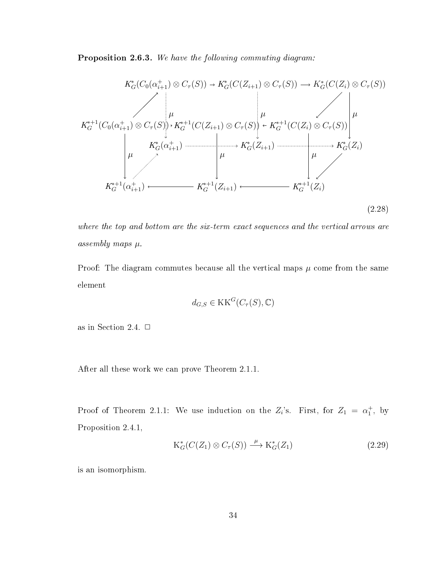Proposition 2.6.3. We have the following commuting diagram:



where the top and bottom are the six-term exact sequences and the vertical arrows are assembly maps µ.

Proof: The diagram commutes because all the vertical maps  $\mu$  come from the same element

$$
d_{G,S} \in \mathrm{KK}^G(C_\tau(S), \mathbb{C})
$$

as in Section 2.4.  $\Box$ 

After all these work we can prove Theorem 2.1.1.

Proof of Theorem 2.1.1: We use induction on the  $Z_i$ 's. First, for  $Z_1 = \alpha_1^+$ , by Proposition 2.4.1,

$$
K_G^*(C(Z_1) \otimes C_\tau(S)) \xrightarrow{\mu} K_G^*(Z_1)
$$
\n(2.29)

is an isomorphism.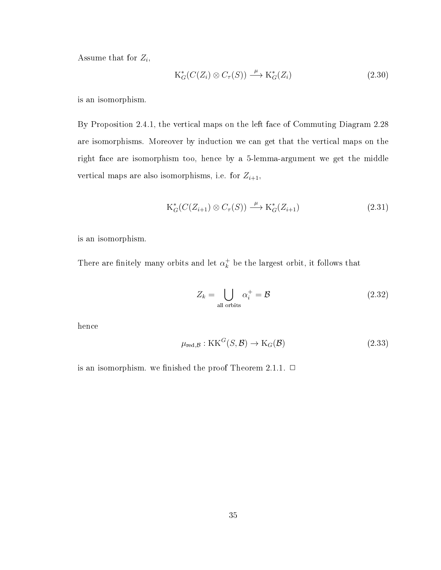Assume that for  $Z_i$ ,

$$
K_G^*(C(Z_i) \otimes C_\tau(S)) \xrightarrow{\mu} K_G^*(Z_i)
$$
\n(2.30)

is an isomorphism.

By Proposition 2.4.1, the vertical maps on the left face of Commuting Diagram 2.28 are isomorphisms. Moreover by induction we can get that the vertical maps on the right face are isomorphism too, hence by a 5-lemma-argument we get the middle vertical maps are also isomorphisms, i.e. for  $Z_{i+1}$ ,

$$
K_G^*(C(Z_{i+1}) \otimes C_\tau(S)) \xrightarrow{\mu} K_G^*(Z_{i+1})
$$
\n
$$
(2.31)
$$

is an isomorphism.

There are finitely many orbits and let  $\alpha_k^+$  $\frac{1}{k}$  be the largest orbit, it follows that

$$
Z_k = \bigcup_{\text{all orbits}} \alpha_i^+ = \mathcal{B} \tag{2.32}
$$

hence

$$
\mu_{\text{red},\mathcal{B}} : \text{KK}^G(S,\mathcal{B}) \to \text{K}_G(\mathcal{B}) \tag{2.33}
$$

is an isomorphism. we finished the proof Theorem 2.1.1.  $\Box$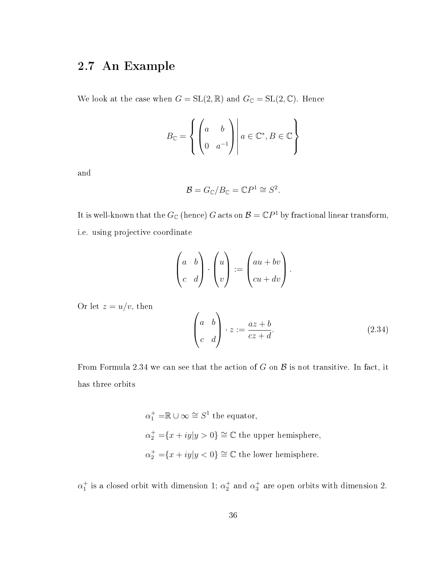#### 2.7 An Example

We look at the case when  $G = SL(2, \mathbb{R})$  and  $G_{\mathbb{C}} = SL(2, \mathbb{C})$ . Hence

$$
B_{\mathbb{C}} = \left\{ \begin{pmatrix} a & b \\ 0 & a^{-1} \end{pmatrix} \middle| a \in \mathbb{C}^*, B \in \mathbb{C} \right\}
$$

and

$$
\mathcal{B}=G_{\mathbb{C}}/B_{\mathbb{C}}=\mathbb{C}P^1\cong S^2.
$$

It is well-known that the  $G_{\mathbb{C}}$  (hence)  $G$  acts on  $\mathcal{B} = {\mathbb{C}} P^1$  by fractional linear transform, i.e. using projective coordinate

$$
\begin{pmatrix} a & b \\ c & d \end{pmatrix} \cdot \begin{pmatrix} u \\ v \end{pmatrix} := \begin{pmatrix} au + bv \\ cu + dv \end{pmatrix}.
$$

Or let  $z = u/v$ , then

$$
\begin{pmatrix} a & b \ c & d \end{pmatrix} \cdot z := \frac{az+b}{cz+d}.
$$
 (2.34)

From Formula 2.34 we can see that the action of G on  $\beta$  is not transitive. In fact, it has three orbits

> $\alpha_1^+ = \mathbb{R} \cup \infty \cong S^1$  the equator,  $\alpha_2^+ = \{x + iy | y > 0\} \cong \mathbb{C}$  the upper hemisphere,  $\alpha_2^+ = \{x + iy | y < 0\} \cong \mathbb{C}$  the lower hemisphere.

 $\alpha_1^+$  is a closed orbit with dimension 1;  $\alpha_2^+$  and  $\alpha_3^+$  are open orbits with dimension 2.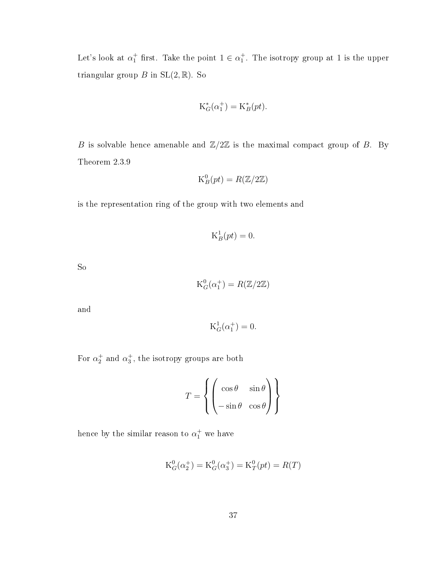Let's look at  $\alpha_1^+$  first. Take the point  $1 \in \alpha_1^+$ . The isotropy group at 1 is the upper triangular group  $B$  in  $SL(2,\mathbb{R})$ . So

$$
\mathcal{K}_G^*(\alpha_1^+) = \mathcal{K}_B^*(pt).
$$

B is solvable hence amenable and  $\mathbb{Z}/2\mathbb{Z}$  is the maximal compact group of B. By Theorem 2.3.9

$$
\mathrm{K}_B^0(pt) = R(\mathbb{Z}/2\mathbb{Z})
$$

is the representation ring of the group with two elements and

$$
\mathcal{K}_B^1(pt) = 0.
$$

So

$$
\mathrm{K}^0_G(\alpha_1^+) = R(\mathbb{Z}/2\mathbb{Z})
$$

and

$$
\mathrm{K}_G^1(\alpha_1^+) = 0.
$$

For  $\alpha_2^+$  and  $\alpha_3^+$ , the isotropy groups are both

$$
T = \left\{ \begin{pmatrix} \cos \theta & \sin \theta \\ -\sin \theta & \cos \theta \end{pmatrix} \right\}
$$

hence by the similar reason to  $\alpha_1^+$  we have

$$
K_G^0(\alpha_2^+) = K_G^0(\alpha_3^+) = K_T^0(pt) = R(T)
$$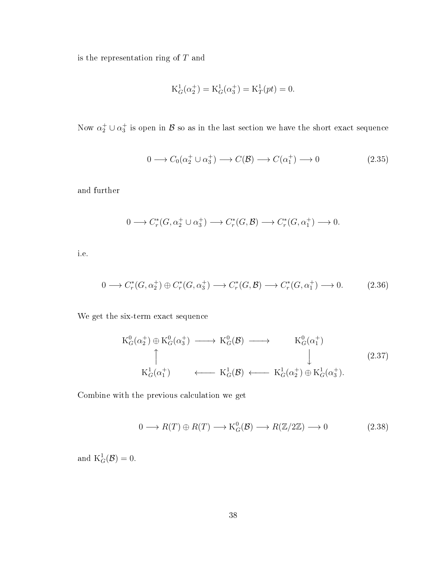is the representation ring of  $T$  and

$$
K_G^1(\alpha_2^+) = K_G^1(\alpha_3^+) = K_T^1(pt) = 0.
$$

Now  $\alpha_2^+ \cup \alpha_3^+$  is open in  ${\cal B}$  so as in the last section we have the short exact sequence

$$
0 \longrightarrow C_0(\alpha_2^+ \cup \alpha_3^+) \longrightarrow C(\mathcal{B}) \longrightarrow C(\alpha_1^+) \longrightarrow 0 \tag{2.35}
$$

and further

$$
0 \longrightarrow C_r^*(G, \alpha_2^+ \cup \alpha_3^+) \longrightarrow C_r^*(G, \mathcal{B}) \longrightarrow C_r^*(G, \alpha_1^+) \longrightarrow 0.
$$

i.e.

$$
0 \longrightarrow C_r^*(G, \alpha_2^+) \oplus C_r^*(G, \alpha_3^+) \longrightarrow C_r^*(G, \mathcal{B}) \longrightarrow C_r^*(G, \alpha_1^+) \longrightarrow 0. \tag{2.36}
$$

We get the six-term exact sequence

$$
K_G^0(\alpha_2^+) \oplus K_G^0(\alpha_3^+) \longrightarrow K_G^0(\mathcal{B}) \longrightarrow K_G^0(\alpha_1^+) \uparrow \qquad \qquad \downarrow
$$
\n
$$
K_G^1(\alpha_1^+) \longleftrightarrow K_G^1(\mathcal{B}) \longleftarrow K_G^1(\alpha_2^+) \oplus K_G^1(\alpha_3^+).
$$
\n(2.37)

Combine with the previous calculation we get

$$
0 \longrightarrow R(T) \oplus R(T) \longrightarrow K_G^0(\mathcal{B}) \longrightarrow R(\mathbb{Z}/2\mathbb{Z}) \longrightarrow 0 \tag{2.38}
$$

and  $K_G^1(\mathcal{B})=0$ .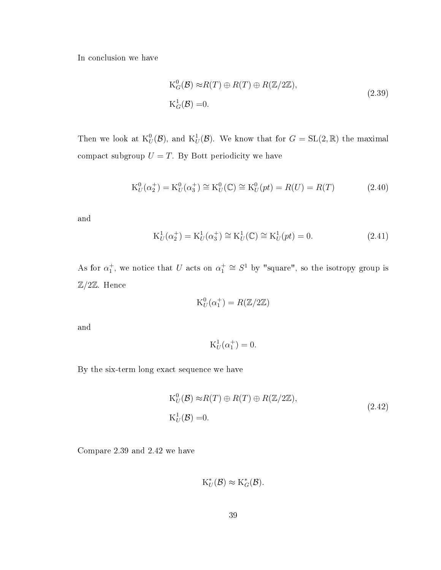In conclusion we have

$$
K_G^0(\mathcal{B}) \approx R(T) \oplus R(T) \oplus R(\mathbb{Z}/2\mathbb{Z}),
$$
  
\n
$$
K_G^1(\mathcal{B}) = 0.
$$
\n(2.39)

Then we look at  $\mathrm{K}_U^0(\mathcal{B})$ , and  $\mathrm{K}_U^1(\mathcal{B})$ . We know that for  $G = \mathrm{SL}(2,\mathbb{R})$  the maximal compact subgroup  $U = T$ . By Bott periodicity we have

$$
K_U^0(\alpha_2^+) = K_U^0(\alpha_3^+) \cong K_U^0(\mathbb{C}) \cong K_U^0(pt) = R(U) = R(T)
$$
\n(2.40)

and

$$
K_U^1(\alpha_2^+) = K_U^1(\alpha_3^+) \cong K_U^1(\mathbb{C}) \cong K_U^1(pt) = 0.
$$
\n(2.41)

As for  $\alpha_1^+$ , we notice that U acts on  $\alpha_1^+ \cong S^1$  by "square", so the isotropy group is  $\mathbb{Z}/2\mathbb{Z}$ . Hence

$$
K_U^0(\alpha_1^+) = R(\mathbb{Z}/2\mathbb{Z})
$$

and

$$
\mathrm{K}_U^1(\alpha_1^+) = 0.
$$

By the six-term long exact sequence we have

$$
K_U^0(\mathcal{B}) \approx R(T) \oplus R(T) \oplus R(\mathbb{Z}/2\mathbb{Z}),
$$
  
\n
$$
K_U^1(\mathcal{B}) = 0.
$$
\n(2.42)

Compare 2.39 and 2.42 we have

$$
K_U^*(\mathcal{B}) \approx K_G^*(\mathcal{B}).
$$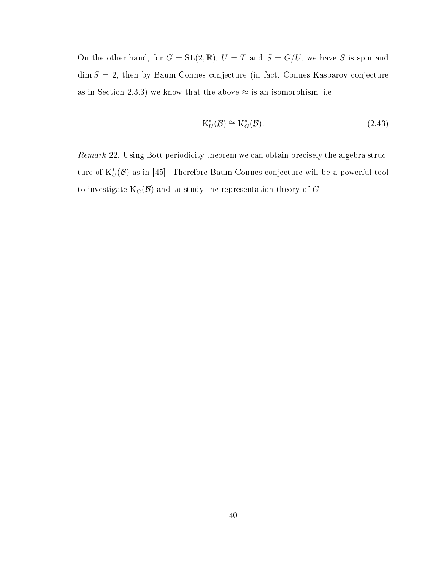On the other hand, for  $G = SL(2, \mathbb{R})$ ,  $U = T$  and  $S = G/U$ , we have S is spin and  $\dim S = 2$ , then by Baum-Connes conjecture (in fact, Connes-Kasparov conjecture as in Section 2.3.3) we know that the above  $\approx$  is an isomorphism, i.e.

$$
K_U^*(\mathcal{B}) \cong K_G^*(\mathcal{B}).\tag{2.43}
$$

Remark 22. Using Bott periodicity theorem we can obtain precisely the algebra structure of  $\mathrm{K}^*_U(\mathcal{B})$  as in [45]. Therefore Baum-Connes conjecture will be a powerful tool to investigate  $K_G(\mathcal{B})$  and to study the representation theory of G.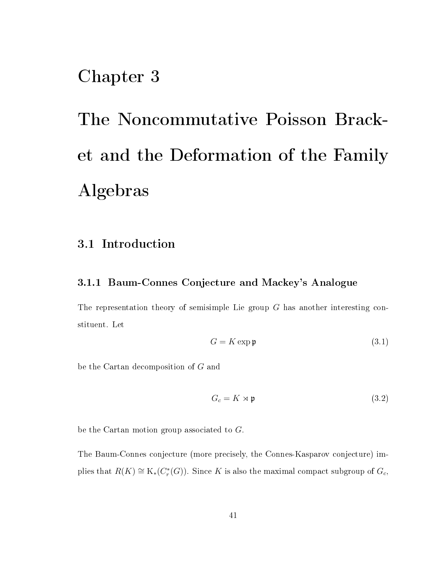## Chapter 3

# The Noncommutative Poisson Bracket and the Deformation of the Family Algebras

#### 3.1 Introduction

#### 3.1.1 Baum-Connes Conjecture and Mackey's Analogue

The representation theory of semisimple Lie group G has another interesting constituent. Let

$$
G = K \exp \mathfrak{p} \tag{3.1}
$$

be the Cartan decomposition of G and

$$
G_c = K \rtimes \mathfrak{p} \tag{3.2}
$$

be the Cartan motion group associated to G.

The Baum-Connes conjecture (more precisely, the Connes-Kasparov conjecture) implies that  $R(K) \cong K_*(C_r^*(G))$ . Since K is also the maximal compact subgroup of  $G_c$ ,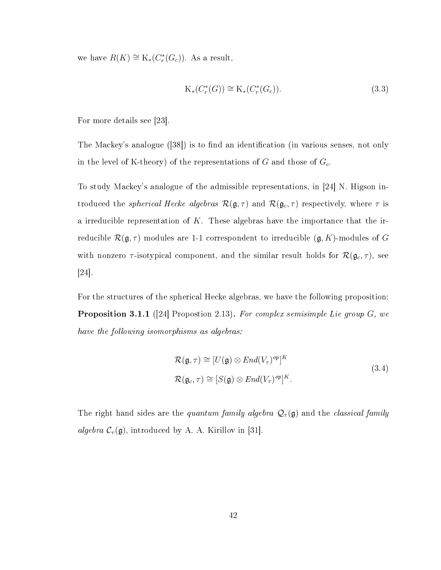we have  $R(K) \cong K_*(C_r^*(G_c))$ . As a result,

$$
K_*(C_r^*(G)) \cong K_*(C_r^*(G_c)).\tag{3.3}
$$

For more details see [23].

The Mackey's analogue  $(38)$  is to find an identification (in various senses, not only in the level of K-theory) of the representations of G and those of  $G_c$ .

To study Mackey's analogue of the admissible representations, in [24] N. Higson introduced the *spherical Hecke algebras*  $\mathcal{R}(\mathfrak{g}, \tau)$  and  $\mathcal{R}(\mathfrak{g}_c, \tau)$  respectively, where  $\tau$  is a irreducible representation of  $K$ . These algebras have the importance that the irreducible  $\mathcal{R}(\mathfrak{g},\tau)$  modules are 1-1 correspondent to irreducible  $(\mathfrak{g},K)$ -modules of G with nonzero  $\tau$ -isotypical component, and the similar result holds for  $\mathcal{R}(\mathfrak{g}_c, \tau)$ , see [24].

For the structures of the spherical Hecke algebras, we have the following proposition: **Proposition 3.1.1** ([24] Propostion 2.13). For complex semisimple Lie group  $G$ , we have the following isomorphisms as algebras:

$$
\mathcal{R}(\mathfrak{g},\tau) \cong [U(\mathfrak{g}) \otimes End(V_{\tau})^{op}]^{K}
$$
  

$$
\mathcal{R}(\mathfrak{g}_{c},\tau) \cong [S(\mathfrak{g}) \otimes End(V_{\tau})^{op}]^{K}.
$$
 (3.4)

The right hand sides are the quantum family algebra  $\mathcal{Q}_{\tau}(\mathfrak{g})$  and the classical family algebra  $C_{\tau}(\mathfrak{g})$ , introduced by A. A. Kirillov in [31].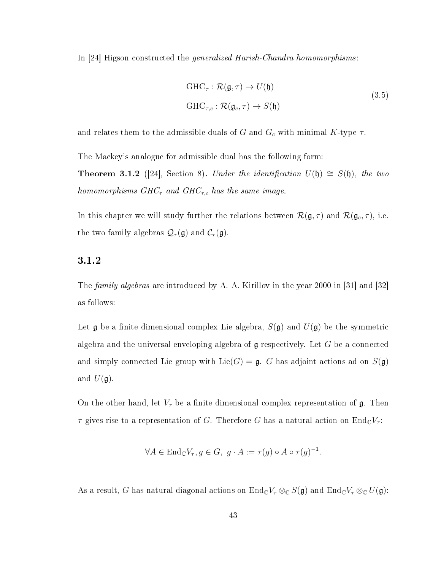In [24] Higson constructed the generalized Harish-Chandra homomorphisms:

$$
GHC_{\tau}: \mathcal{R}(\mathfrak{g}, \tau) \to U(\mathfrak{h})
$$
  
\n
$$
GHC_{\tau,c}: \mathcal{R}(\mathfrak{g}_c, \tau) \to S(\mathfrak{h})
$$
\n(3.5)

and relates them to the admissible duals of G and  $G_c$  with minimal K-type  $\tau$ .

The Mackey's analogue for admissible dual has the following form:

**Theorem 3.1.2** ([24], Section 8). Under the identification  $U(\mathfrak{h}) \cong S(\mathfrak{h})$ , the two homomorphisms  $GHC_{\tau}$  and  $GHC_{\tau,c}$  has the same image.

In this chapter we will study further the relations between  $\mathcal{R}(\mathfrak{g}, \tau)$  and  $\mathcal{R}(\mathfrak{g}_c, \tau)$ , i.e. the two family algebras  $\mathcal{Q}_{\tau}(\mathfrak{g})$  and  $\mathcal{C}_{\tau}(\mathfrak{g})$ .

#### 3.1.2

The family algebras are introduced by A. A. Kirillov in the year 2000 in [31] and [32] as follows:

Let  $\mathfrak g$  be a finite dimensional complex Lie algebra,  $S(\mathfrak g)$  and  $U(\mathfrak g)$  be the symmetric algebra and the universal enveloping algebra of  $\mathfrak g$  respectively. Let G be a connected and simply connected Lie group with  $Lie(G) = \mathfrak{g}$ . G has adjoint actions ad on  $S(\mathfrak{g})$ and  $U(\mathfrak{g})$ .

On the other hand, let  $V_{\tau}$  be a finite dimensional complex representation of g. Then  $\tau$  gives rise to a representation of G. Therefore G has a natural action on  $\text{End}_{\mathbb{C}}V_{\tau}$ :

$$
\forall A \in \text{End}_{\mathbb{C}}V_{\tau}, g \in G, \ g \cdot A := \tau(g) \circ A \circ \tau(g)^{-1}.
$$

As a result, G has natural diagonal actions on  $\text{End}_{\mathbb{C}}V_{\tau}\otimes_{\mathbb{C}}S(\mathfrak{g})$  and  $\text{End}_{\mathbb{C}}V_{\tau}\otimes_{\mathbb{C}}U(\mathfrak{g})$ :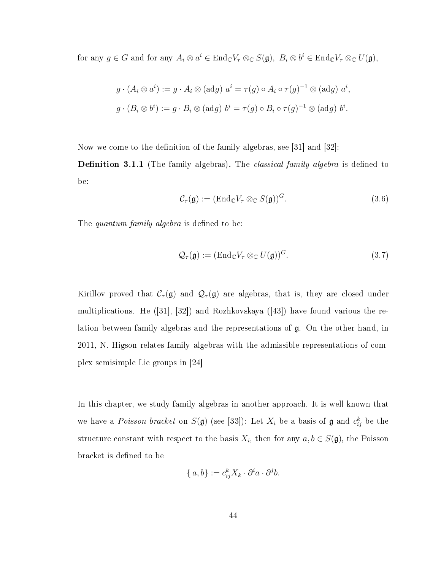for any  $g \in G$  and for any  $A_i \otimes a^i \in \text{End}_{\mathbb{C}}V_\tau \otimes_{\mathbb{C}} S(\mathfrak{g}), \; B_i \otimes b^i \in \text{End}_{\mathbb{C}}V_\tau \otimes_{\mathbb{C}} U(\mathfrak{g}),$ 

$$
g \cdot (A_i \otimes a^i) := g \cdot A_i \otimes (adg) \ a^i = \tau(g) \circ A_i \circ \tau(g)^{-1} \otimes (adg) \ a^i,
$$
  

$$
g \cdot (B_i \otimes b^i) := g \cdot B_i \otimes (adg) \ b^i = \tau(g) \circ B_i \circ \tau(g)^{-1} \otimes (adg) \ b^i.
$$

Now we come to the definition of the family algebras, see  $|31|$  and  $|32|$ :

**Definition 3.1.1** (The family algebras). The *classical family algebra* is defined to be:

$$
\mathcal{C}_{\tau}(\mathfrak{g}) := (\text{End}_{\mathbb{C}} V_{\tau} \otimes_{\mathbb{C}} S(\mathfrak{g}))^{G}.
$$
\n(3.6)

The quantum family algebra is defined to be:

$$
\mathcal{Q}_{\tau}(\mathfrak{g}) := (\mathrm{End}_{\mathbb{C}} V_{\tau} \otimes_{\mathbb{C}} U(\mathfrak{g}))^{G}.
$$
\n(3.7)

Kirillov proved that  $C_{\tau}(\mathfrak{g})$  and  $\mathcal{Q}_{\tau}(\mathfrak{g})$  are algebras, that is, they are closed under multiplications. He ([31], [32]) and Rozhkovskaya ([43]) have found various the relation between family algebras and the representations of g. On the other hand, in 2011, N. Higson relates family algebras with the admissible representations of complex semisimple Lie groups in [24]

In this chapter, we study family algebras in another approach. It is well-known that we have a *Poisson bracket* on  $S(\mathfrak{g})$  (see [33]): Let  $X_i$  be a basis of  $\mathfrak{g}$  and  $c_{ij}^k$  be the structure constant with respect to the basis  $X_i$ , then for any  $a, b \in S(\mathfrak{g})$ , the Poisson bracket is defined to be

$$
\{a, b\} := c_{ij}^k X_k \cdot \partial^i a \cdot \partial^j b.
$$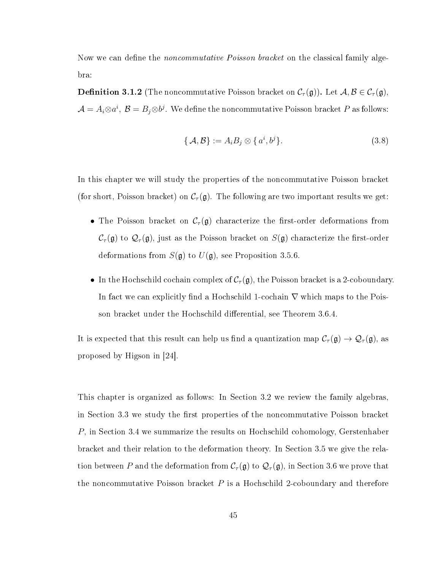Now we can define the *noncommutative Poisson bracket* on the classical family algebra:

**Definition 3.1.2** (The noncommutative Poisson bracket on  $\mathcal{C}_{\tau}(\mathfrak{g})$ ). Let  $\mathcal{A}, \mathcal{B} \in \mathcal{C}_{\tau}(\mathfrak{g})$ ,  $\mathcal{A}=A_i{\otimes}a^i,\ \mathcal{B}=B_j{\otimes}b^j.$  We define the noncommutative Poisson bracket  $P$  as follows:

$$
\{\mathcal{A}, \mathcal{B}\} := A_i B_j \otimes \{a^i, b^j\}.
$$
\n(3.8)

In this chapter we will study the properties of the noncommutative Poisson bracket (for short, Poisson bracket) on  $\mathcal{C}_{\tau}(\mathfrak{g})$ . The following are two important results we get:

- The Poisson bracket on  $\mathcal{C}_{\tau}(\mathfrak{g})$  characterize the first-order deformations from  $C_{\tau}(\mathfrak{g})$  to  $\mathcal{Q}_{\tau}(\mathfrak{g})$ , just as the Poisson bracket on  $S(\mathfrak{g})$  characterize the first-order deformations from  $S(\mathfrak{g})$  to  $U(\mathfrak{g})$ , see Proposition 3.5.6.
- In the Hochschild cochain complex of  $C_{\tau}(\mathfrak{g})$ , the Poisson bracket is a 2-coboundary. In fact we can explicitly find a Hochschild 1-cochain  $\nabla$  which maps to the Poisson bracket under the Hochschild differential, see Theorem 3.6.4.

It is expected that this result can help us find a quantization map  $C_\tau(\mathfrak{g}) \to \mathcal{Q}_\tau(\mathfrak{g})$ , as proposed by Higson in [24].

This chapter is organized as follows: In Section 3.2 we review the family algebras, in Section 3.3 we study the first properties of the noncommutative Poisson bracket P, in Section 3.4 we summarize the results on Hochschild cohomology, Gerstenhaber bracket and their relation to the deformation theory. In Section 3.5 we give the relation between P and the deformation from  $C_\tau(\mathfrak{g})$  to  $\mathcal{Q}_\tau(\mathfrak{g})$ , in Section 3.6 we prove that the noncommutative Poisson bracket  $P$  is a Hochschild 2-coboundary and therefore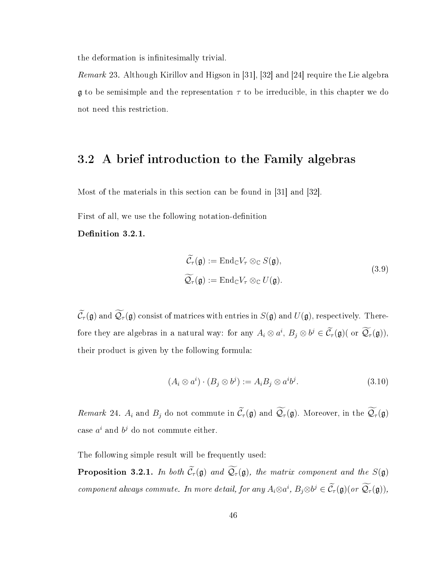the deformation is infinitesimally trivial.

Remark 23. Although Kirillov and Higson in [31], [32] and [24] require the Lie algebra  $\mathfrak g$  to be semisimple and the representation  $\tau$  to be irreducible, in this chapter we do not need this restriction.

### 3.2 A brief introduction to the Family algebras

Most of the materials in this section can be found in [31] and [32].

First of all, we use the following notation-definition

Definition 3.2.1.

$$
\widetilde{\mathcal{C}}_{\tau}(\mathfrak{g}) := \mathrm{End}_{\mathbb{C}} V_{\tau} \otimes_{\mathbb{C}} S(\mathfrak{g}),
$$
\n
$$
\widetilde{\mathcal{Q}}_{\tau}(\mathfrak{g}) := \mathrm{End}_{\mathbb{C}} V_{\tau} \otimes_{\mathbb{C}} U(\mathfrak{g}).
$$
\n(3.9)

 $\widetilde{\mathcal{C}}_{\tau}(\mathfrak{g})$  and  $\widetilde{\mathcal{Q}}_{\tau}(\mathfrak{g})$  consist of matrices with entries in  $S(\mathfrak{g})$  and  $U(\mathfrak{g})$ , respectively. Therefore they are algebras in a natural way: for any  $A_i \otimes a^i$ ,  $B_j \otimes b^j \in C_\tau(\mathfrak{g})$  (or  $\mathcal{Q}_\tau(\mathfrak{g})$ ), their product is given by the following formula:

$$
(A_i \otimes a^i) \cdot (B_j \otimes b^j) := A_i B_j \otimes a^i b^j. \tag{3.10}
$$

Remark 24.  $A_i$  and  $B_j$  do not commute in  $\widetilde{\mathcal{C}}_{\tau}(\mathfrak{g})$  and  $\widetilde{\mathcal{Q}}_{\tau}(\mathfrak{g})$ . Moreover, in the  $\widetilde{\mathcal{Q}}_{\tau}(\mathfrak{g})$ case  $a^i$  and  $b^j$  do not commute either.

The following simple result will be frequently used:

**Proposition 3.2.1.** In both  $\widetilde{C}_{\tau}(\mathfrak{g})$  and  $\widetilde{Q}_{\tau}(\mathfrak{g})$ , the matrix component and the  $S(\mathfrak{g})$ component always commute. In more detail, for any  $A_i \otimes a^i$ ,  $B_j \otimes b^j \in \tilde{C}_{\tau}(\mathfrak{g})(or \mathcal{Q}_{\tau}(\mathfrak{g})),$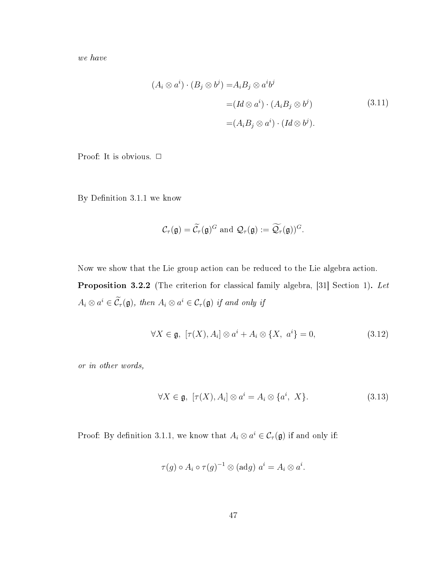we have

$$
(A_i \otimes a^i) \cdot (B_j \otimes b^j) = A_i B_j \otimes a^i b^j
$$
  
=  $(Id \otimes a^i) \cdot (A_i B_j \otimes b^j)$  (3.11)  
=  $(A_i B_j \otimes a^i) \cdot (Id \otimes b^j)$ .

Proof: It is obvious.  $\Box$ 

By Definition 3.1.1 we know

$$
\mathcal{C}_{\tau}(\mathfrak{g})=\widetilde{\mathcal{C}}_{\tau}(\mathfrak{g})^G \text{ and } \mathcal{Q}_{\tau}(\mathfrak{g}):=\widetilde{\mathcal{Q}}_{\tau}(\mathfrak{g}))^G.
$$

Now we show that the Lie group action can be reduced to the Lie algebra action. Proposition 3.2.2 (The criterion for classical family algebra, [31] Section 1). Let  $A_i \otimes a^i \in \tilde{\mathcal{C}}_{\tau}(\mathfrak{g}),$  then  $A_i \otimes a^i \in \mathcal{C}_{\tau}(\mathfrak{g})$  if and only if

$$
\forall X \in \mathfrak{g}, \ [\tau(X), A_i] \otimes a^i + A_i \otimes \{X, a^i\} = 0,\tag{3.12}
$$

or in other words,

$$
\forall X \in \mathfrak{g}, \ [\tau(X), A_i] \otimes a^i = A_i \otimes \{a^i, X\}. \tag{3.13}
$$

Proof: By definition 3.1.1, we know that  $A_i \otimes a^i \in C_\tau(\mathfrak{g})$  if and only if:

$$
\tau(g) \circ A_i \circ \tau(g)^{-1} \otimes (adg) \ a^i = A_i \otimes a^i.
$$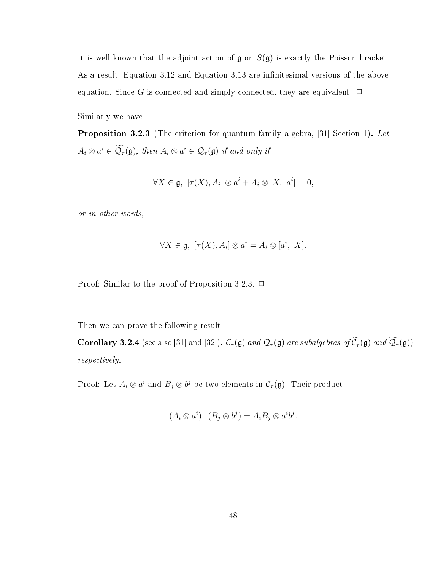It is well-known that the adjoint action of  $\mathfrak g$  on  $S(\mathfrak g)$  is exactly the Poisson bracket. As a result, Equation 3.12 and Equation 3.13 are infinitesimal versions of the above equation. Since G is connected and simply connected, they are equivalent.  $\Box$ 

Similarly we have

**Proposition 3.2.3** (The criterion for quantum family algebra, [31] Section 1). Let  $A_i \otimes a^i \in \mathcal{Q}_{\tau}(\mathfrak{g})$ , then  $A_i \otimes a^i \in \mathcal{Q}_{\tau}(\mathfrak{g})$  if and only if

$$
\forall X \in \mathfrak{g}, \ [\tau(X), A_i] \otimes a^i + A_i \otimes [X, a^i] = 0,
$$

or in other words,

$$
\forall X \in \mathfrak{g}, \ [\tau(X), A_i] \otimes a^i = A_i \otimes [a^i, X].
$$

Proof: Similar to the proof of Proposition 3.2.3.  $\Box$ 

Then we can prove the following result:

**Corollary 3.2.4** (see also [31] and [32]).  $C_{\tau}(\mathfrak{g})$  and  $\mathcal{Q}_{\tau}(\mathfrak{g})$  are subalgebras of  $\widetilde{C}_{\tau}(\mathfrak{g})$  and  $\widetilde{\mathcal{Q}}_{\tau}(\mathfrak{g})$ ) respectively.

Proof: Let  $A_i\otimes a^i$  and  $B_j\otimes b^j$  be two elements in  $\mathcal{C}_{\tau}(\mathfrak{g})$ . Their product

$$
(A_i \otimes a^i) \cdot (B_j \otimes b^j) = A_i B_j \otimes a^i b^j.
$$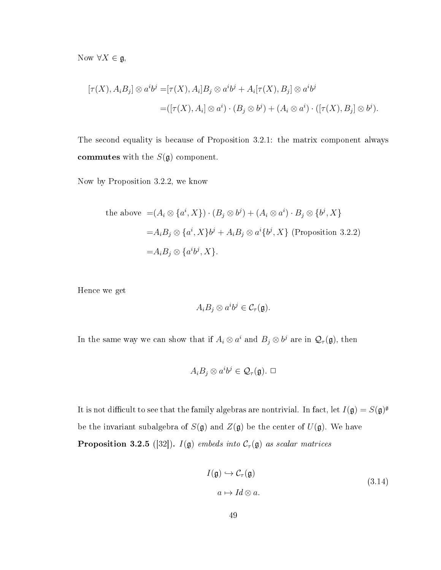Now  $\forall X \in \mathfrak{g},$ 

$$
[\tau(X), A_i B_j] \otimes a^i b^j = [\tau(X), A_i] B_j \otimes a^i b^j + A_i [\tau(X), B_j] \otimes a^i b^j
$$
  
= 
$$
([\tau(X), A_i] \otimes a^i) \cdot (B_j \otimes b^j) + (A_i \otimes a^i) \cdot ([\tau(X), B_j] \otimes b^j).
$$

The second equality is because of Proposition 3.2.1: the matrix component always commutes with the  $S(\mathfrak{g})$  component.

Now by Proposition 3.2.2, we know

the above 
$$
= (A_i \otimes \{a^i, X\}) \cdot (B_j \otimes b^j) + (A_i \otimes a^i) \cdot B_j \otimes \{b^j, X\}
$$

$$
= A_i B_j \otimes \{a^i, X\}b^j + A_i B_j \otimes a^i \{b^j, X\} \text{ (Proposition 3.2.2)}
$$

$$
= A_i B_j \otimes \{a^i b^j, X\}.
$$

Hence we get

$$
A_i B_j \otimes a^i b^j \in \mathcal{C}_{\tau}(\mathfrak{g}).
$$

In the same way we can show that if  $A_i \otimes a^i$  and  $B_j \otimes b^j$  are in  $\mathcal{Q}_{\tau}(\mathfrak{g})$ , then

$$
A_i B_j \otimes a^i b^j \in \mathcal{Q}_{\tau}(\mathfrak{g}). \ \Box
$$

It is not difficult to see that the family algebras are nontrivial. In fact, let  $I(\mathfrak{g}) = S(\mathfrak{g})^{\mathfrak{g}}$ be the invariant subalgebra of  $S(\mathfrak{g})$  and  $Z(\mathfrak{g})$  be the center of  $U(\mathfrak{g})$ . We have **Proposition 3.2.5** ([32]).  $I(\mathfrak{g})$  embeds into  $C_{\tau}(\mathfrak{g})$  as scalar matrices

$$
I(\mathfrak{g}) \hookrightarrow \mathcal{C}_{\tau}(\mathfrak{g})
$$
  
\n
$$
a \mapsto Id \otimes a.
$$
\n(3.14)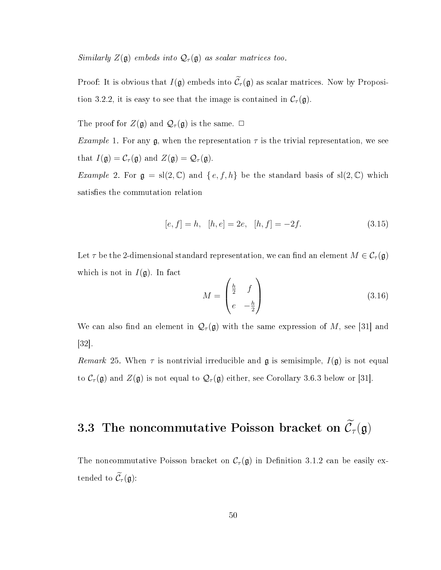Similarly  $Z(\mathfrak{g})$  embeds into  $\mathcal{Q}_{\tau}(\mathfrak{g})$  as scalar matrices too.

Proof: It is obvious that  $I(\mathfrak{g})$  embeds into  $\widetilde{\mathcal{C}}_{\tau}(\mathfrak{g})$  as scalar matrices. Now by Proposition 3.2.2, it is easy to see that the image is contained in  $\mathcal{C}_{\tau}(\mathfrak{g})$ .

The proof for  $Z(\mathfrak{g})$  and  $\mathcal{Q}_{\tau}(\mathfrak{g})$  is the same.  $\Box$ 

*Example* 1. For any  $\mathfrak{g}$ , when the representation  $\tau$  is the trivial representation, we see that  $I(\mathfrak{g}) = C_{\tau}(\mathfrak{g})$  and  $Z(\mathfrak{g}) = \mathcal{Q}_{\tau}(\mathfrak{g})$ .

Example 2. For  $\mathfrak{g} = \mathrm{sl}(2,\mathbb{C})$  and  $\{e,f,h\}$  be the standard basis of  $\mathrm{sl}(2,\mathbb{C})$  which satisfies the commutation relation

$$
[e, f] = h, [h, e] = 2e, [h, f] = -2f.
$$
\n(3.15)

Let  $\tau$  be the 2-dimensional standard representation, we can find an element  $M \in \mathcal{C}_{\tau}(\mathfrak{g})$ which is not in  $I(\mathfrak{g})$ . In fact

$$
M = \begin{pmatrix} \frac{h}{2} & f \\ e & -\frac{h}{2} \end{pmatrix}
$$
 (3.16)

We can also find an element in  $\mathcal{Q}_{\tau}(\mathfrak{g})$  with the same expression of M, see [31] and [32].

Remark 25. When  $\tau$  is nontrivial irreducible and  $\mathfrak g$  is semisimple,  $I(\mathfrak g)$  is not equal to  $\mathcal{C}_{\tau}(\mathfrak{g})$  and  $Z(\mathfrak{g})$  is not equal to  $\mathcal{Q}_{\tau}(\mathfrak{g})$  either, see Corollary 3.6.3 below or [31].

# 3.3 The noncommutative Poisson bracket on  $\widetilde{\mathcal{C}}_\tau(\mathfrak{g})$

The noncommutative Poisson bracket on  $C_{\tau}(\mathfrak{g})$  in Definition 3.1.2 can be easily extended to  $\widetilde{\mathcal{C}}_{\tau}(\mathfrak{g})$ :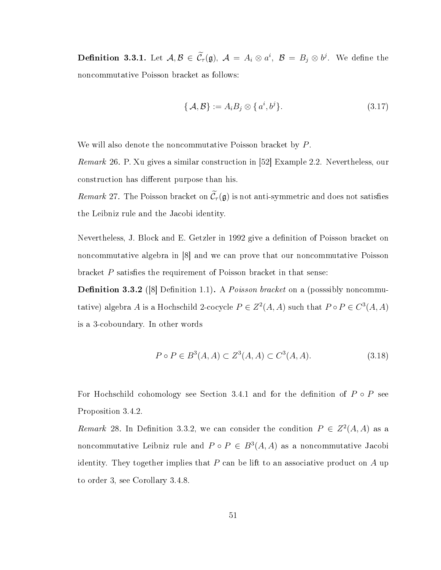**Definition 3.3.1.** Let  $A, B \in \tilde{C}_{\tau}(\mathfrak{g}), A = A_i \otimes a^i, B = B_j \otimes b^j$ . We define the noncommutative Poisson bracket as follows:

$$
\{\mathcal{A}, \mathcal{B}\} := A_i B_j \otimes \{a^i, b^j\}.
$$
\n(3.17)

We will also denote the noncommutative Poisson bracket by P.

Remark 26. P. Xu gives a similar construction in [52] Example 2.2. Nevertheless, our construction has different purpose than his.

Remark 27. The Poisson bracket on  $\widetilde{\mathcal{C}}_{\tau}(\mathfrak{g})$  is not anti-symmetric and does not satisfies the Leibniz rule and the Jacobi identity.

Nevertheless, J. Block and E. Getzler in 1992 give a definition of Poisson bracket on noncommutative algebra in [8] and we can prove that our noncommutative Poisson bracket  $P$  satisfies the requirement of Poisson bracket in that sense:

**Definition 3.3.2** ([8] Definition 1.1). A *Poisson bracket* on a (posssibly noncommutative) algebra A is a Hochschild 2-cocycle  $P \in Z^2(A, A)$  such that  $P \circ P \in C^3(A, A)$ is a 3-coboundary. In other words

$$
P \circ P \in B^{3}(A, A) \subset Z^{3}(A, A) \subset C^{3}(A, A). \tag{3.18}
$$

For Hochschild cohomology see Section 3.4.1 and for the definition of  $P \circ P$  see Proposition 3.4.2.

Remark 28. In Definition 3.3.2, we can consider the condition  $P \in Z^2(A, A)$  as a noncommutative Leibniz rule and  $P \circ P \in B^3(A, A)$  as a noncommutative Jacobi identity. They together implies that  $P$  can be lift to an associative product on  $A$  up to order 3, see Corollary 3.4.8.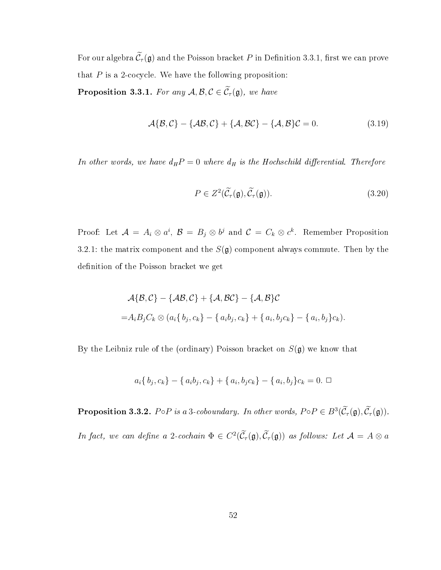For our algebra  $\widetilde{\mathcal{C}}_{\tau}(\mathfrak{g})$  and the Poisson bracket P in Definition 3.3.1, first we can prove that  $P$  is a 2-cocycle. We have the following proposition: **Proposition 3.3.1.** For any  $A, B, C \in \widetilde{C}_{\tau}(\mathfrak{g})$ , we have

$$
\mathcal{A}\{\mathcal{B},\mathcal{C}\}-\{\mathcal{A}\mathcal{B},\mathcal{C}\}+\{\mathcal{A},\mathcal{B}\mathcal{C}\}-\{\mathcal{A},\mathcal{B}\}\mathcal{C}=0.
$$
\n(3.19)

In other words, we have  $d_H P = 0$  where  $d_H$  is the Hochschild differential. Therefore

$$
P \in Z^2(\widetilde{\mathcal{C}}_{\tau}(\mathfrak{g}), \widetilde{\mathcal{C}}_{\tau}(\mathfrak{g})). \tag{3.20}
$$

Proof: Let  $\mathcal{A} = A_i \otimes a^i$ ,  $\mathcal{B} = B_j \otimes b^j$  and  $\mathcal{C} = C_k \otimes c^k$ . Remember Proposition 3.2.1: the matrix component and the  $S(\mathfrak{g})$  component always commute. Then by the definition of the Poisson bracket we get

$$
\mathcal{A}\{\mathcal{B},\mathcal{C}\}-\{\mathcal{A}\mathcal{B},\mathcal{C}\}+\{\mathcal{A},\mathcal{B}\mathcal{C}\}-\{\mathcal{A},\mathcal{B}\}\mathcal{C}
$$
  
= $A_iB_jC_k \otimes (a_i\{b_j,c_k\}-\{a_ib_j,c_k\}+\{a_i,b_jc_k\}-\{a_i,b_j\}c_k).$ 

By the Leibniz rule of the (ordinary) Poisson bracket on  $S(\mathfrak{g})$  we know that

$$
a_i\{b_j, c_k\} - \{a_i b_j, c_k\} + \{a_i, b_j c_k\} - \{a_i, b_j\}c_k = 0. \square
$$

**Proposition 3.3.2.**  $P \circ P$  is a 3-coboundary. In other words,  $P \circ P \in B^3(\tilde{C}_{\tau}(\mathfrak{g}), \tilde{C}_{\tau}(\mathfrak{g}))$ .

In fact, we can define a 2-cochain  $\Phi \in C^2(\tilde{C}_{\tau}(\mathfrak{g}), \tilde{C}_{\tau}(\mathfrak{g}))$  as follows: Let  $\mathcal{A} = A \otimes a$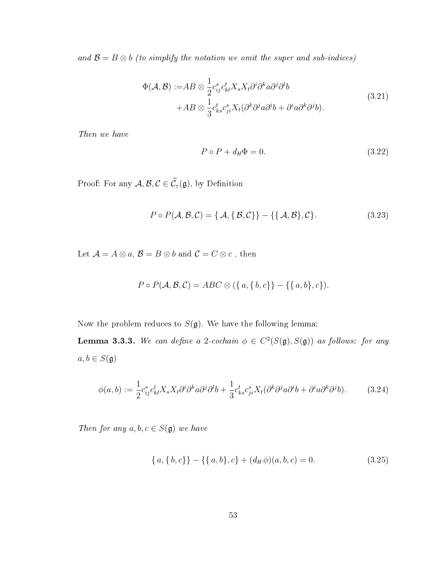and  $\mathcal{B} = B \otimes b$  (to simplify the notation we omit the super and sub-indices)

$$
\Phi(\mathcal{A}, \mathcal{B}) := AB \otimes \frac{1}{2} c_{ij}^s c_{kl}^t X_s X_t \partial^i \partial^k a \partial^j \partial^l b + AB \otimes \frac{1}{3} c_{ks}^t c_{ji}^s X_t (\partial^k \partial^j a \partial^i b + \partial^i a \partial^k \partial^j b).
$$
\n(3.21)

Then we have

$$
P \circ P + d_H \Phi = 0. \tag{3.22}
$$

Proof: For any  $\mathcal{A}, \mathcal{B}, \mathcal{C} \in \widetilde{\mathcal{C}}_\tau(\mathfrak{g}),$  by Definition

$$
P \circ P(\mathcal{A}, \mathcal{B}, \mathcal{C}) = \{ \mathcal{A}, \{ \mathcal{B}, \mathcal{C} \} \} - \{ \{ \mathcal{A}, \mathcal{B} \}, \mathcal{C} \}.
$$
 (3.23)

Let  $\mathcal{A}=A\otimes a,\,\mathcal{B}=B\otimes b$  and  $\mathcal{C}=C\otimes c$  , then

$$
P \circ P(\mathcal{A}, \mathcal{B}, \mathcal{C}) = ABC \otimes (\{a, \{b, c\}\} - \{\{a, b\}, c\}).
$$

Now the problem reduces to  $S(\mathfrak{g})$ . We have the following lemma:

**Lemma 3.3.3.** We can define a 2-cochain  $\phi \in C^2(S(\mathfrak{g}), S(\mathfrak{g}))$  as follows: for any  $a,b\in S(\mathfrak{g})$ 

$$
\phi(a,b) := \frac{1}{2} c_{ij}^s c_{kl}^t X_s X_t \partial^i \partial^k a \partial^j \partial^l b + \frac{1}{3} c_{ks}^t c_{ji}^s X_t (\partial^k \partial^j a \partial^i b + \partial^i a \partial^k \partial^j b). \tag{3.24}
$$

Then for any  $a, b, c \in S(\mathfrak{g})$  we have

$$
\{a,\{b,c\}\}-\{\{a,b\},c\} + (d_H\phi)(a,b,c) = 0.
$$
\n(3.25)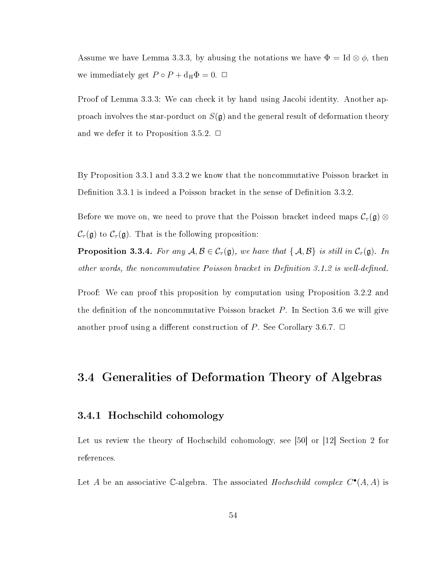Assume we have Lemma 3.3.3, by abusing the notations we have  $\Phi = \text{Id} \otimes \phi$ , then we immediately get  $P \circ P + d_{\rm H} \Phi = 0$ .  $\Box$ 

Proof of Lemma 3.3.3: We can check it by hand using Jacobi identity. Another approach involves the star-porduct on  $S(\mathfrak{g})$  and the general result of deformation theory and we defer it to Proposition 3.5.2.  $\Box$ 

By Proposition 3.3.1 and 3.3.2 we know that the noncommutative Poisson bracket in Definition 3.3.1 is indeed a Poisson bracket in the sense of Definition 3.3.2.

Before we move on, we need to prove that the Poisson bracket indeed maps  $\mathcal{C}_{\tau}(\mathfrak{g})\otimes\mathfrak{g}$  $\mathcal{C}_{\tau}(\mathfrak{g})$  to  $\mathcal{C}_{\tau}(\mathfrak{g})$ . That is the following proposition:

**Proposition 3.3.4.** For any  $A, B \in C_{\tau}(\mathfrak{g})$ , we have that  $\{A, B\}$  is still in  $C_{\tau}(\mathfrak{g})$ . In other words, the noncommutative Poisson bracket in Definition 3.1.2 is well-defined.

Proof: We can proof this proposition by computation using Proposition 3.2.2 and the definition of the noncommutative Poisson bracket  $P$ . In Section 3.6 we will give another proof using a different construction of P. See Corollary 3.6.7.  $\Box$ 

## 3.4 Generalities of Deformation Theory of Algebras

#### 3.4.1 Hochschild cohomology

Let us review the theory of Hochschild cohomology, see [50] or [12] Section 2 for references.

Let A be an associative C-algebra. The associated Hochschild complex  $C^{\bullet}(A, A)$  is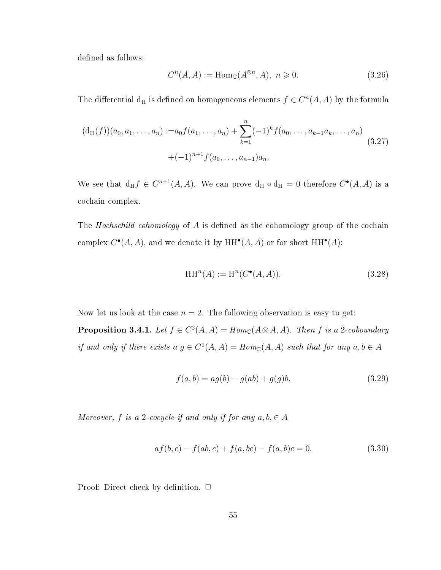defined as follows:

$$
C^{n}(A, A) := \text{Hom}_{\mathbb{C}}(A^{\otimes n}, A), \ n \geqslant 0. \tag{3.26}
$$

The differential  $d_H$  is defined on homogeneous elements  $f \in C^n(A, A)$  by the formula

$$
(d_H(f))(a_0, a_1, \dots, a_n) := a_0 f(a_1, \dots, a_n) + \sum_{k=1}^n (-1)^k f(a_0, \dots, a_{k-1} a_k, \dots, a_n)
$$
  
 
$$
+ (-1)^{n+1} f(a_0, \dots, a_{n-1}) a_n.
$$
 (3.27)

We see that  $d_H f \in C^{n+1}(A, A)$ . We can prove  $d_H \circ d_H = 0$  therefore  $C^{\bullet}(A, A)$  is a cochain complex.

The *Hochschild cohomology* of A is defined as the cohomology group of the cochain complex  $C^{\bullet}(A, A)$ , and we denote it by  $HH^{\bullet}(A, A)$  or for short  $HH^{\bullet}(A)$ :

$$
\operatorname{HH}\nolimits^n(A) := \operatorname{H}\nolimits^n(C^\bullet(A, A)).\tag{3.28}
$$

Now let us look at the case  $n = 2$ . The following observation is easy to get:

**Proposition 3.4.1.** Let  $f \in C^2(A, A) = Hom_{\mathbb{C}}(A \otimes A, A)$ . Then f is a 2-coboundary if and only if there exists  $a \, g \in C^1(A, A) = Hom_{\mathbb{C}}(A, A)$  such that for any  $a, b \in A$ 

$$
f(a,b) = ag(b) - g(ab) + g(g)b.
$$
\n(3.29)

Moreover, f is a 2-cocycle if and only if for any  $a, b \in A$ 

$$
af(b, c) - f(ab, c) + f(a, bc) - f(a, b)c = 0.
$$
\n(3.30)

Proof: Direct check by definition.  $\Box$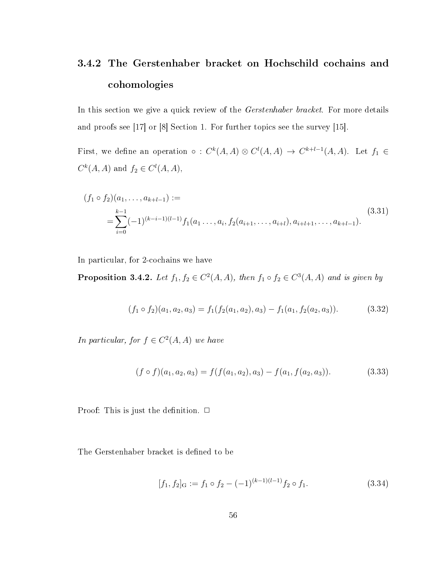## 3.4.2 The Gerstenhaber bracket on Hochschild cochains and cohomologies

In this section we give a quick review of the *Gerstenhaber bracket*. For more details and proofs see [17] or [8] Section 1. For further topics see the survey [15].

First, we define an operation  $\circ : C^k(A, A) \otimes C^l(A, A) \to C^{k+l-1}(A, A)$ . Let  $f_1 \in$  $C^k(A, A)$  and  $f_2 \in C^l(A, A)$ ,

$$
(f_1 \circ f_2)(a_1, \dots, a_{k+l-1}) :=
$$
  
= 
$$
\sum_{i=0}^{k-1} (-1)^{(k-i-1)(l-1)} f_1(a_1, \dots, a_i, f_2(a_{i+1}, \dots, a_{i+l}), a_{i+l+1}, \dots, a_{k+l-1}).
$$
 (3.31)

In particular, for 2-cochains we have

**Proposition 3.4.2.** Let  $f_1, f_2 \in C^2(A, A)$ , then  $f_1 \circ f_2 \in C^3(A, A)$  and is given by

$$
(f_1 \circ f_2)(a_1, a_2, a_3) = f_1(f_2(a_1, a_2), a_3) - f_1(a_1, f_2(a_2, a_3)).
$$
\n(3.32)

In particular, for  $f \in C^2(A, A)$  we have

$$
(f \circ f)(a_1, a_2, a_3) = f(f(a_1, a_2), a_3) - f(a_1, f(a_2, a_3)).
$$
\n(3.33)

Proof: This is just the definition.  $\Box$ 

The Gerstenhaber bracket is defined to be

$$
[f_1, f_2]_G := f_1 \circ f_2 - (-1)^{(k-1)(l-1)} f_2 \circ f_1.
$$
\n(3.34)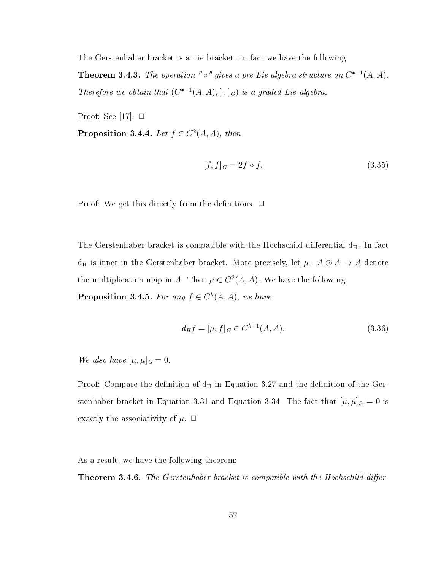The Gerstenhaber bracket is a Lie bracket. In fact we have the following

**Theorem 3.4.3.** The operation " $\circ$ " gives a pre-Lie algebra structure on  $C^{\bullet-1}(A, A)$ . Therefore we obtain that  $(C^{\bullet-1}(A, A), [ , ]_G)$  is a graded Lie algebra.

Proof: See [17].  $\Box$ 

**Proposition 3.4.4.** Let  $f \in C^2(A, A)$ , then

$$
[f, f]_G = 2f \circ f. \tag{3.35}
$$

Proof: We get this directly from the definitions.  $\Box$ 

The Gerstenhaber bracket is compatible with the Hochschild differential  $d_H$ . In fact  $d_H$  is inner in the Gerstenhaber bracket. More precisely, let  $\mu : A \otimes A \rightarrow A$  denote the multiplication map in A. Then  $\mu \in C^2(A, A)$ . We have the following **Proposition 3.4.5.** For any  $f \in C^{k}(A, A)$ , we have

$$
d_H f = [\mu, f]_G \in C^{k+1}(A, A). \tag{3.36}
$$

We also have  $[\mu, \mu]_G = 0$ .

Proof: Compare the definition of  $d_H$  in Equation 3.27 and the definition of the Gerstenhaber bracket in Equation 3.31 and Equation 3.34. The fact that  $[\mu, \mu]_G = 0$  is exactly the associativity of  $\mu$ .  $\Box$ 

As a result, we have the following theorem:

**Theorem 3.4.6.** The Gerstenhaber bracket is compatible with the Hochschild differ-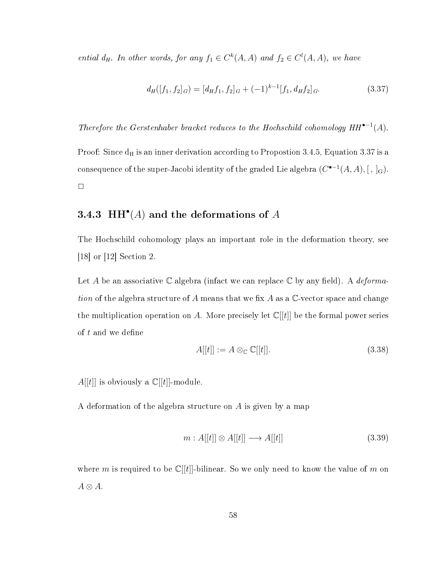ential  $d_H$ . In other words, for any  $f_1 \in C^k(A, A)$  and  $f_2 \in C^l(A, A)$ , we have

$$
d_H([f_1, f_2]_G) = [d_H f_1, f_2]_G + (-1)^{k-1} [f_1, d_H f_2]_G.
$$
\n(3.37)

Therefore the Gerstenhaber bracket reduces to the Hochschild cohomology  $HH^{\bullet-1}(A)$ .

Proof: Since  $d_H$  is an inner derivation according to Propostion 3.4.5, Equation 3.37 is a consequence of the super-Jacobi identity of the graded Lie algebra  $(C^{\bullet -1}(A,A), [~,~]_{\mathrm{G}}).$  $\Box$ 

#### 3.4.3 HH<sup> $^{\bullet}(A)$ </sup> and the deformations of A

The Hochschild cohomology plays an important role in the deformation theory, see [18] or [12] Section 2.

Let A be an associative C algebra (infact we can replace C by any field). A *deforma*tion of the algebra structure of A means that we fix A as a  $\mathbb{C}\text{-vector space}$  and change the multiplication operation on A. More precisely let  $\mathbb{C}[[t]]$  be the formal power series of  $t$  and we define

$$
A[[t]] := A \otimes_{\mathbb{C}} \mathbb{C}[[t]]. \tag{3.38}
$$

 $A[[t]]$  is obviously a  $\mathbb{C}[[t]]$ -module.

A deformation of the algebra structure on A is given by a map

$$
m: A[[t]] \otimes A[[t]] \longrightarrow A[[t]] \tag{3.39}
$$

where m is required to be  $\mathbb{C}[[t]]$ -bilinear. So we only need to know the value of m on  $A \otimes A$ .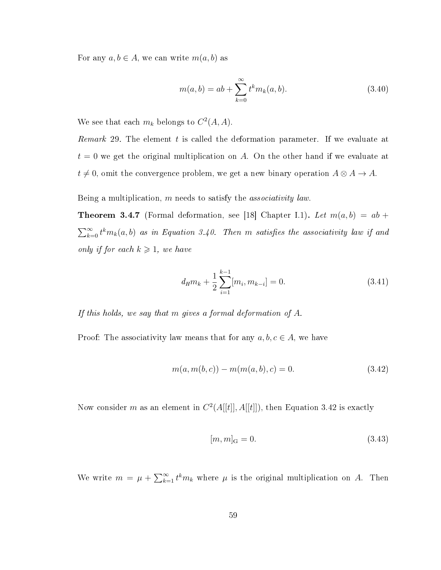For any  $a, b \in A$ , we can write  $m(a, b)$  as

$$
m(a,b) = ab + \sum_{k=0}^{\infty} t^k m_k(a,b).
$$
 (3.40)

We see that each  $m_k$  belongs to  $C^2(A, A)$ .

Remark 29. The element  $t$  is called the deformation parameter. If we evaluate at  $t = 0$  we get the original multiplication on A. On the other hand if we evaluate at  $t \neq 0$ , omit the convergence problem, we get a new binary operation  $A \otimes A \rightarrow A$ .

Being a multiplication, m needs to satisfy the associativity law.

**Theorem 3.4.7** (Formal deformation, see [18] Chapter I.1). Let  $m(a, b) = ab +$  $\sum_{k=0}^{\infty} t^k m_k(a, b)$  as in Equation 3.40. Then m satisfies the associativity law if and only if for each  $k \geq 1$ , we have

$$
d_{H}m_{k} + \frac{1}{2} \sum_{i=1}^{k-1} [m_{i}, m_{k-i}] = 0.
$$
 (3.41)

If this holds, we say that  $m$  gives a formal deformation of  $A$ .

Proof: The associativity law means that for any  $a, b, c \in A$ , we have

$$
m(a, m(b, c)) - m(m(a, b), c) = 0.
$$
\n(3.42)

Now consider m as an element in  $C^2(A[[t]], A[[t]])$ , then Equation 3.42 is exactly

$$
[m,m]_{\rm G} = 0.\t\t(3.43)
$$

We write  $m = \mu + \sum_{k=1}^{\infty} t^k m_k$  where  $\mu$  is the original multiplication on A. Then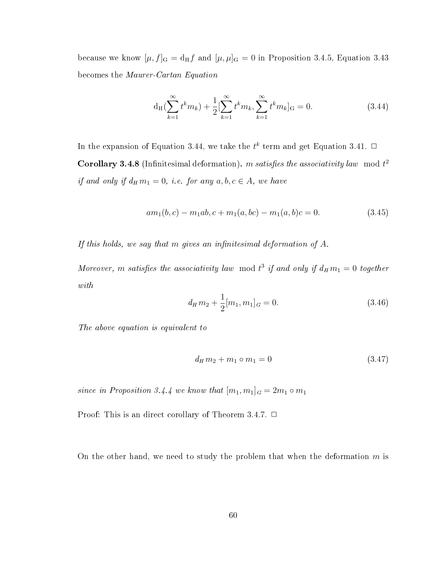because we know  $[\mu, f]_G = d_H f$  and  $[\mu, \mu]_G = 0$  in Proposition 3.4.5, Equation 3.43 becomes the Maurer-Cartan Equation

$$
d_H(\sum_{k=1}^{\infty} t^k m_k) + \frac{1}{2} [\sum_{k=1}^{\infty} t^k m_k, \sum_{k=1}^{\infty} t^k m_k]_G = 0.
$$
 (3.44)

In the expansion of Equation 3.44, we take the  $t^k$  term and get Equation 3.41.  $\Box$ **Corollary 3.4.8** (Infinitesimal deformation). m satisfies the associativity law mod  $t^2$ if and only if  $d_H m_1 = 0$ , i.e. for any  $a, b, c \in A$ , we have

$$
am_1(b,c) - m_1ab, c + m_1(a,bc) - m_1(a,b)c = 0.
$$
\n(3.45)

If this holds, we say that m gives an infinitesimal deformation of  $A$ .

Moreover, m satisfies the associativity law mod  $t^3$  if and only if  $d_H m_1 = 0$  together with

$$
d_H m_2 + \frac{1}{2} [m_1, m_1]_G = 0.
$$
\n(3.46)

The above equation is equivalent to

$$
d_H m_2 + m_1 \circ m_1 = 0 \tag{3.47}
$$

since in Proposition 3.4.4 we know that  $[m_1, m_1]_G = 2m_1 \circ m_1$ 

Proof: This is an direct corollary of Theorem 3.4.7.  $\Box$ 

On the other hand, we need to study the problem that when the deformation  $m$  is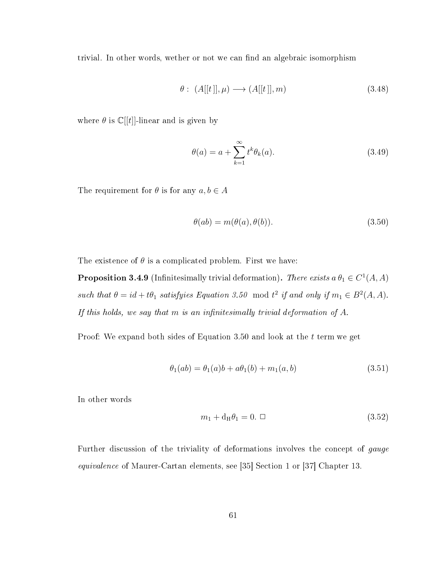trivial. In other words, wether or not we can find an algebraic isomorphism

$$
\theta: (A[[t]], \mu) \longrightarrow (A[[t]], m) \tag{3.48}
$$

where  $\theta$  is  $\mathbb{C}[[t]]$ -linear and is given by

$$
\theta(a) = a + \sum_{k=1}^{\infty} t^k \theta_k(a). \tag{3.49}
$$

The requirement for  $\theta$  is for any  $a, b \in A$ 

$$
\theta(ab) = m(\theta(a), \theta(b)).\tag{3.50}
$$

The existence of  $\theta$  is a complicated problem. First we have:

**Proposition 3.4.9** (Infinitesimally trivial deformation). There exists  $a \theta_1 \in C^1(A, A)$ such that  $\theta = id + t\theta_1$  satisfyies Equation 3.50 mod  $t^2$  if and only if  $m_1 \in B^2(A, A)$ . If this holds, we say that  $m$  is an infinitesimally trivial deformation of  $A$ .

Proof: We expand both sides of Equation 3.50 and look at the t term we get

$$
\theta_1(ab) = \theta_1(a)b + a\theta_1(b) + m_1(a, b)
$$
\n(3.51)

In other words

$$
m_1 + \mathbf{d_H}\theta_1 = 0. \quad \Box \tag{3.52}
$$

Further discussion of the triviality of deformations involves the concept of gauge equivalence of Maurer-Cartan elements, see [35] Section 1 or [37] Chapter 13.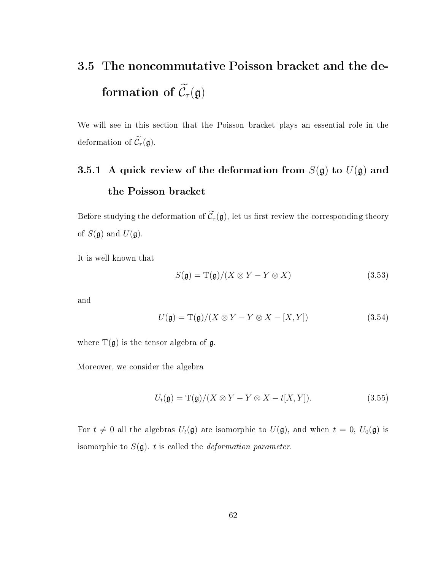# 3.5 The noncommutative Poisson bracket and the deformation of  $\widetilde{\mathcal{C}}_\tau(\mathfrak{g})$

We will see in this section that the Poisson bracket plays an essential role in the deformation of  $\widetilde{\mathcal{C}}_{\tau}(\mathfrak{g})$ .

# 3.5.1 A quick review of the deformation from  $S(\mathfrak{g})$  to  $U(\mathfrak{g})$  and the Poisson bracket

Before studying the deformation of  $\widetilde{\mathcal{C}}_{\tau}(\mathfrak{g})$ , let us first review the corresponding theory of  $S(\mathfrak{g})$  and  $U(\mathfrak{g})$ .

It is well-known that

$$
S(\mathfrak{g}) = \mathrm{T}(\mathfrak{g})/(X \otimes Y - Y \otimes X) \tag{3.53}
$$

and

$$
U(\mathfrak{g}) = \mathrm{T}(\mathfrak{g})/(X \otimes Y - Y \otimes X - [X, Y]) \tag{3.54}
$$

where  $T(g)$  is the tensor algebra of g.

Moreover, we consider the algebra

$$
U_t(\mathfrak{g}) = \mathrm{T}(\mathfrak{g})/(X \otimes Y - Y \otimes X - t[X, Y]). \tag{3.55}
$$

For  $t \neq 0$  all the algebras  $U_t(\mathfrak{g})$  are isomorphic to  $U(\mathfrak{g})$ , and when  $t = 0$ ,  $U_0(\mathfrak{g})$  is isomorphic to  $S(\mathfrak{g})$ . t is called the *deformation parameter*.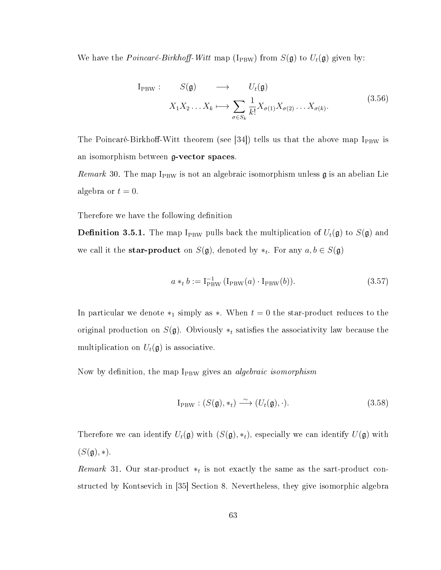We have the *Poincaré-Birkhoff-Witt* map ( $I_{\text{PBW}}$ ) from  $S(\mathfrak{g})$  to  $U_t(\mathfrak{g})$  given by:

$$
I_{PBW}: S(\mathfrak{g}) \longrightarrow U_t(\mathfrak{g})
$$
  

$$
X_1 X_2 \dots X_k \longmapsto \sum_{\sigma \in S_k} \frac{1}{k!} X_{\sigma(1)} X_{\sigma(2)} \dots X_{\sigma(k)}.
$$
  
(3.56)

The Poincaré-Birkhoff-Witt theorem (see [34]) tells us that the above map  $I_{PBW}$  is an isomorphism between g-vector spaces.

Remark 30. The map  $I_{PBW}$  is not an algebraic isomorphism unless  $\mathfrak g$  is an abelian Lie algebra or  $t = 0$ .

Therefore we have the following definition

**Definition 3.5.1.** The map I<sub>PBW</sub> pulls back the multiplication of  $U_t(\mathfrak{g})$  to  $S(\mathfrak{g})$  and we call it the **star-product** on  $S(\mathfrak{g})$ , denoted by  $*_t$ . For any  $a, b \in S(\mathfrak{g})$ 

$$
a *_{t} b := I_{\text{PBW}}^{-1} (I_{\text{PBW}}(a) \cdot I_{\text{PBW}}(b)).
$$
\n(3.57)

In particular we denote  $*_1$  simply as  $*$ . When  $t = 0$  the star-product reduces to the original production on  $S(\mathfrak{g})$ . Obviously  $*_t$  satisfies the associativity law because the multiplication on  $U_t(\mathfrak{g})$  is associative.

Now by definition, the map  $I_{PBW}$  gives an *algebraic isomorphism* 

$$
I_{PBW} : (S(\mathfrak{g}), *_t) \xrightarrow{\sim} (U_t(\mathfrak{g}), \cdot). \tag{3.58}
$$

Therefore we can identify  $U_t(\mathfrak{g})$  with  $(S(\mathfrak{g}), *_t)$ , especially we can identify  $U(\mathfrak{g})$  with  $(S(\mathfrak{g}), *)$ .

Remark 31. Our star-product  $*_t$  is not exactly the same as the sart-product constructed by Kontsevich in [35] Section 8. Nevertheless, they give isomorphic algebra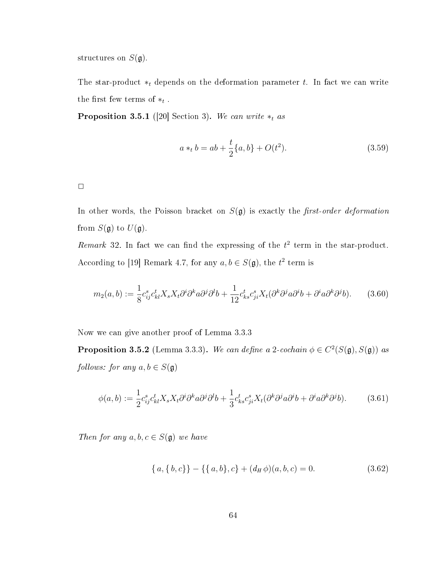structures on  $S(\mathfrak{g})$ .

The star-product  $*_t$  depends on the deformation parameter t. In fact we can write the first few terms of  $*_t$ .

**Proposition 3.5.1** ([20] Section 3). We can write  $*_t$  as

$$
a *_{t} b = ab + \frac{t}{2} \{a, b\} + O(t^{2}).
$$
\n(3.59)

 $\Box$ 

In other words, the Poisson bracket on  $S(\mathfrak{g})$  is exactly the *first-order deformation* from  $S(\mathfrak{g})$  to  $U(\mathfrak{g})$ .

Remark 32. In fact we can find the expressing of the  $t^2$  term in the star-product. According to [19] Remark 4.7, for any  $a, b \in S(\mathfrak{g})$ , the  $t^2$  term is

$$
m_2(a,b) := \frac{1}{8} c_{ij}^s c_{kl}^t X_s X_t \partial^i \partial^k a \partial^j \partial^l b + \frac{1}{12} c_{ks}^t c_{ji}^s X_t (\partial^k \partial^j a \partial^i b + \partial^i a \partial^k \partial^j b). \tag{3.60}
$$

Now we can give another proof of Lemma 3.3.3

**Proposition 3.5.2** (Lemma 3.3.3). We can define a 2-cochain  $\phi \in C^2(S(\mathfrak{g}), S(\mathfrak{g}))$  as follows: for any  $a, b \in S(\mathfrak{g})$ 

$$
\phi(a,b) := \frac{1}{2} c_{ij}^s c_{kl}^t X_s X_t \partial^i \partial^k a \partial^j \partial^l b + \frac{1}{3} c_{ks}^t c_{ji}^s X_t (\partial^k \partial^j a \partial^i b + \partial^i a \partial^k \partial^j b). \tag{3.61}
$$

Then for any  $a, b, c \in S(\mathfrak{g})$  we have

$$
\{a,\{b,c\}\}-\{\{a,b\},c\} + (d_H\phi)(a,b,c) = 0.
$$
\n(3.62)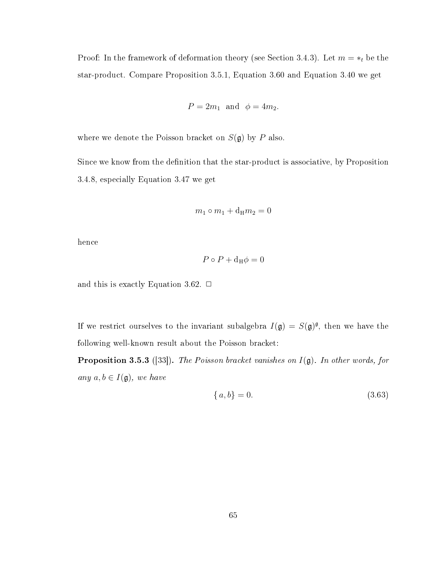Proof: In the framework of deformation theory (see Section 3.4.3). Let  $m = *_{t}$  be the star-product. Compare Proposition 3.5.1, Equation 3.60 and Equation 3.40 we get

$$
P = 2m_1
$$
 and  $\phi = 4m_2$ .

where we denote the Poisson bracket on  $S(\mathfrak{g})$  by P also.

Since we know from the definition that the star-product is associative, by Proposition 3.4.8, especially Equation 3.47 we get

$$
m_1 \circ m_1 + \mathrm{d_H} m_2 = 0
$$

hence

$$
P \circ P + \mathrm{d}_{\mathrm{H}} \phi = 0
$$

and this is exactly Equation 3.62.  $\Box$ 

If we restrict ourselves to the invariant subalgebra  $I(\mathfrak{g}) = S(\mathfrak{g})^{\mathfrak{g}},$  then we have the following well-known result about the Poisson bracket:

**Proposition 3.5.3** ([33]). The Poisson bracket vanishes on  $I(\mathfrak{g})$ . In other words, for any  $a, b \in I(\mathfrak{g})$ , we have

$$
\{a, b\} = 0. \tag{3.63}
$$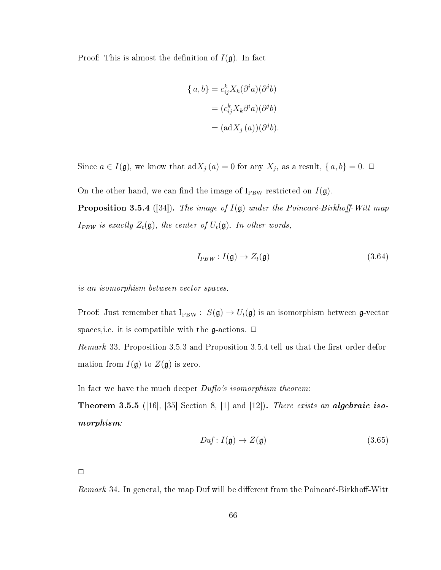Proof: This is almost the definition of  $I(\mathfrak{g})$ . In fact

$$
\{a, b\} = c_{ij}^{k} X_{k} (\partial^{i} a)(\partial^{j} b)
$$

$$
= (c_{ij}^{k} X_{k} \partial^{i} a)(\partial^{j} b)
$$

$$
= (adX_{j} (a))(\partial^{j} b).
$$

Since  $a \in I(\mathfrak{g})$ , we know that  $\mathrm{ad}X_j(a) = 0$  for any  $X_j$ , as a result,  $\{a, b\} = 0$ .  $\Box$ 

On the other hand, we can find the image of  $I_{\rm PBW}$  restricted on  $I(\mathfrak{g})$ .

**Proposition 3.5.4** ([34]). The image of  $I(\mathfrak{g})$  under the Poincaré-Birkhoff-Witt map  $I_{PBW}$  is exactly  $Z_t(\mathfrak{g})$ , the center of  $U_t(\mathfrak{g})$ . In other words,

$$
I_{PBW}: I(\mathfrak{g}) \to Z_t(\mathfrak{g}) \tag{3.64}
$$

is an isomorphism between vector spaces.

Proof: Just remember that  $I_{PBW}$  :  $S(\mathfrak{g}) \to U_t(\mathfrak{g})$  is an isomorphism between  $\mathfrak{g}\text{-vector}$ spaces, i.e. it is compatible with the  $\mathfrak{g}\text{-actions}$ .  $\Box$ 

*Remark* 33. Proposition 3.5.3 and Proposition 3.5.4 tell us that the first-order deformation from  $I(\mathfrak{g})$  to  $Z(\mathfrak{g})$  is zero.

In fact we have the much deeper  $Duflo's$  isomorphism theorem:

**Theorem 3.5.5** ([16], [35] Section 8, [1] and [12]). There exists an **algebraic iso**morphism:

$$
Duf: I(\mathfrak{g}) \to Z(\mathfrak{g}) \tag{3.65}
$$

 $\Box$ 

*Remark* 34. In general, the map Duf will be different from the Poincaré-Birkhoff-Witt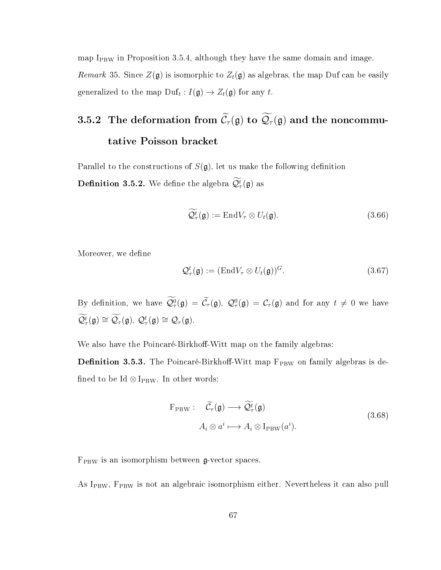map  $I_{PBW}$  in Proposition 3.5.4, although they have the same domain and image. Remark 35. Since  $Z(\mathfrak{g})$  is isomorphic to  $Z_t(\mathfrak{g})$  as algebras, the map Duf can be easily generalized to the map  $\text{Duf}_t: I(\mathfrak{g}) \to Z_t(\mathfrak{g})$  for any t.

# 3.5.2 The deformation from  $\widetilde{\mathcal{C}}_{\tau}(\mathfrak{g})$  to  $\widetilde{\mathcal{Q}}_{\tau}(\mathfrak{g})$  and the noncommutative Poisson bracket

Parallel to the constructions of  $S(\mathfrak{g})$ , let us make the following definition **Definition 3.5.2.** We define the algebra  $\mathcal{Q}_{\tau}^{t}(\mathfrak{g})$  as

$$
\widetilde{\mathcal{Q}}_{\tau}^{t}(\mathfrak{g}) := \mathrm{End} V_{\tau} \otimes U_{t}(\mathfrak{g}). \tag{3.66}
$$

Moreover, we define

$$
\mathcal{Q}_{\tau}^{t}(\mathfrak{g}) := (\text{End} V_{\tau} \otimes U_{t}(\mathfrak{g}))^{G}.
$$
\n(3.67)

By definition, we have  $\mathcal{Q}^0_\tau(\mathfrak{g}) = \tilde{\mathcal{C}}_\tau(\mathfrak{g}), \ \mathcal{Q}^0_\tau(\mathfrak{g}) = \mathcal{C}_\tau(\mathfrak{g})$  and for any  $t \neq 0$  we have  $\widetilde{\mathcal{Q}}_{\tau}^{t}(\mathfrak{g})\cong\widetilde{\mathcal{Q}}_{\tau}(\mathfrak{g}),\ \mathcal{Q}_{\tau}^{t}(\mathfrak{g})\cong\mathcal{Q}_{\tau}(\mathfrak{g}).$ 

We also have the Poincaré-Birkhoff-Witt map on the family algebras:

**Definition 3.5.3.** The Poincaré-Birkhoff-Witt map  $F_{PBW}$  on family algebras is defined to be Id  $\otimes$  I<sub>PBW</sub>. In other words:

$$
F_{PBW}: \quad \widetilde{\mathcal{C}}_{\tau}(\mathfrak{g}) \longrightarrow \widetilde{\mathcal{Q}}_{\tau}^{\widetilde{t}}(\mathfrak{g})
$$
\n
$$
A_i \otimes a^i \longmapsto A_i \otimes I_{PBW}(a^i).
$$
\n(3.68)

 $F_{PBW}$  is an isomorphism between  $g$ -vector spaces.

As I<sub>PBW</sub>, F<sub>PBW</sub> is not an algebraic isomorphism either. Nevertheless it can also pull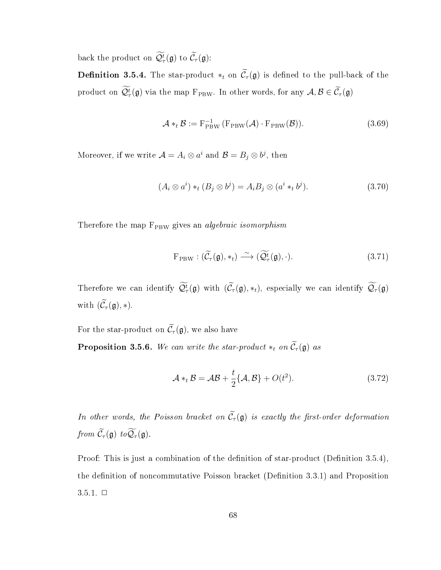back the product on  $\mathcal{Q}_{\tau}^{t}(\mathfrak{g})$  to  $\mathcal{C}_{\tau}(\mathfrak{g})$ :

**Definition 3.5.4.** The star-product  $*_t$  on  $\widetilde{C}_{\tau}(\mathfrak{g})$  is defined to the pull-back of the product on  $\mathcal{Q}_{\tau}^{t}(\mathfrak{g})$  via the map  $\mathrm{F}_{\mathrm{PBW}}$ . In other words, for any  $\mathcal{A}, \mathcal{B} \in \mathcal{C}_{\tau}(\mathfrak{g})$ 

$$
\mathcal{A} *_{t} \mathcal{B} := \mathbf{F}_{\text{PBW}}^{-1} \left( \mathbf{F}_{\text{PBW}}(\mathcal{A}) \cdot \mathbf{F}_{\text{PBW}}(\mathcal{B}) \right).
$$
 (3.69)

Moreover, if we write  $\mathcal{A} = A_i \otimes a^i$  and  $\mathcal{B} = B_j \otimes b^j$ , then

$$
(Ai \otimes ai) *t (Bj \otimes bj) = AiBj \otimes (ai *t bj).
$$
\n(3.70)

Therefore the map  $F_{PBW}$  gives an *algebraic isomorphism* 

$$
F_{PBW}: (\widetilde{\mathcal{C}}_{\tau}(\mathfrak{g}), *_t) \xrightarrow{\sim} (\widetilde{\mathcal{Q}}_{\tau}^t(\mathfrak{g}), \cdot). \tag{3.71}
$$

Therefore we can identify  $\mathcal{Q}_{\tau}^{t}(\mathfrak{g})$  with  $(\mathcal{C}_{\tau}(\mathfrak{g}), *_t)$ , especially we can identify  $\mathcal{Q}_{\tau}(\mathfrak{g})$ with  $(\widetilde{\mathcal{C}}_{\tau}(\mathfrak{g}), *)$ .

For the star-product on  $\widetilde{\mathcal{C}}_{\tau}(\mathfrak{g})$ , we also have

**Proposition 3.5.6.** We can write the star-product  $*_t$  on  $\widetilde{C}_{\tau}(\mathfrak{g})$  as

$$
\mathcal{A} *_{t} \mathcal{B} = \mathcal{A}\mathcal{B} + \frac{t}{2} \{\mathcal{A}, \mathcal{B}\} + O(t^{2}).
$$
\n(3.72)

In other words, the Poisson bracket on  $\widetilde{\mathcal{C}}_{\tau}(\mathfrak{g})$  is exactly the first-order deformation from  $\widetilde{\mathcal{C}}_{\tau}(\mathfrak{g})$  to  $\widetilde{\mathcal{Q}}_{\tau}(\mathfrak{g})$ .

Proof: This is just a combination of the definition of star-product (Definition 3.5.4), the definition of noncommutative Poisson bracket (Definition 3.3.1) and Proposition  $3.5.1. \Box$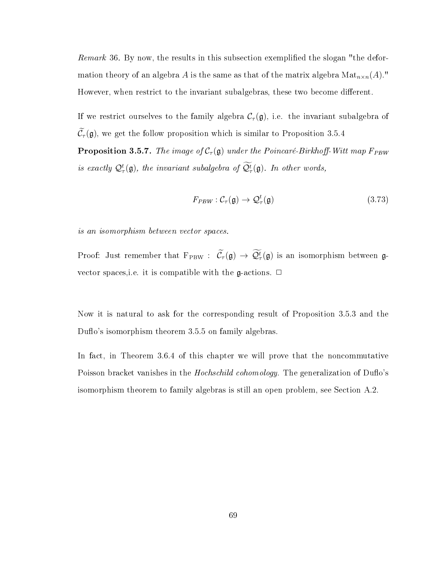Remark 36. By now, the results in this subsection exemplified the slogan "the deformation theory of an algebra A is the same as that of the matrix algebra  $\text{Mat}_{n\times n}(A)$ ." However, when restrict to the invariant subalgebras, these two become different.

If we restrict ourselves to the family algebra  $C_{\tau}(\mathfrak{g})$ , i.e. the invariant subalgebra of  $\widetilde{\mathcal{C}}_{\tau}(\mathfrak{g})$ , we get the follow proposition which is similar to Proposition 3.5.4

**Proposition 3.5.7.** The image of  $C_\tau(\mathfrak{g})$  under the Poincaré-Birkhoff-Witt map  $F_{PBW}$ is exactly  $\mathcal{Q}_{\tau}^{t}(\mathfrak{g})$ , the invariant subalgebra of  $\mathcal{Q}_{\tau}^{t}(\mathfrak{g})$ . In other words,

$$
F_{PBW}: \mathcal{C}_{\tau}(\mathfrak{g}) \to \mathcal{Q}_{\tau}^{t}(\mathfrak{g}) \tag{3.73}
$$

is an isomorphism between vector spaces.

Proof: Just remember that  $F_{\rm PBW}$  :  $\mathcal{C}_{\tau}(\mathfrak{g}) \to \mathcal{Q}_{\tau}^{t}(\mathfrak{g})$  is an isomorphism between  $\mathfrak{g}$ vector spaces, i.e. it is compatible with the  $\mathfrak{g}\text{-actions}$ .  $\Box$ 

Now it is natural to ask for the corresponding result of Proposition 3.5.3 and the Duflo's isomorphism theorem 3.5.5 on family algebras.

In fact, in Theorem 3.6.4 of this chapter we will prove that the noncommutative Poisson bracket vanishes in the *Hochschild cohomology*. The generalization of Duflo's isomorphism theorem to family algebras is still an open problem, see Section A.2.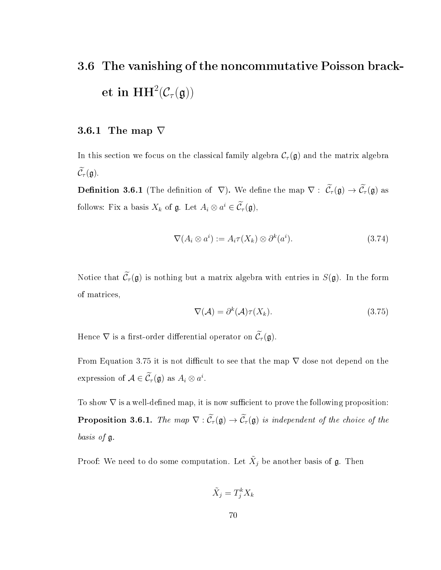# 3.6 The vanishing of the noncommutative Poisson bracket in  $\mathrm{HH}^2(\mathcal{C}_\tau(\mathfrak{g}))$

### 3.6.1 The map  $\nabla$

In this section we focus on the classical family algebra  $\mathcal{C}_{\tau}(\mathfrak{g})$  and the matrix algebra  $\widetilde{\mathcal{C}}_{\tau}(\mathfrak{g}).$ 

**Definition 3.6.1** (The definition of  $\nabla$ ). We define the map  $\nabla$ :  $\widetilde{\mathcal{C}}_{\tau}(\mathfrak{g}) \to \widetilde{\mathcal{C}}_{\tau}(\mathfrak{g})$  as follows: Fix a basis  $X_k$  of  $\mathfrak{g}$ . Let  $A_i \otimes a^i \in C_{\tau}(\mathfrak{g})$ ,

$$
\nabla (A_i \otimes a^i) := A_i \tau(X_k) \otimes \partial^k(a^i). \tag{3.74}
$$

Notice that  $\widetilde{\mathcal{C}}_{\tau}(\mathfrak{g})$  is nothing but a matrix algebra with entries in  $S(\mathfrak{g})$ . In the form of matrices,

$$
\nabla(\mathcal{A}) = \partial^k(\mathcal{A})\tau(X_k). \tag{3.75}
$$

Hence  $\nabla$  is a first-order differential operator on  $\widetilde{\mathcal{C}}_{\tau}(\mathfrak{g})$ .

From Equation 3.75 it is not difficult to see that the map  $\nabla$  dose not depend on the expression of  $A \in \tilde{C}_{\tau}(\mathfrak{g})$  as  $A_i \otimes a^i$ .

To show  $\nabla$  is a well-defined map, it is now sufficient to prove the following proposition: **Proposition 3.6.1.** The map  $\nabla : \widetilde{\mathcal{C}}_{\tau}(\mathfrak{g}) \to \widetilde{\mathcal{C}}_{\tau}(\mathfrak{g})$  is independent of the choice of the basis of g.

Proof: We need to do some computation. Let  $\tilde{X}_j$  be another basis of  $\mathfrak{g}$ . Then

$$
\tilde{X}_j = T_j^k X_k
$$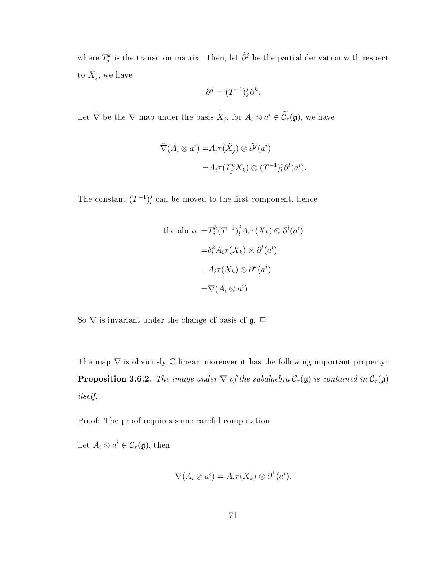where  $T_j^k$  is the transition matrix. Then, let  $\tilde\partial^j$  be the partial derivation with respect to  $\tilde{X}_j$ , we have

$$
\tilde{\partial}^j = (T^{-1})^j_k \partial^k.
$$

Let  $\tilde{\nabla}$  be the  $\nabla$  map under the basis  $\tilde{X}_j$ , for  $A_i \otimes a^i \in \widetilde{\mathcal{C}}_{\tau}(\mathfrak{g})$ , we have

$$
\tilde{\nabla}(A_i \otimes a^i) = A_i \tau(\tilde{X}_j) \otimes \tilde{\partial}^j(a^i)
$$
  
=  $A_i \tau(T_j^k X_k) \otimes (T^{-1})_i^j \partial^l(a^i).$ 

The constant  $(T^{-1})_l^j$  $\frac{\partial}{\partial l}$  can be moved to the first component, hence

the above 
$$
=T_j^k (T^{-1})_l^j A_i \tau(X_k) \otimes \partial^l (a^i)
$$
  
\n $=\delta_l^k A_i \tau(X_k) \otimes \partial^l (a^i)$   
\n $=A_i \tau(X_k) \otimes \partial^k (a^i)$   
\n $=\nabla(A_i \otimes a^i)$ 

So  $\nabla$  is invariant under the change of basis of  $\mathfrak{g}$ .  $\Box$ 

The map  $\nabla$  is obviously C-linear, moreover it has the following important property: **Proposition 3.6.2.** The image under  $\nabla$  of the subalgebra  $C_{\tau}(\mathfrak{g})$  is contained in  $C_{\tau}(\mathfrak{g})$ itself.

Proof: The proof requires some careful computation.

Let  $A_i \otimes a^i \in C_{\tau}(\mathfrak{g})$ , then

$$
\nabla (A_i \otimes a^i) = A_i \tau(X_k) \otimes \partial^k(a^i).
$$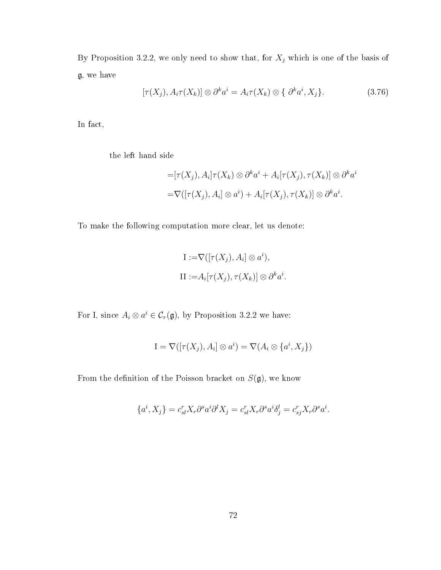By Proposition 3.2.2, we only need to show that, for  $X_j$  which is one of the basis of g, we have

$$
[\tau(X_j), A_i \tau(X_k)] \otimes \partial^k a^i = A_i \tau(X_k) \otimes \{ \partial^k a^i, X_j \}.
$$
 (3.76)

In fact,

the left hand side

$$
= [\tau(X_j), A_i] \tau(X_k) \otimes \partial^k a^i + A_i[\tau(X_j), \tau(X_k)] \otimes \partial^k a^i
$$
  

$$
= \nabla([\tau(X_j), A_i] \otimes a^i) + A_i[\tau(X_j), \tau(X_k)] \otimes \partial^k a^i.
$$

To make the following computation more clear, let us denote:

I := 
$$
\nabla([\tau(X_j), A_i] \otimes a^i)
$$
,  
\nII :=  $A_i[\tau(X_j), \tau(X_k)] \otimes \partial^k a^i$ .

For I, since  $A_i \otimes a^i \in C_{\tau}(\mathfrak{g})$ , by Proposition 3.2.2 we have:

$$
I = \nabla([\tau(X_j), A_i] \otimes a^i) = \nabla(A_i \otimes \{a^i, X_j\})
$$

From the definition of the Poisson bracket on  $S(\mathfrak{g})$ , we know

$$
\{a^i, X_j\} = c_{sl}^r X_r \partial^s a^i \partial^l X_j = c_{sl}^r X_r \partial^s a^i \delta_j^l = c_{sj}^r X_r \partial^s a^i.
$$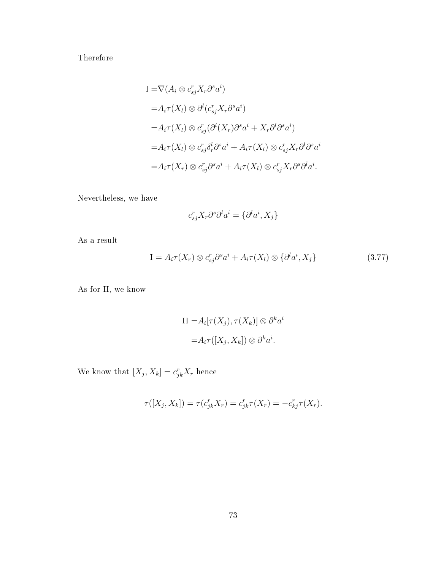Therefore

$$
I = \nabla (A_i \otimes c_{sj}^r X_r \partial^s a^i)
$$
  
\n
$$
= A_i \tau(X_l) \otimes \partial^l (c_{sj}^r X_r \partial^s a^i)
$$
  
\n
$$
= A_i \tau(X_l) \otimes c_{sj}^r (\partial^l (X_r) \partial^s a^i + X_r \partial^l \partial^s a^i)
$$
  
\n
$$
= A_i \tau(X_l) \otimes c_{sj}^r \delta_r^l \partial^s a^i + A_i \tau(X_l) \otimes c_{sj}^r X_r \partial^l \partial^s a^i
$$
  
\n
$$
= A_i \tau(X_r) \otimes c_{sj}^r \partial^s a^i + A_i \tau(X_l) \otimes c_{sj}^r X_r \partial^s \partial^l a^i.
$$

Nevertheless, we have

$$
c_{sj}^{r} X_{r} \partial^{s} \partial^{l} a^{i} = \{ \partial^{l} a^{i}, X_{j} \}
$$

As a result

$$
I = A_i \tau(X_r) \otimes c_{sj}^r \partial^s a^i + A_i \tau(X_l) \otimes \{ \partial^l a^i, X_j \}
$$
\n(3.77)

As for II, we know

II = 
$$
A_i[\tau(X_j), \tau(X_k)] \otimes \partial^k a^i
$$
  
=  $A_i \tau([X_j, X_k]) \otimes \partial^k a^i$ .

We know that  $[X_j, X_k] = c_{jk}^r X_r$  hence

$$
\tau([X_j, X_k]) = \tau(c_{jk}^r X_r) = c_{jk}^r \tau(X_r) = -c_{kj}^r \tau(X_r).
$$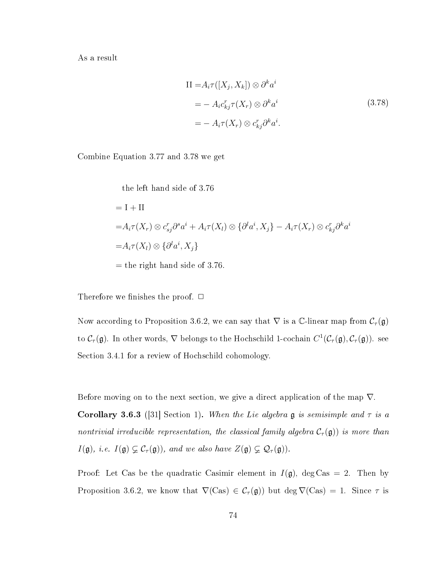As a result

$$
II = A_i \tau([X_j, X_k]) \otimes \partial^k a^i
$$
  
=  $- A_i c_{kj}^r \tau(X_r) \otimes \partial^k a^i$   
=  $- A_i \tau(X_r) \otimes c_{kj}^r \partial^k a^i$ . (3.78)

Combine Equation 3.77 and 3.78 we get

the left hand side of 3.76  $=$  I + II  $=A_i\tau(X_r)\otimes c_{sj}^r\partial^s a^i+A_i\tau(X_l)\otimes\{\partial^l a^i,X_j\}-A_i\tau(X_r)\otimes c_{kj}^r\partial^k a^i$  $=A_i\tau(X_l)\otimes\{\partial^la^i a^i,X_j\}$  $=$  the right hand side of 3.76.

Therefore we finishes the proof.  $\Box$ 

Now according to Proposition 3.6.2, we can say that  $\nabla$  is a C-linear map from  $\mathcal{C}_{\tau}(\mathfrak{g})$ to  $C_\tau(\mathfrak{g})$ . In other words,  $\nabla$  belongs to the Hochschild 1-cochain  $C^1(\mathcal{C}_\tau(\mathfrak{g}),\mathcal{C}_\tau(\mathfrak{g}))$ . see Section 3.4.1 for a review of Hochschild cohomology.

Before moving on to the next section, we give a direct application of the map  $\nabla$ . **Corollary 3.6.3** ([31] Section 1). When the Lie algebra g is semisimple and  $\tau$  is a nontrivial irreducible representation, the classical family algebra  $C_{\tau}(\mathfrak{g})$  is more than  $I(\mathfrak{g}),$  i.e.  $I(\mathfrak{g}) \subsetneq C_{\tau}(\mathfrak{g})),$  and we also have  $Z(\mathfrak{g}) \subsetneq \mathcal{Q}_{\tau}(\mathfrak{g})).$ 

Proof: Let Cas be the quadratic Casimir element in  $I(\mathfrak{g})$ , deg Cas = 2. Then by Proposition 3.6.2, we know that  $\nabla$ (Cas)  $\in$  C<sub>τ</sub>(g)) but deg  $\nabla$ (Cas) = 1. Since  $\tau$  is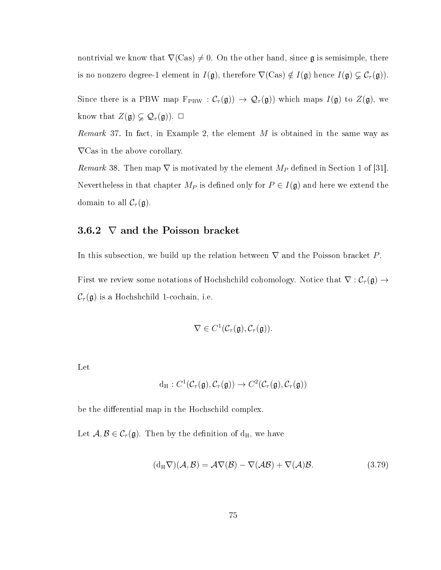nontrivial we know that  $\nabla$ (Cas)  $\neq$  0. On the other hand, since g is semisimple, there is no nonzero degree-1 element in  $I(\mathfrak{g})$ , therefore  $\nabla$ (Cas)  $\notin I(\mathfrak{g})$  hence  $I(\mathfrak{g}) \subsetneq C_{\tau}(\mathfrak{g})$ .

Since there is a PBW map  $F_{PBW} : C_{\tau}(\mathfrak{g}) \to \mathcal{Q}_{\tau}(\mathfrak{g})$  which maps  $I(\mathfrak{g})$  to  $Z(\mathfrak{g})$ , we know that  $Z(\mathfrak{g}) \subsetneq \mathcal{Q}_{\tau}(\mathfrak{g})$ .  $\Box$ 

*Remark* 37. In fact, in Example 2, the element  $M$  is obtained in the same way as ∇Cas in the above corollary.

Remark 38. Then map  $\nabla$  is motivated by the element  $M_P$  defined in Section 1 of [31]. Nevertheless in that chapter  $M_P$  is defined only for  $P \in I(\mathfrak{g})$  and here we extend the domain to all  $\mathcal{C}_{\tau}(\mathfrak{g})$ .

#### 3.6.2  $\nabla$  and the Poisson bracket

In this subsection, we build up the relation between  $\nabla$  and the Poisson bracket P.

First we review some notations of Hochshchild cohomology. Notice that  $\nabla : C_\tau(\mathfrak{g}) \to$  $\mathcal{C}_{\tau}(\mathfrak{g})$  is a Hochshchild 1-cochain, i.e.

$$
\nabla \in C^1(\mathcal{C}_{\tau}(\mathfrak{g}), \mathcal{C}_{\tau}(\mathfrak{g})).
$$

Let

$$
d_H: C^1(\mathcal{C}_\tau(\mathfrak{g}), \mathcal{C}_\tau(\mathfrak{g})) \to C^2(\mathcal{C}_\tau(\mathfrak{g}), \mathcal{C}_\tau(\mathfrak{g}))
$$

be the differential map in the Hochschild complex.

Let  $A, B \in C_{\tau}(\mathfrak{g})$ . Then by the definition of  $d_H$ , we have

$$
(d_H \nabla)(\mathcal{A}, \mathcal{B}) = \mathcal{A}\nabla(\mathcal{B}) - \nabla(\mathcal{A}\mathcal{B}) + \nabla(\mathcal{A})\mathcal{B}.
$$
 (3.79)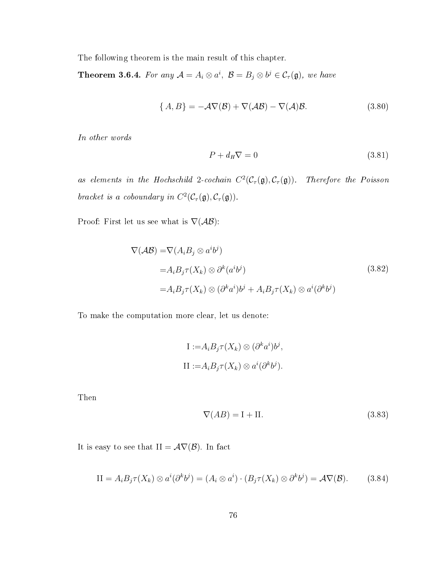The following theorem is the main result of this chapter.

**Theorem 3.6.4.** For any  $\mathcal{A} = A_i \otimes a^i$ ,  $\mathcal{B} = B_j \otimes b^j \in C_{\tau}(\mathfrak{g})$ , we have

$$
\{A, B\} = -\mathcal{A}\nabla(\mathcal{B}) + \nabla(\mathcal{A}\mathcal{B}) - \nabla(\mathcal{A})\mathcal{B}.
$$
 (3.80)

In other words

$$
P + d_H \nabla = 0 \tag{3.81}
$$

as elements in the Hochschild 2-cochain  $C^2(\mathcal{C}_\tau(\mathfrak{g}), \mathcal{C}_\tau(\mathfrak{g}))$ . Therefore the Poisson bracket is a coboundary in  $C^2(\mathcal{C}_\tau(\mathfrak{g}), \mathcal{C}_\tau(\mathfrak{g})).$ 

Proof: First let us see what is  $\nabla(\mathcal{AB})$ :

$$
\nabla(\mathcal{AB}) = \nabla(A_i B_j \otimes a^i b^j)
$$
  
=  $A_i B_j \tau(X_k) \otimes \partial^k(a^i b^j)$   
=  $A_i B_j \tau(X_k) \otimes (\partial^k a^i) b^j + A_i B_j \tau(X_k) \otimes a^i (\partial^k b^j)$  (3.82)

To make the computation more clear, let us denote:

I := 
$$
A_i B_j \tau(X_k) \otimes (\partial^k a^i) b^j
$$
,  
\nII :=  $A_i B_j \tau(X_k) \otimes a^i (\partial^k b^j)$ .

Then

$$
\nabla(AB) = \mathbf{I} + \mathbf{II}.\tag{3.83}
$$

It is easy to see that  $II = \mathcal{A}\nabla(\mathcal{B})$ . In fact

$$
II = A_i B_j \tau(X_k) \otimes a^i (\partial^k b^j) = (A_i \otimes a^i) \cdot (B_j \tau(X_k) \otimes \partial^k b^j) = \mathcal{A} \nabla(\mathcal{B}). \tag{3.84}
$$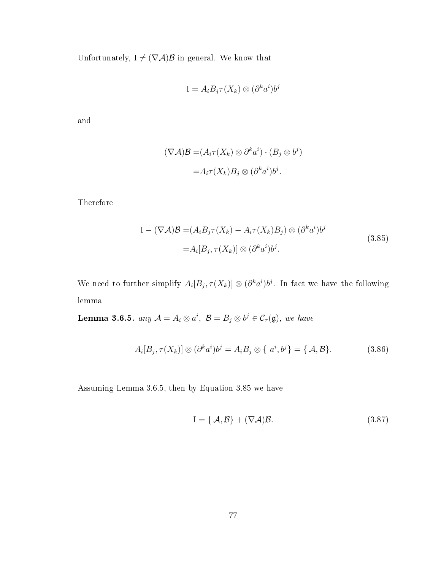Unfortunately,  $I \neq (\nabla \mathcal{A})\mathcal{B}$  in general. We know that

$$
I = A_i B_j \tau(X_k) \otimes (\partial^k a^i) b^j
$$

and

$$
(\nabla \mathcal{A})\mathcal{B} = (A_i \tau(X_k) \otimes \partial^k a^i) \cdot (B_j \otimes b^j)
$$

$$
= A_i \tau(X_k) B_j \otimes (\partial^k a^i) b^j.
$$

Therefore

$$
I - (\nabla \mathcal{A}) \mathcal{B} = (A_i B_j \tau(X_k) - A_i \tau(X_k) B_j) \otimes (\partial^k a^i) b^j
$$
  
=  $A_i[B_j, \tau(X_k)] \otimes (\partial^k a^i) b^j.$  (3.85)

We need to further simplify  $A_i[B_j, \tau(X_k)] \otimes (\partial^k a^i) b^j$ . In fact we have the following lemma

**Lemma 3.6.5.** any  $\mathcal{A} = A_i \otimes a^i$ ,  $\mathcal{B} = B_j \otimes b^j \in C_{\tau}(\mathfrak{g})$ , we have

$$
A_i[B_j, \tau(X_k)] \otimes (\partial^k a^i) b^j = A_i B_j \otimes \{a^i, b^j\} = \{A, B\}.
$$
 (3.86)

Assuming Lemma 3.6.5, then by Equation 3.85 we have

$$
I = \{ \mathcal{A}, \mathcal{B} \} + (\nabla \mathcal{A}) \mathcal{B}.
$$
 (3.87)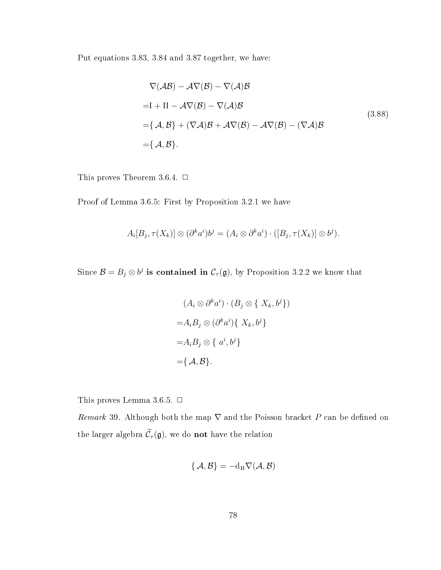Put equations 3.83, 3.84 and 3.87 together, we have:

$$
\nabla(\mathcal{A}\mathcal{B}) - \mathcal{A}\nabla(\mathcal{B}) - \nabla(\mathcal{A})\mathcal{B}
$$
  
=I + II -  $\mathcal{A}\nabla(\mathcal{B}) - \nabla(\mathcal{A})\mathcal{B}$   
= { $\mathcal{A}, \mathcal{B}$ } + ( $\nabla\mathcal{A}$ ) $\mathcal{B}$  +  $\mathcal{A}\nabla(\mathcal{B}) - \mathcal{A}\nabla(\mathcal{B}) - (\nabla\mathcal{A})\mathcal{B}$   
= { $\mathcal{A}, \mathcal{B}$ }. (3.88)

This proves Theorem 3.6.4.  $\Box$ 

Proof of Lemma 3.6.5: First by Proposition 3.2.1 we have

$$
A_i[B_j, \tau(X_k)] \otimes (\partial^k a^i) b^j = (A_i \otimes \partial^k a^i) \cdot ([B_j, \tau(X_k)] \otimes b^j).
$$

Since  $\mathcal{B} = B_j \otimes b^j$  is contained in  $\mathcal{C}_{\tau}(\mathfrak{g})$ , by Proposition 3.2.2 we know that

$$
(A_i \otimes \partial^k a^i) \cdot (B_j \otimes \{ X_k, b^j \})
$$

$$
= A_i B_j \otimes (\partial^k a^i) \{ X_k, b^j \}
$$

$$
= A_i B_j \otimes \{ a^i, b^j \}
$$

$$
= \{ \mathcal{A}, \mathcal{B} \}.
$$

This proves Lemma 3.6.5.  $\Box$ 

Remark 39. Although both the map  $\nabla$  and the Poisson bracket P can be defined on the larger algebra  $\widetilde{\mathcal{C}}_{\tau}(\mathfrak{g}),$  we do **not** have the relation

$$
\{\,{\mathcal A},{\mathcal B}\}=-{\rm d}_{\rm H}\nabla({\mathcal A},{\mathcal B})
$$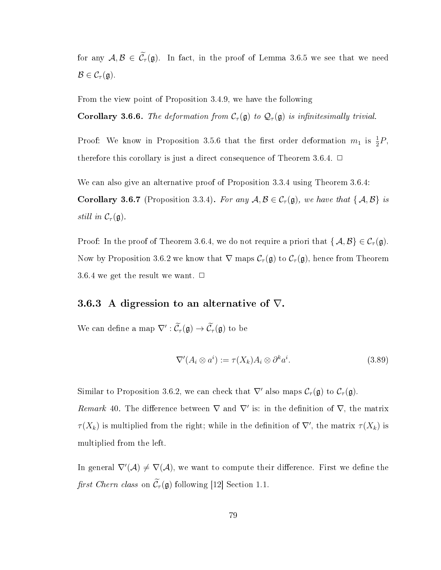for any  $A, B \in \widetilde{\mathcal{C}}_{\tau}(\mathfrak{g})$ . In fact, in the proof of Lemma 3.6.5 we see that we need  $\mathcal{B} \in \mathcal{C}_{\tau}(\mathfrak{g}).$ 

From the view point of Proposition 3.4.9, we have the following

Corollary 3.6.6. The deformation from  $C_{\tau}(\mathfrak{g})$  to  $\mathcal{Q}_{\tau}(\mathfrak{g})$  is infinitesimally trivial.

Proof: We know in Proposition 3.5.6 that the first order deformation  $m_1$  is  $\frac{1}{2}P$ , therefore this corollary is just a direct consequence of Theorem 3.6.4.  $\Box$ 

We can also give an alternative proof of Proposition 3.3.4 using Theorem 3.6.4:

**Corollary 3.6.7** (Proposition 3.3.4). For any  $A, B \in C_{\tau}(\mathfrak{g})$ , we have that  $\{A, B\}$  is still in  $\mathcal{C}_{\tau}(\mathfrak{g})$ .

Proof: In the proof of Theorem 3.6.4, we do not require a priori that  $\{\mathcal{A}, \mathcal{B}\} \in \mathcal{C}_{\tau}(\mathfrak{g})$ . Now by Proposition 3.6.2 we know that  $\nabla$  maps  $C_{\tau}(\mathfrak{g})$  to  $C_{\tau}(\mathfrak{g})$ , hence from Theorem 3.6.4 we get the result we want.  $\Box$ 

#### 3.6.3 A digression to an alternative of  $\nabla$ .

We can define a map  $\nabla': \tilde{\mathcal{C}}_{\tau}(\mathfrak{g}) \to \tilde{\mathcal{C}}_{\tau}(\mathfrak{g})$  to be

$$
\nabla'(A_i \otimes a^i) := \tau(X_k) A_i \otimes \partial^k a^i.
$$
\n(3.89)

Similar to Proposition 3.6.2, we can check that  $\nabla'$  also maps  $\mathcal{C}_{\tau}(\mathfrak{g})$  to  $\mathcal{C}_{\tau}(\mathfrak{g})$ .

Remark 40. The difference between  $\nabla$  and  $\nabla'$  is: in the definition of  $\nabla$ , the matrix  $\tau(X_k)$  is multiplied from the right; while in the definition of  $\nabla'$ , the matrix  $\tau(X_k)$  is multiplied from the left.

In general  $\nabla'(\mathcal{A}) \neq \nabla(\mathcal{A})$ , we want to compute their difference. First we define the first Chern class on  $\widetilde{\mathcal{C}}_{\tau}(\mathfrak{g})$  following [12] Section 1.1.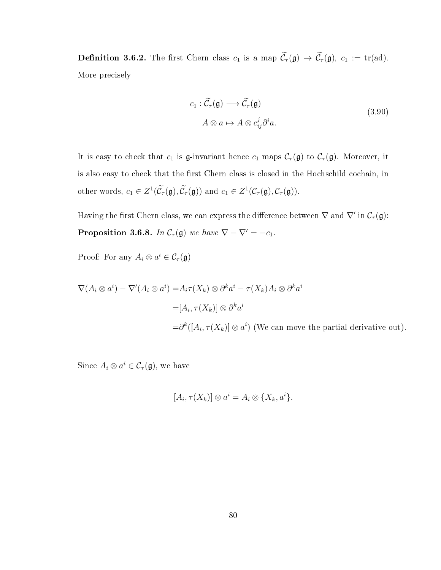**Definition 3.6.2.** The first Chern class  $c_1$  is a map  $\widetilde{\mathcal{C}}_{\tau}(\mathfrak{g}) \to \widetilde{\mathcal{C}}_{\tau}(\mathfrak{g}), c_1 := \mathrm{tr}(\mathrm{ad}).$ More precisely

$$
c_1 : \widetilde{\mathcal{C}}_{\tau}(\mathfrak{g}) \longrightarrow \widetilde{\mathcal{C}}_{\tau}(\mathfrak{g})
$$
  
\n
$$
A \otimes a \mapsto A \otimes c_{ij}^j \partial^i a.
$$
\n(3.90)

It is easy to check that  $c_1$  is g-invariant hence  $c_1$  maps  $\mathcal{C}_{\tau}(\mathfrak{g})$  to  $\mathcal{C}_{\tau}(\mathfrak{g})$ . Moreover, it is also easy to check that the first Chern class is closed in the Hochschild cochain, in other words,  $c_1 \in Z^1(\tilde{C}_{\tau}(\mathfrak{g}), \tilde{C}_{\tau}(\mathfrak{g}))$  and  $c_1 \in Z^1(\mathcal{C}_{\tau}(\mathfrak{g}), \mathcal{C}_{\tau}(\mathfrak{g})).$ 

Having the first Chern class, we can express the difference between  $\nabla$  and  $\nabla'$  in  $\mathcal{C}_{\tau}(\mathfrak{g})$ : **Proposition 3.6.8.** In  $C_{\tau}(\mathfrak{g})$  we have  $\nabla - \nabla' = -c_1$ .

Proof: For any  $A_i \otimes a^i \in C_\tau(\mathfrak{g})$ 

$$
\nabla(A_i \otimes a^i) - \nabla'(A_i \otimes a^i) = A_i \tau(X_k) \otimes \partial^k a^i - \tau(X_k) A_i \otimes \partial^k a^i
$$
  
=  $[A_i, \tau(X_k)] \otimes \partial^k a^i$   
=  $\partial^k([A_i, \tau(X_k)] \otimes a^i)$  (We can move the partial derivative out).

Since  $A_i \otimes a^i \in C_\tau(\mathfrak{g})$ , we have

$$
[A_i, \tau(X_k)] \otimes a^i = A_i \otimes \{X_k, a^i\}.
$$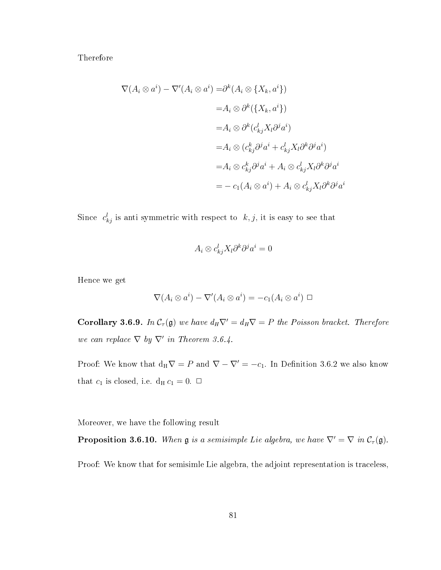Therefore

$$
\nabla(A_i \otimes a^i) - \nabla'(A_i \otimes a^i) = \partial^k(A_i \otimes \{X_k, a^i\})
$$
  
\n
$$
= A_i \otimes \partial^k(\{X_k, a^i\})
$$
  
\n
$$
= A_i \otimes \partial^k(c_{kj}^l X_l \partial^j a^i)
$$
  
\n
$$
= A_i \otimes (c_{kj}^k \partial^j a^i + c_{kj}^l X_l \partial^k \partial^j a^i)
$$
  
\n
$$
= A_i \otimes c_{kj}^k \partial^j a^i + A_i \otimes c_{kj}^l X_l \partial^k \partial^j a^i
$$
  
\n
$$
= -c_1(A_i \otimes a^i) + A_i \otimes c_{kj}^l X_l \partial^k \partial^j a^i
$$

Since  $c_{kj}^l$  is anti-symmetric with respect to  $k, j$ , it is easy to see that

$$
A_i \otimes c_{kj}^l X_l \partial^k \partial^j a^i = 0
$$

Hence we get

$$
\nabla (A_i \otimes a^i) - \nabla'(A_i \otimes a^i) = -c_1(A_i \otimes a^i) \ \Box
$$

**Corollary 3.6.9.** In  $C_\tau(\mathfrak{g})$  we have  $d_H \nabla' = d_H \nabla = P$  the Poisson bracket. Therefore we can replace  $\nabla$  by  $\nabla'$  in Theorem 3.6.4.

Proof: We know that  $d_H \nabla = P$  and  $\nabla - \nabla' = -c_1$ . In Definition 3.6.2 we also know that  $c_1$  is closed, i.e.  $d_H c_1 = 0$ .  $\Box$ 

Moreover, we have the following result

**Proposition 3.6.10.** When  $\mathfrak{g}$  is a semisimple Lie algebra, we have  $\nabla' = \nabla$  in  $\mathcal{C}_{\tau}(\mathfrak{g})$ .

Proof: We know that for semisimle Lie algebra, the adjoint representation is traceless,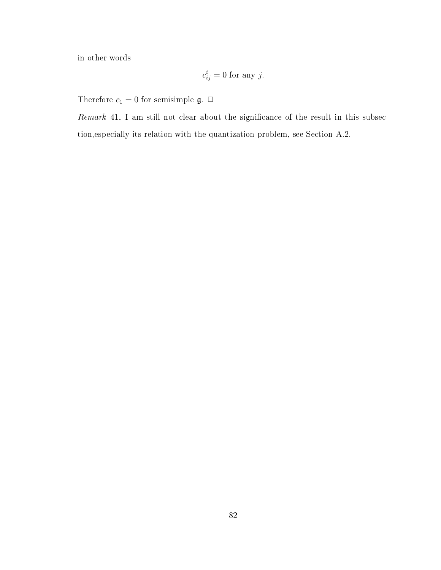in other words

$$
c_{ij}^i = 0
$$
 for any j.

Therefore  $c_1 = 0$  for semisimple  $\mathfrak{g}$ .  $\Box$ 

Remark 41. I am still not clear about the significance of the result in this subsection,especially its relation with the quantization problem, see Section A.2.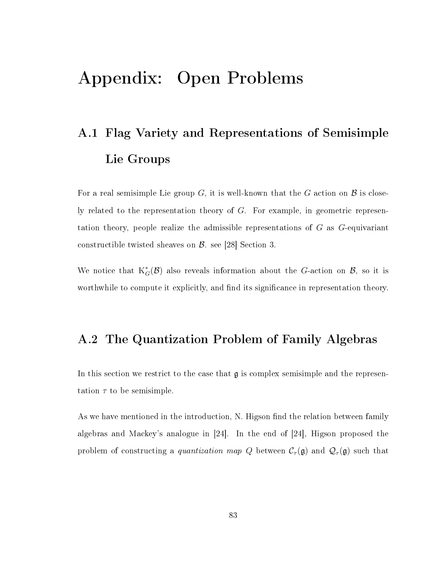## Appendix: Open Problems

# A.1 Flag Variety and Representations of Semisimple Lie Groups

For a real semisimple Lie group G, it is well-known that the G action on  $\mathcal B$  is closely related to the representation theory of G. For example, in geometric representation theory, people realize the admissible representations of G as G-equivariant constructible twisted sheaves on B. see [28] Section 3.

We notice that  $K^*_{G}(\mathcal{B})$  also reveals information about the G-action on  $\mathcal{B}$ , so it is worthwhile to compute it explicitly, and find its significance in representation theory.

### A.2 The Quantization Problem of Family Algebras

In this section we restrict to the case that  $\mathfrak g$  is complex semisimple and the representation  $\tau$  to be semisimple.

As we have mentioned in the introduction, N. Higson find the relation between family algebras and Mackey's analogue in [24]. In the end of [24], Higson proposed the problem of constructing a quantization map Q between  $\mathcal{C}_{\tau}(\mathfrak{g})$  and  $\mathcal{Q}_{\tau}(\mathfrak{g})$  such that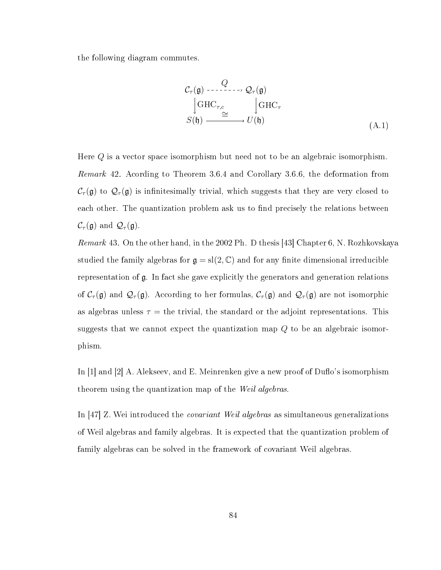the following diagram commutes.

$$
\mathcal{C}_{\tau}(\mathfrak{g}) \xrightarrow{\ Q} \mathcal{Q}_{\tau}(\mathfrak{g})
$$
\n
$$
\downarrow \text{GHC}_{\tau,c} \xrightarrow{\cong} \downarrow \text{GHC}_{\tau}
$$
\n
$$
S(\mathfrak{h}) \xrightarrow{\cong} U(\mathfrak{h}) \tag{A.1}
$$

Here  $Q$  is a vector space isomorphism but need not to be an algebraic isomorphism. Remark 42. Acording to Theorem 3.6.4 and Corollary 3.6.6, the deformation from  $C_{\tau}(\mathfrak{g})$  to  $\mathcal{Q}_{\tau}(\mathfrak{g})$  is infinitesimally trivial, which suggests that they are very closed to each other. The quantization problem ask us to find precisely the relations between  $\mathcal{C}_{\tau}(\mathfrak{g})$  and  $\mathcal{Q}_{\tau}(\mathfrak{g})$ .

Remark 43. On the other hand, in the 2002 Ph. D thesis [43] Chapter 6, N. Rozhkovskaya studied the family algebras for  $\mathfrak{g} = sl(2, \mathbb{C})$  and for any finite dimensional irreducible representation of g. In fact she gave explicitly the generators and generation relations of  $C_\tau(\mathfrak{g})$  and  $\mathcal{Q}_\tau(\mathfrak{g})$ . According to her formulas,  $C_\tau(\mathfrak{g})$  and  $\mathcal{Q}_\tau(\mathfrak{g})$  are not isomorphic as algebras unless  $\tau =$  the trivial, the standard or the adjoint representations. This suggests that we cannot expect the quantization map Q to be an algebraic isomorphism.

In  $[1]$  and  $[2]$  A. Alekseev, and E. Meinrenken give a new proof of Duflo's isomorphism theorem using the quantization map of the Weil algebras.

In [47] Z. Wei introduced the *covariant Weil algebras* as simultaneous generalizations of Weil algebras and family algebras. It is expected that the quantization problem of family algebras can be solved in the framework of covariant Weil algebras.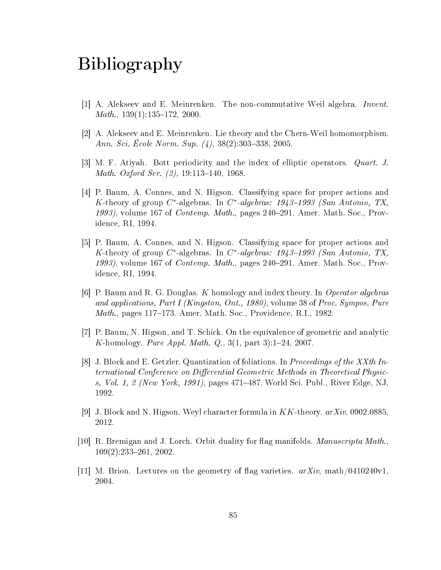### Bibliography

- [1] A. Alekseev and E. Meinrenken. The non-commutative Weil algebra. Invent.  $Math., 139(1):135-172, 2000.$
- [2] A. Alekseev and E. Meinrenken. Lie theory and the Chern-Weil homomorphism. Ann. Sci. Ecole Norm. Sup.  $(4)$ , 38 $(2)$ :303–338, 2005.
- [3] M. F. Atiyah. Bott periodicity and the index of elliptic operators. Quart. J. Math. Oxford Ser.  $(2)$ , 19:113-140, 1968.
- [4] P. Baum, A. Connes, and N. Higson. Classifying space for proper actions and K-theory of group  $C^*$ -algebras. In  $C^*$ -algebras: 1943-1993 (San Antonio, TX, 1993), volume 167 of *Contemp. Math.*, pages 240–291. Amer. Math. Soc., Providence, RI, 1994.
- [5] P. Baum, A. Connes, and N. Higson. Classifying space for proper actions and K-theory of group  $C^*$ -algebras. In  $C^*$ -algebras: 1943-1993 (San Antonio, TX, 1993), volume 167 of *Contemp. Math.*, pages  $240-291$ . Amer. Math. Soc., Providence, RI, 1994.
- [6] P. Baum and R. G. Douglas. K homology and index theory. In Operator algebras and applications, Part I (Kingston, Ont., 1980), volume 38 of Proc. Sympos. Pure *Math.*, pages 117–173. Amer. Math. Soc., Providence, R.I., 1982.
- [7] P. Baum, N. Higson, and T. Schick. On the equivalence of geometric and analytic K-homology. Pure Appl. Math.  $Q_{\cdot}$ , 3(1, part 3):1-24, 2007.
- [8] J. Block and E. Getzler. Quantization of foliations. In Proceedings of the XXth International Conference on Differential Geometric Methods in Theoretical Physics, Vol. 1, 2 (New York, 1991), pages  $471-487$ . World Sci. Publ., River Edge, NJ, 1992.
- [9] J. Block and N. Higson. Weyl character formula in  $KK$ -theory.  $arXiv$ , 0902.0885, 2012.
- [10] R. Bremigan and J. Lorch. Orbit duality for flag manifolds. *Manuscripta Math.*,  $109(2):233-261$ , 2002.
- [11] M. Brion. Lectures on the geometry of flag varieties.  $arXiv$ , math/0410240v1. 2004.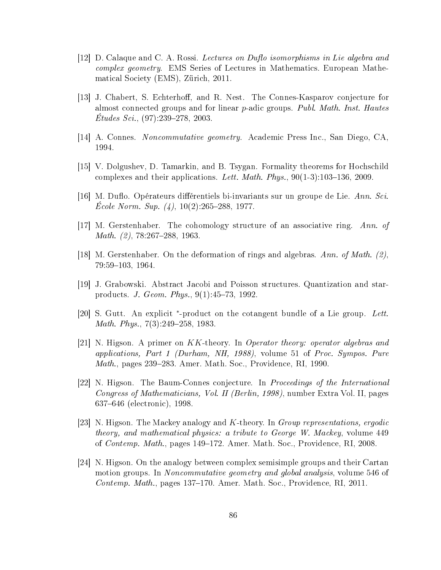- [12] D. Calaque and C. A. Rossi. Lectures on Duflo isomorphisms in Lie algebra and complex geometry. EMS Series of Lectures in Mathematics. European Mathematical Society (EMS), Zürich, 2011.
- [13] J. Chabert, S. Echterhoff, and R. Nest. The Connes-Kasparov conjecture for almost connected groups and for linear  $p$ -adic groups. Publ. Math. Inst. Hautes  $Etudes\; Sci.,\; (97):239-278,\; 2003.$
- [14] A. Connes. Noncommutative geometry. Academic Press Inc., San Diego, CA, 1994.
- [15] V. Dolgushev, D. Tamarkin, and B. Tsygan. Formality theorems for Hochschild complexes and their applications. Lett. Math. Phys.,  $90(1-3):103-136, 2009$ .
- [16] M. Duflo. Opérateurs différentiels bi-invariants sur un groupe de Lie. Ann. Sci. Ecole Norm. Sup.  $(4)$ , 10(2):265–288, 1977.
- [17] M. Gerstenhaber. The cohomology structure of an associative ring. Ann. of *Math.*  $(2)$ , 78:267–288, 1963.
- [18] M. Gerstenhaber. On the deformation of rings and algebras. Ann. of Math. (2), 79:59-103, 1964.
- [19] J. Grabowski. Abstract Jacobi and Poisson structures. Quantization and starproducts. *J. Geom. Phys.*,  $9(1):45-73$ , 1992.
- [20] S. Gutt. An explicit \*-product on the cotangent bundle of a Lie group. Lett. *Math. Phys.*,  $7(3):249-258$ , 1983.
- [21] N. Higson. A primer on  $KK$ -theory. In *Operator theory: operator algebras and* applications, Part 1 (Durham, NH, 1988), volume 51 of Proc. Sympos. Pure  $Math.,$  pages 239-283. Amer. Math. Soc., Providence, RI, 1990.
- [22] N. Higson. The Baum-Connes conjecture. In Proceedings of the International Congress of Mathematicians, Vol. II (Berlin, 1998), number Extra Vol. II, pages 637646 (electronic), 1998.
- [23] N. Higson. The Mackey analogy and K-theory. In Group representations, ergodic theory, and mathematical physics: a tribute to George W. Mackey, volume 449 of Contemp. Math., pages 149172. Amer. Math. Soc., Providence, RI, 2008.
- [24] N. Higson. On the analogy between complex semisimple groups and their Cartan motion groups. In *Noncommutative geometry and global analysis*, volume 546 of  $\textit{Contemp. Math.}$ , pages 137–170. Amer. Math. Soc., Providence, RI, 2011.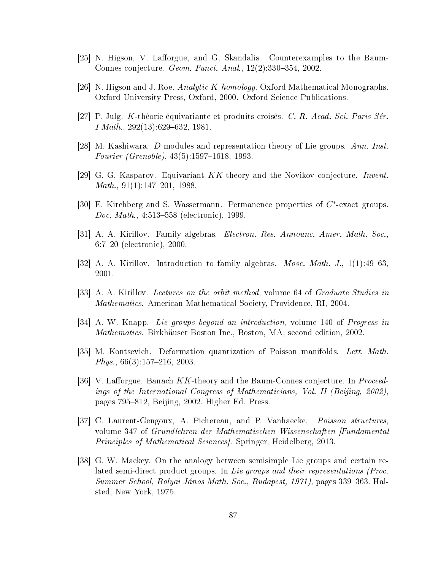- [25] N. Higson, V. Lafforgue, and G. Skandalis. Counterexamples to the Baum-Connes conjecture.  $Geom.$  Funct. Anal.,  $12(2):330-354$ , 2002.
- [26] N. Higson and J. Roe. Analytic K-homology. Oxford Mathematical Monographs. Oxford University Press, Oxford, 2000. Oxford Science Publications.
- [27] P. Julg. K-théorie équivariante et produits croisés. C. R. Acad. Sci. Paris Sér. I Math.,  $292(13):629-632$ , 1981.
- [28] M. Kashiwara. D-modules and representation theory of Lie groups. Ann. Inst. Fourier (Grenoble),  $43(5):1597-1618$ , 1993.
- [29] G. G. Kasparov. Equivariant KK-theory and the Novikov conjecture. Invent.  $Math., 91(1):147-201, 1988.$
- [30] E. Kirchberg and S. Wassermann. Permanence properties of  $C^*$ -exact groups. *Doc. Math.*,  $4:513-558$  (electronic), 1999.
- [31] A. A. Kirillov. Family algebras. Electron. Res. Announc. Amer. Math. Soc., 6:720 (electronic), 2000.
- [32] A. A. Kirillov. Introduction to family algebras. *Mosc. Math. J.*,  $1(1):49-63$ . 2001.
- [33] A. A. Kirillov. Lectures on the orbit method, volume 64 of Graduate Studies in Mathematics. American Mathematical Society, Providence, RI, 2004.
- [34] A. W. Knapp. Lie groups beyond an introduction, volume 140 of Progress in Mathematics. Birkhäuser Boston Inc., Boston, MA, second edition, 2002.
- [35] M. Kontsevich. Deformation quantization of Poisson manifolds. Lett. Math.  $Phys., 66(3):157-216, 2003.$
- [36] V. Lafforgue. Banach  $KK$ -theory and the Baum-Connes conjecture. In Proceedings of the International Congress of Mathematicians, Vol. II (Beijing, 2002), pages 795-812, Beijing, 2002. Higher Ed. Press.
- [37] C. Laurent-Gengoux, A. Pichereau, and P. Vanhaecke. Poisson structures. volume 347 of Grundlehren der Mathematischen Wissenschaften [Fundamental Principles of Mathematical Sciences]. Springer, Heidelberg, 2013.
- [38] G. W. Mackey. On the analogy between semisimple Lie groups and certain related semi-direct product groups. In Lie groups and their representations (Proc.  $Summer School, Bolyai János Math. Soc., Budapest, 1971), pages 339-363. Hal$ sted, New York, 1975.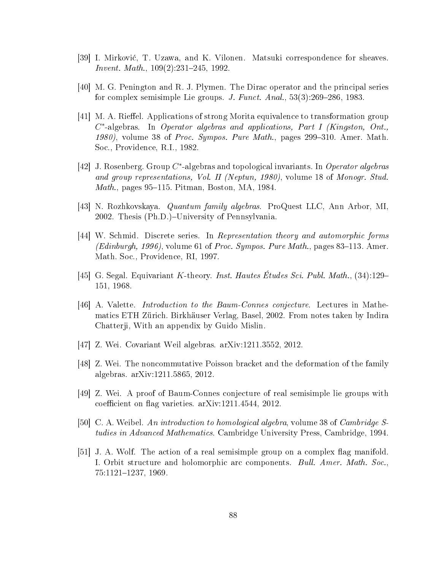- [39] I. Mirkovi¢, T. Uzawa, and K. Vilonen. Matsuki correspondence for sheaves. *Invent. Math.*,  $109(2):231-245$ , 1992.
- [40] M. G. Penington and R. J. Plymen. The Dirac operator and the principal series for complex semisimple Lie groups. J. Funct. Anal.,  $53(3):269-286$ ,  $1983$ .
- [41] M. A. Rieffel. Applications of strong Morita equivalence to transformation group  $C^*$ -algebras. In Operator algebras and applications, Part I (Kingston, Ont., 1980), volume 38 of Proc. Sympos. Pure Math., pages  $299-310$ . Amer. Math. Soc., Providence, R.I., 1982.
- [42] J. Rosenberg. Group  $C^*$ -algebras and topological invariants. In Operator algebras and group representations, Vol. II (Neptun, 1980), volume 18 of Monogr. Stud. *Math.*, pages  $95-115$ . Pitman, Boston, MA, 1984.
- [43] N. Rozhkovskaya. Quantum family algebras. ProQuest LLC, Ann Arbor, MI, 2002. Thesis (Ph.D.)–University of Pennsylvania.
- [44] W. Schmid. Discrete series. In Representation theory and automorphic forms (Edinburgh, 1996), volume 61 of Proc. Sympos. Pure Math., pages 83–113. Amer. Math. Soc., Providence, RI, 1997.
- [45] G. Segal. Equivariant K-theory. Inst. Hautes Études Sci. Publ. Math., (34):129 151, 1968.
- [46] A. Valette. Introduction to the Baum-Connes conjecture. Lectures in Mathematics ETH Zürich. Birkhäuser Verlag, Basel, 2002. From notes taken by Indira Chatterji, With an appendix by Guido Mislin.
- [47] Z. Wei. Covariant Weil algebras. arXiv:1211.3552, 2012.
- [48] Z. Wei. The noncommutative Poisson bracket and the deformation of the family algebras. arXiv:1211.5865, 2012.
- [49] Z. Wei. A proof of Baum-Connes conjecture of real semisimple lie groups with coefficient on flag varieties.  $arXiv:1211.4544$ , 2012.
- [50] C. A. Weibel. An introduction to homological algebra, volume 38 of Cambridge S. tudies in Advanced Mathematics. Cambridge University Press, Cambridge, 1994.
- $[51]$  J. A. Wolf. The action of a real semisimple group on a complex flag manifold. I. Orbit structure and holomorphic arc components. Bull. Amer. Math. Soc., 75:1121–1237, 1969.